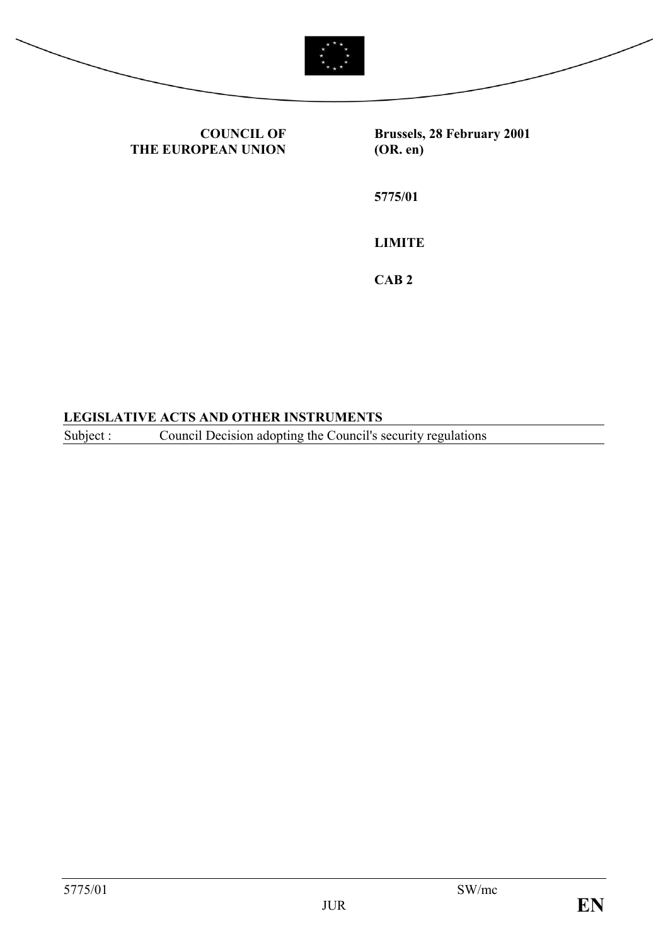

**Brussels, 28 February 2001 (OR. en)**

**5775/01**

**LIMITE**

**CAB 2**

### **LEGISLATIVE ACTS AND OTHER INSTRUMENTS**

**COUNCIL OF**

**THE EUROPEAN UNION**

Subject : Council Decision adopting the Council's security regulations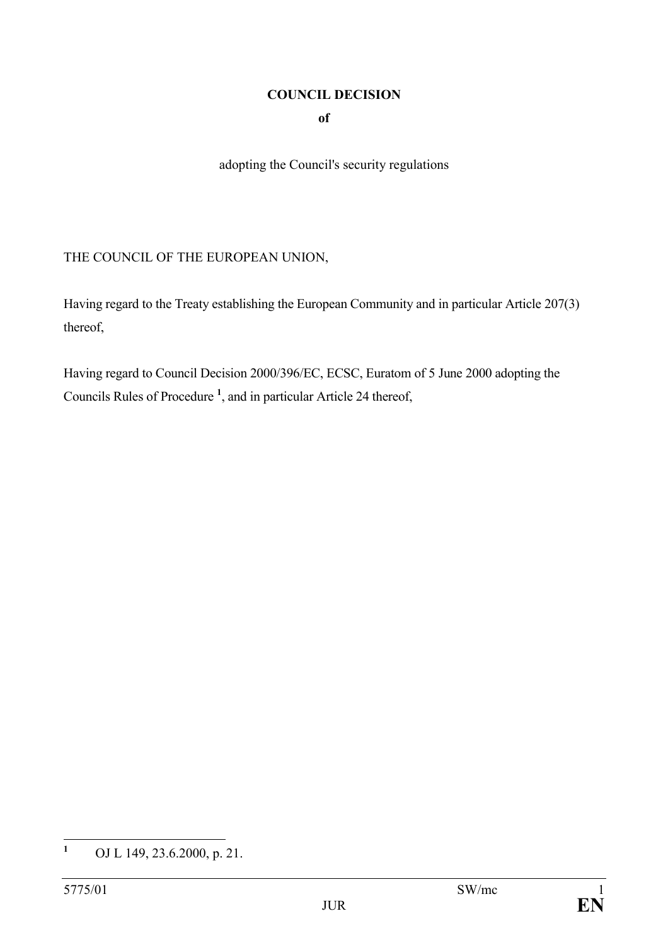# **COUNCIL DECISION**

**of** 

adopting the Council's security regulations

THE COUNCIL OF THE EUROPEAN UNION,

Having regard to the Treaty establishing the European Community and in particular Article 207(3) thereof,

Having regard to Council Decision 2000/396/EC, ECSC, Euratom of 5 June 2000 adopting the Councils Rules of Procedure **<sup>1</sup>** , and in particular Article 24 thereof,

 $\mathbf{1}$ **<sup>1</sup>** OJ L 149, 23.6.2000, p. 21.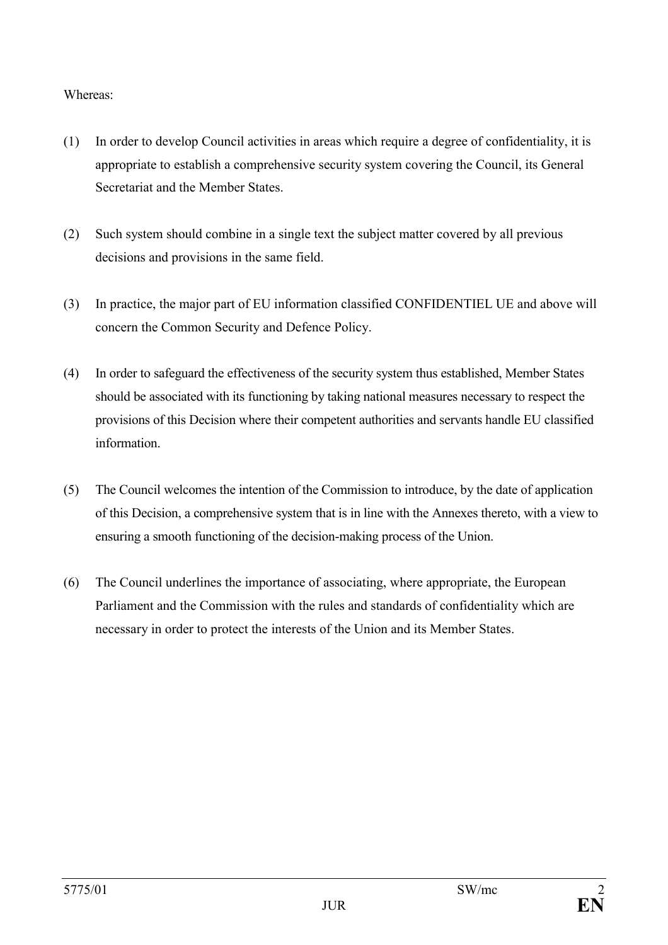#### Whereas:

- (1) In order to develop Council activities in areas which require a degree of confidentiality, it is appropriate to establish a comprehensive security system covering the Council, its General Secretariat and the Member States.
- (2) Such system should combine in a single text the subject matter covered by all previous decisions and provisions in the same field.
- (3) In practice, the major part of EU information classified CONFIDENTIEL UE and above will concern the Common Security and Defence Policy.
- (4) In order to safeguard the effectiveness of the security system thus established, Member States should be associated with its functioning by taking national measures necessary to respect the provisions of this Decision where their competent authorities and servants handle EU classified information.
- (5) The Council welcomes the intention of the Commission to introduce, by the date of application of this Decision, a comprehensive system that is in line with the Annexes thereto, with a view to ensuring a smooth functioning of the decision-making process of the Union.
- (6) The Council underlines the importance of associating, where appropriate, the European Parliament and the Commission with the rules and standards of confidentiality which are necessary in order to protect the interests of the Union and its Member States.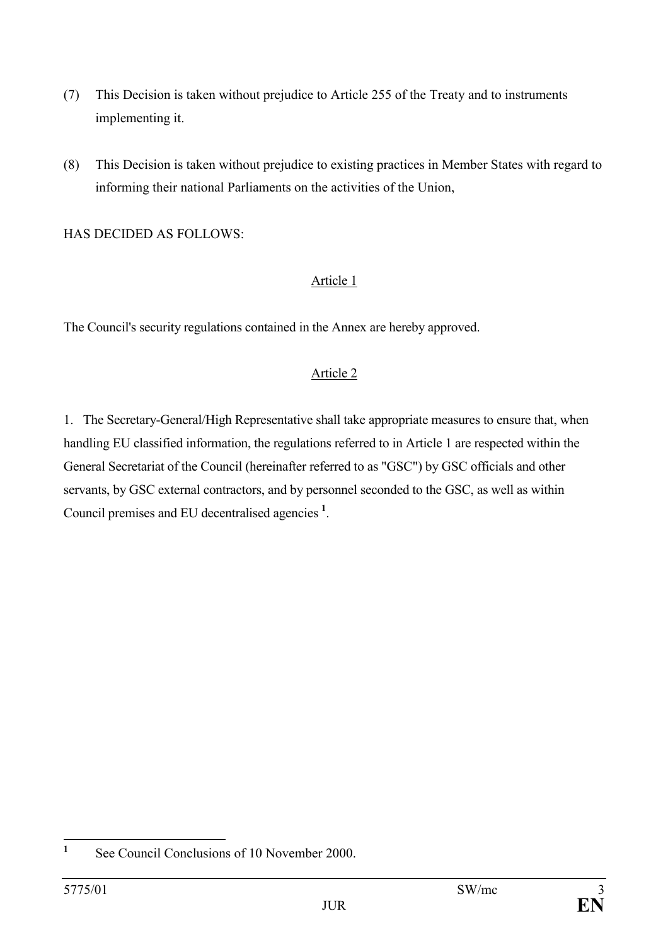- (7) This Decision is taken without prejudice to Article 255 of the Treaty and to instruments implementing it.
- (8) This Decision is taken without prejudice to existing practices in Member States with regard to informing their national Parliaments on the activities of the Union,

HAS DECIDED AS FOLLOWS:

### Article 1

The Council's security regulations contained in the Annex are hereby approved.

# Article 2

1. The Secretary-General/High Representative shall take appropriate measures to ensure that, when handling EU classified information, the regulations referred to in Article 1 are respected within the General Secretariat of the Council (hereinafter referred to as "GSC") by GSC officials and other servants, by GSC external contractors, and by personnel seconded to the GSC, as well as within Council premises and EU decentralised agencies **<sup>1</sup>** .

 $\mathbf{1}$ **<sup>1</sup>** See Council Conclusions of 10 November 2000.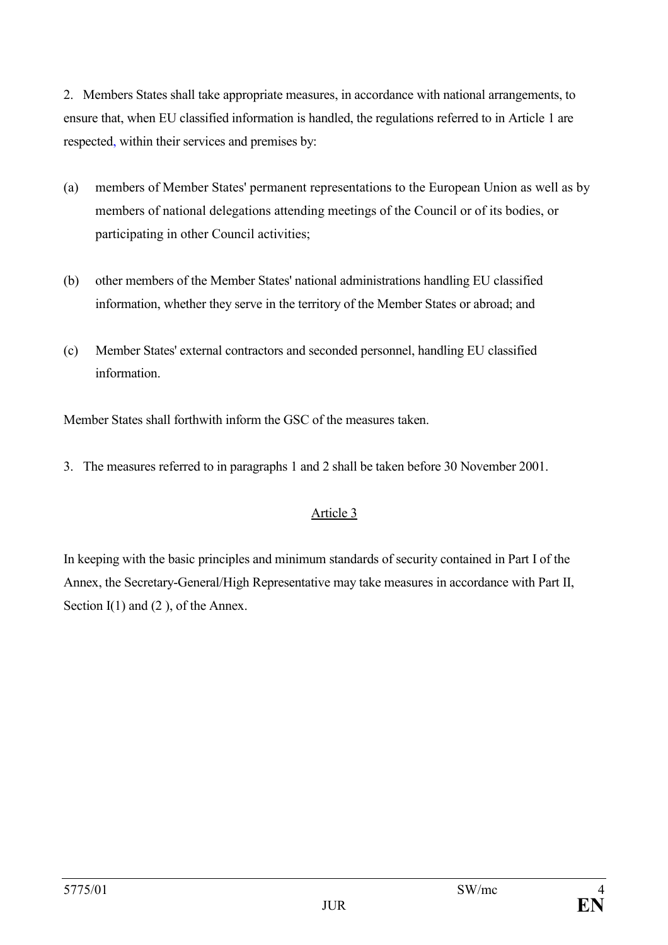2. Members States shall take appropriate measures, in accordance with national arrangements, to ensure that, when EU classified information is handled, the regulations referred to in Article 1 are respected, within their services and premises by:

- (a) members of Member States' permanent representations to the European Union as well as by members of national delegations attending meetings of the Council or of its bodies, or participating in other Council activities;
- (b) other members of the Member States' national administrations handling EU classified information, whether they serve in the territory of the Member States or abroad; and
- (c) Member States' external contractors and seconded personnel, handling EU classified information.

Member States shall forthwith inform the GSC of the measures taken.

3. The measures referred to in paragraphs 1 and 2 shall be taken before 30 November 2001.

# Article 3

In keeping with the basic principles and minimum standards of security contained in Part I of the Annex, the Secretary-General/High Representative may take measures in accordance with Part II, Section I(1) and (2), of the Annex.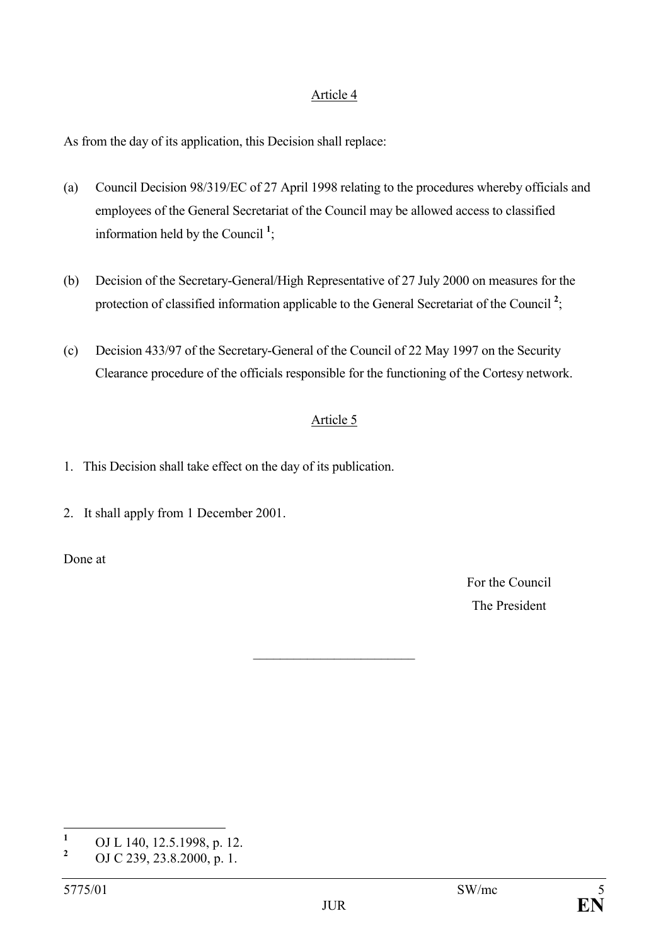#### Article 4

As from the day of its application, this Decision shall replace:

- (a) Council Decision 98/319/EC of 27 April 1998 relating to the procedures whereby officials and employees of the General Secretariat of the Council may be allowed access to classified information held by the Council **<sup>1</sup>** ;
- (b) Decision of the Secretary-General/High Representative of 27 July 2000 on measures for the protection of classified information applicable to the General Secretariat of the Council<sup>2</sup>;
- (c) Decision 433/97 of the Secretary-General of the Council of 22 May 1997 on the Security Clearance procedure of the officials responsible for the functioning of the Cortesy network.

# Article 5

\_\_\_\_\_\_\_\_\_\_\_\_\_\_\_\_\_\_\_\_\_\_\_\_

- 1. This Decision shall take effect on the day of its publication.
- 2. It shall apply from 1 December 2001.

Done at

For the Council The President

 **1** OJ L 140, 12.5.1998, p. 12. **2**

OJ C 239, 23.8.2000, p. 1.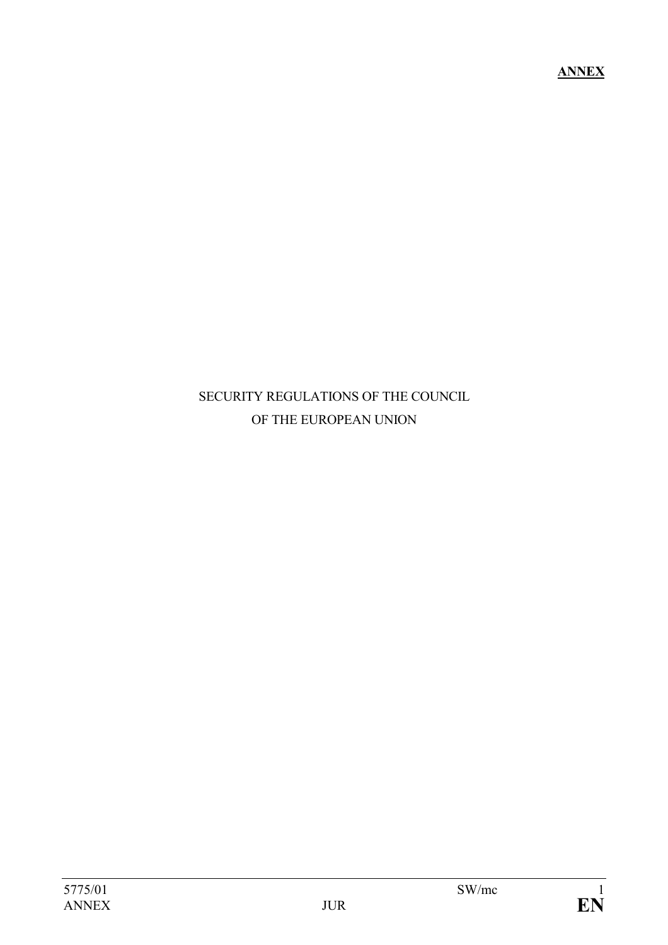**ANNEX**

# SECURITY REGULATIONS OF THE COUNCIL OF THE EUROPEAN UNION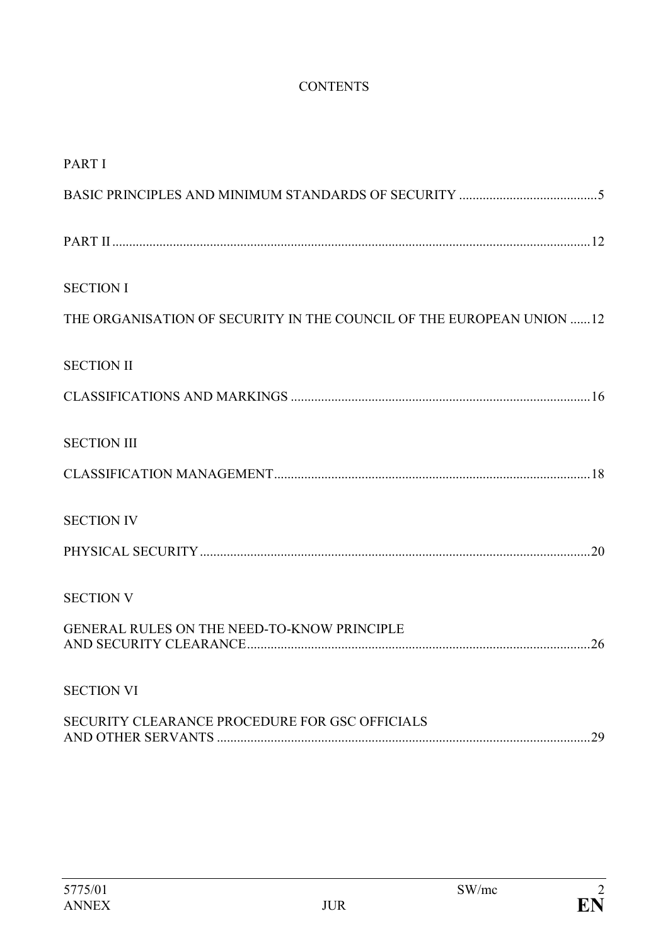# **CONTENTS**

| <b>PART I</b>                                                        |
|----------------------------------------------------------------------|
|                                                                      |
|                                                                      |
| <b>SECTION I</b>                                                     |
| THE ORGANISATION OF SECURITY IN THE COUNCIL OF THE EUROPEAN UNION 12 |
| <b>SECTION II</b>                                                    |
|                                                                      |
| <b>SECTION III</b>                                                   |
|                                                                      |
| <b>SECTION IV</b>                                                    |
|                                                                      |
| <b>SECTION V</b>                                                     |
| GENERAL RULES ON THE NEED-TO-KNOW PRINCIPLE<br>26                    |
| <b>SECTION VI</b>                                                    |
| SECURITY CLEARANCE PROCEDURE FOR GSC OFFICIALS<br>29                 |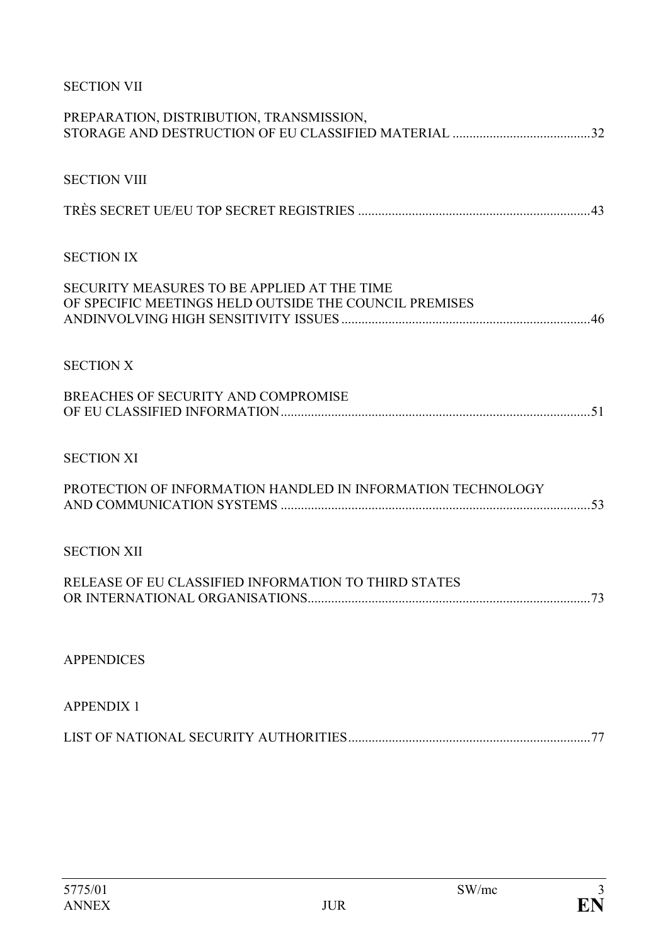# SECTION VII

| PREPARATION, DISTRIBUTION, TRANSMISSION,                                                              |  |
|-------------------------------------------------------------------------------------------------------|--|
| <b>SECTION VIII</b>                                                                                   |  |
|                                                                                                       |  |
| <b>SECTION IX</b>                                                                                     |  |
| SECURITY MEASURES TO BE APPLIED AT THE TIME<br>OF SPECIFIC MEETINGS HELD OUTSIDE THE COUNCIL PREMISES |  |
| <b>SECTION X</b>                                                                                      |  |
| BREACHES OF SECURITY AND COMPROMISE                                                                   |  |
| <b>SECTION XI</b>                                                                                     |  |
| PROTECTION OF INFORMATION HANDLED IN INFORMATION TECHNOLOGY                                           |  |
| <b>SECTION XII</b>                                                                                    |  |
| RELEASE OF EU CLASSIFIED INFORMATION TO THIRD STATES                                                  |  |
| <b>APPENDICES</b>                                                                                     |  |
| <b>APPENDIX 1</b>                                                                                     |  |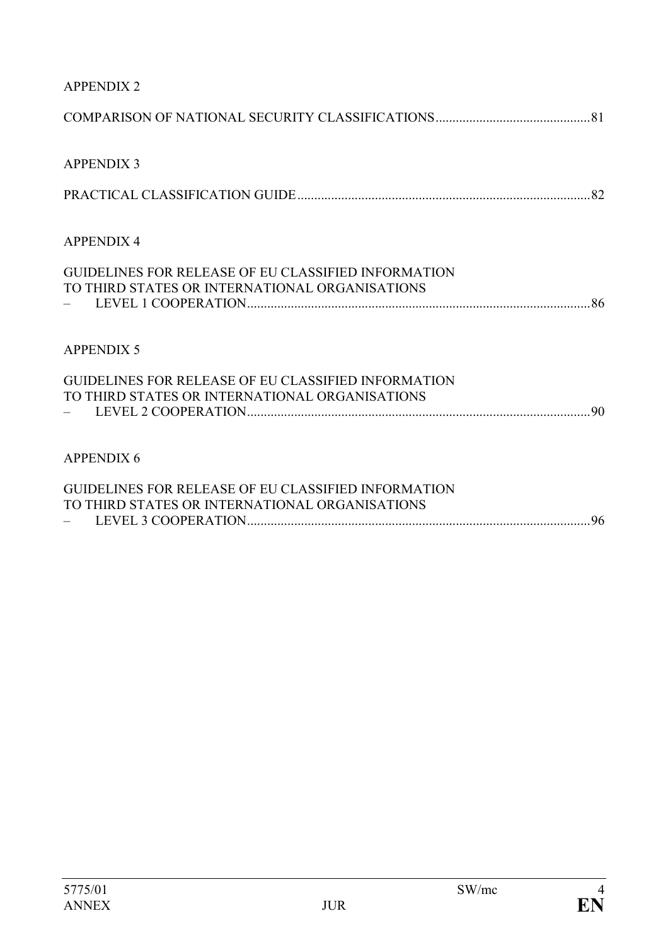| <b>APPENDIX 2</b>                                                                                            |  |
|--------------------------------------------------------------------------------------------------------------|--|
|                                                                                                              |  |
| <b>APPENDIX 3</b>                                                                                            |  |
|                                                                                                              |  |
| <b>APPENDIX 4</b>                                                                                            |  |
| <b>GUIDELINES FOR RELEASE OF EU CLASSIFIED INFORMATION</b><br>TO THIRD STATES OR INTERNATIONAL ORGANISATIONS |  |
|                                                                                                              |  |
| <b>APPENDIX 5</b>                                                                                            |  |
| <b>GUIDELINES FOR RELEASE OF EU CLASSIFIED INFORMATION</b>                                                   |  |
| TO THIRD STATES OR INTERNATIONAL ORGANISATIONS                                                               |  |
| <b>APPENDIX 6</b>                                                                                            |  |
| <b>GUIDELINES FOR RELEASE OF EU CLASSIFIED INFORMATION</b><br>TO THIRD STATES OR INTERNATIONAL ORGANISATIONS |  |
|                                                                                                              |  |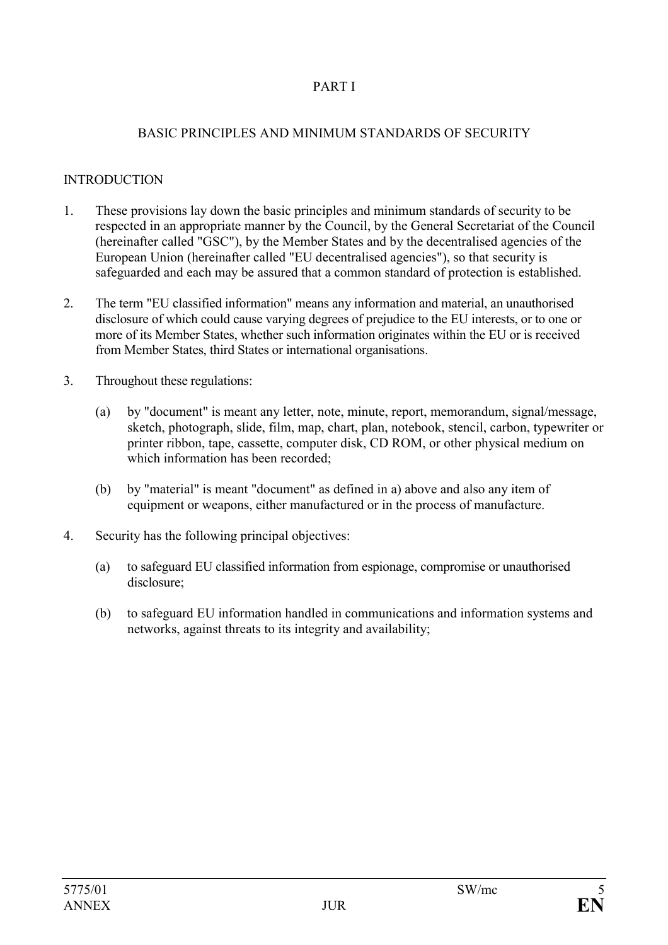# PART I

### BASIC PRINCIPLES AND MINIMUM STANDARDS OF SECURITY

# **INTRODUCTION**

- 1. These provisions lay down the basic principles and minimum standards of security to be respected in an appropriate manner by the Council, by the General Secretariat of the Council (hereinafter called "GSC"), by the Member States and by the decentralised agencies of the European Union (hereinafter called "EU decentralised agencies"), so that security is safeguarded and each may be assured that a common standard of protection is established.
- 2. The term "EU classified information" means any information and material, an unauthorised disclosure of which could cause varying degrees of prejudice to the EU interests, or to one or more of its Member States, whether such information originates within the EU or is received from Member States, third States or international organisations.
- 3. Throughout these regulations:
	- (a) by "document" is meant any letter, note, minute, report, memorandum, signal/message, sketch, photograph, slide, film, map, chart, plan, notebook, stencil, carbon, typewriter or printer ribbon, tape, cassette, computer disk, CD ROM, or other physical medium on which information has been recorded;
	- (b) by "material" is meant "document" as defined in a) above and also any item of equipment or weapons, either manufactured or in the process of manufacture.
- 4. Security has the following principal objectives:
	- (a) to safeguard EU classified information from espionage, compromise or unauthorised disclosure;
	- (b) to safeguard EU information handled in communications and information systems and networks, against threats to its integrity and availability;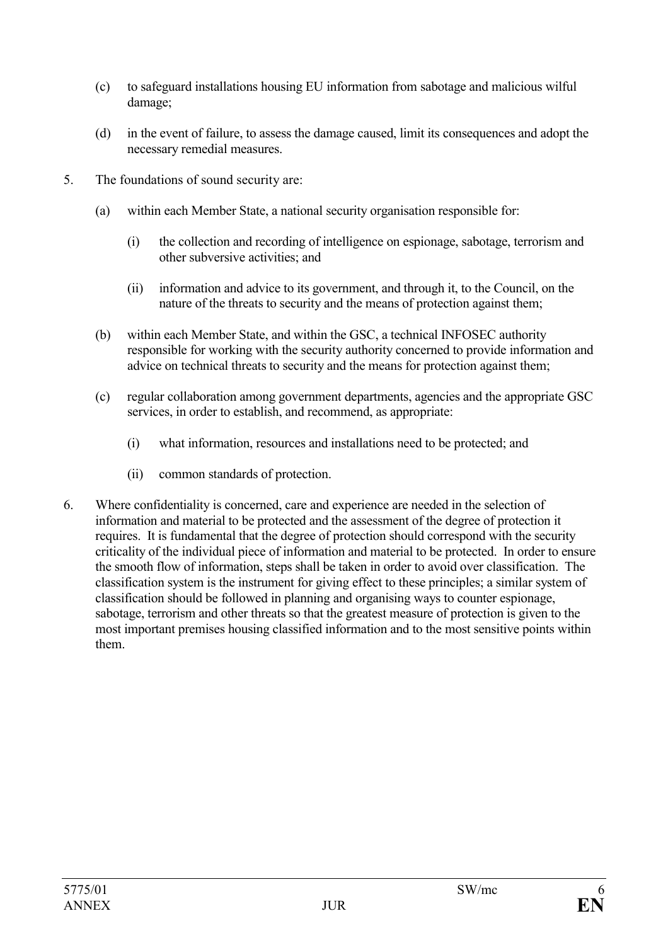- (c) to safeguard installations housing EU information from sabotage and malicious wilful damage;
- (d) in the event of failure, to assess the damage caused, limit its consequences and adopt the necessary remedial measures.
- 5. The foundations of sound security are:
	- (a) within each Member State, a national security organisation responsible for:
		- (i) the collection and recording of intelligence on espionage, sabotage, terrorism and other subversive activities; and
		- (ii) information and advice to its government, and through it, to the Council, on the nature of the threats to security and the means of protection against them;
	- (b) within each Member State, and within the GSC, a technical INFOSEC authority responsible for working with the security authority concerned to provide information and advice on technical threats to security and the means for protection against them;
	- (c) regular collaboration among government departments, agencies and the appropriate GSC services, in order to establish, and recommend, as appropriate:
		- (i) what information, resources and installations need to be protected; and
		- (ii) common standards of protection.
- 6. Where confidentiality is concerned, care and experience are needed in the selection of information and material to be protected and the assessment of the degree of protection it requires. It is fundamental that the degree of protection should correspond with the security criticality of the individual piece of information and material to be protected. In order to ensure the smooth flow of information, steps shall be taken in order to avoid over classification. The classification system is the instrument for giving effect to these principles; a similar system of classification should be followed in planning and organising ways to counter espionage, sabotage, terrorism and other threats so that the greatest measure of protection is given to the most important premises housing classified information and to the most sensitive points within them.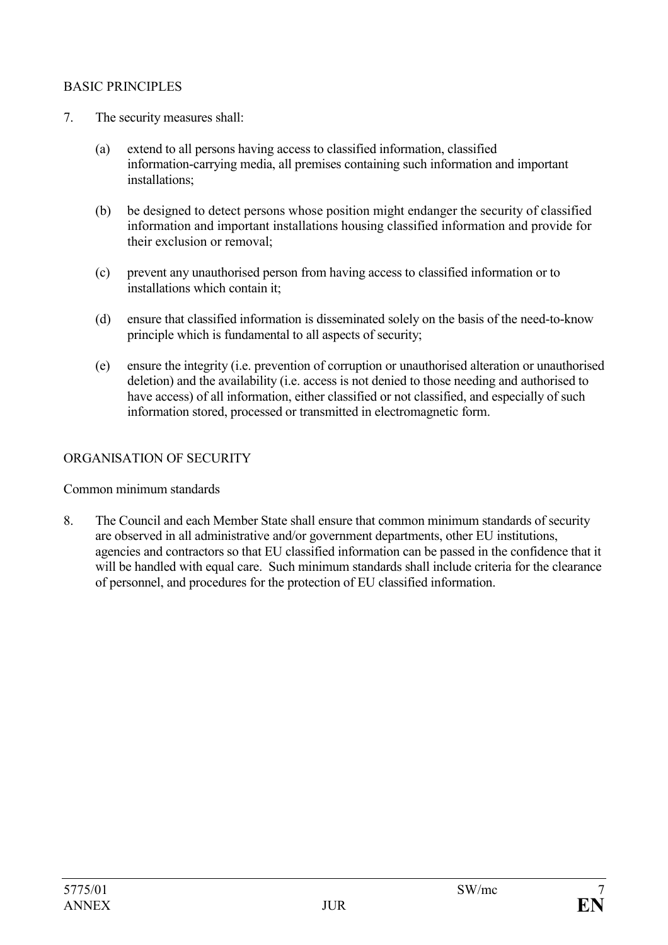### BASIC PRINCIPLES

- 7. The security measures shall:
	- (a) extend to all persons having access to classified information, classified information-carrying media, all premises containing such information and important installations;
	- (b) be designed to detect persons whose position might endanger the security of classified information and important installations housing classified information and provide for their exclusion or removal;
	- (c) prevent any unauthorised person from having access to classified information or to installations which contain it;
	- (d) ensure that classified information is disseminated solely on the basis of the need-to-know principle which is fundamental to all aspects of security;
	- (e) ensure the integrity (i.e. prevention of corruption or unauthorised alteration or unauthorised deletion) and the availability (i.e. access is not denied to those needing and authorised to have access) of all information, either classified or not classified, and especially of such information stored, processed or transmitted in electromagnetic form.

### ORGANISATION OF SECURITY

Common minimum standards

8. The Council and each Member State shall ensure that common minimum standards of security are observed in all administrative and/or government departments, other EU institutions, agencies and contractors so that EU classified information can be passed in the confidence that it will be handled with equal care. Such minimum standards shall include criteria for the clearance of personnel, and procedures for the protection of EU classified information.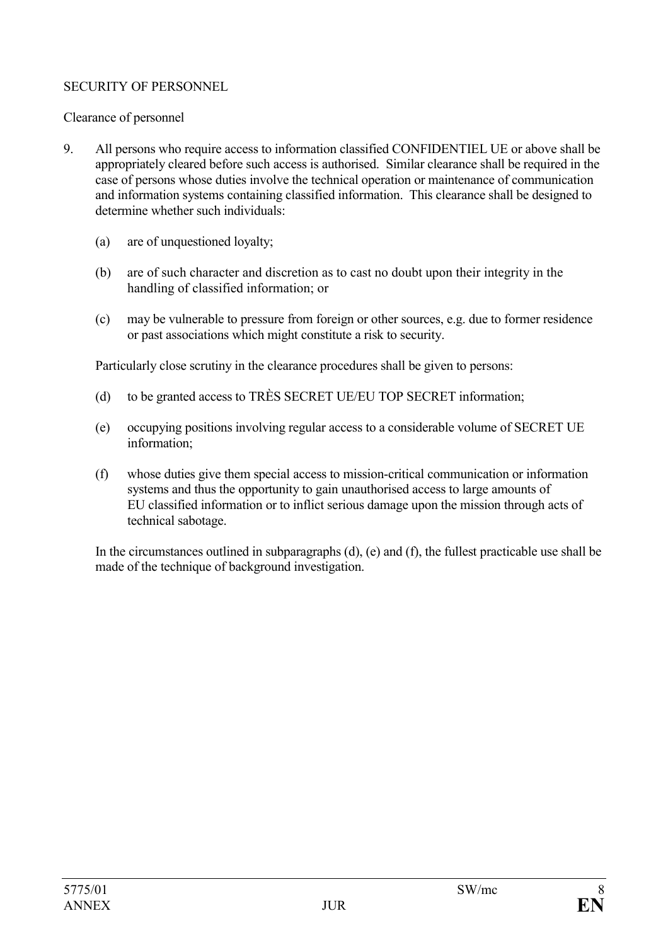# SECURITY OF PERSONNEL

# Clearance of personnel

- 9. All persons who require access to information classified CONFIDENTIEL UE or above shall be appropriately cleared before such access is authorised. Similar clearance shall be required in the case of persons whose duties involve the technical operation or maintenance of communication and information systems containing classified information. This clearance shall be designed to determine whether such individuals:
	- (a) are of unquestioned loyalty;
	- (b) are of such character and discretion as to cast no doubt upon their integrity in the handling of classified information; or
	- (c) may be vulnerable to pressure from foreign or other sources, e.g. due to former residence or past associations which might constitute a risk to security.

Particularly close scrutiny in the clearance procedures shall be given to persons:

- (d) to be granted access to TRÈS SECRET UE/EU TOP SECRET information;
- (e) occupying positions involving regular access to a considerable volume of SECRET UE information;
- (f) whose duties give them special access to mission-critical communication or information systems and thus the opportunity to gain unauthorised access to large amounts of EU classified information or to inflict serious damage upon the mission through acts of technical sabotage.

In the circumstances outlined in subparagraphs (d), (e) and (f), the fullest practicable use shall be made of the technique of background investigation.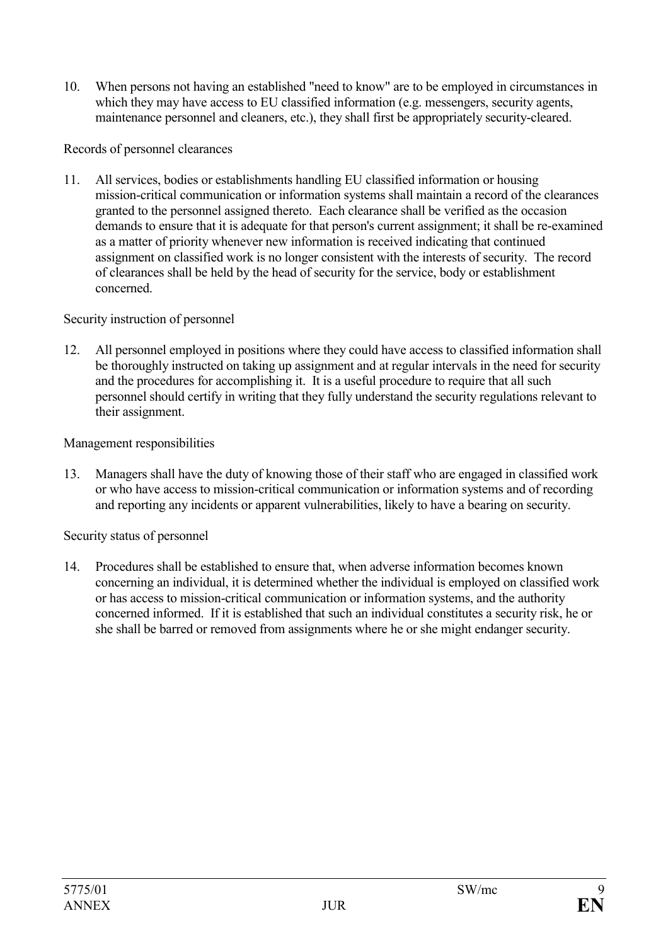10. When persons not having an established "need to know" are to be employed in circumstances in which they may have access to EU classified information (e.g. messengers, security agents, maintenance personnel and cleaners, etc.), they shall first be appropriately security-cleared.

#### Records of personnel clearances

11. All services, bodies or establishments handling EU classified information or housing mission-critical communication or information systems shall maintain a record of the clearances granted to the personnel assigned thereto. Each clearance shall be verified as the occasion demands to ensure that it is adequate for that person's current assignment; it shall be re-examined as a matter of priority whenever new information is received indicating that continued assignment on classified work is no longer consistent with the interests of security. The record of clearances shall be held by the head of security for the service, body or establishment concerned.

### Security instruction of personnel

12. All personnel employed in positions where they could have access to classified information shall be thoroughly instructed on taking up assignment and at regular intervals in the need for security and the procedures for accomplishing it. It is a useful procedure to require that all such personnel should certify in writing that they fully understand the security regulations relevant to their assignment.

### Management responsibilities

13. Managers shall have the duty of knowing those of their staff who are engaged in classified work or who have access to mission-critical communication or information systems and of recording and reporting any incidents or apparent vulnerabilities, likely to have a bearing on security.

#### Security status of personnel

14. Procedures shall be established to ensure that, when adverse information becomes known concerning an individual, it is determined whether the individual is employed on classified work or has access to mission-critical communication or information systems, and the authority concerned informed. If it is established that such an individual constitutes a security risk, he or she shall be barred or removed from assignments where he or she might endanger security.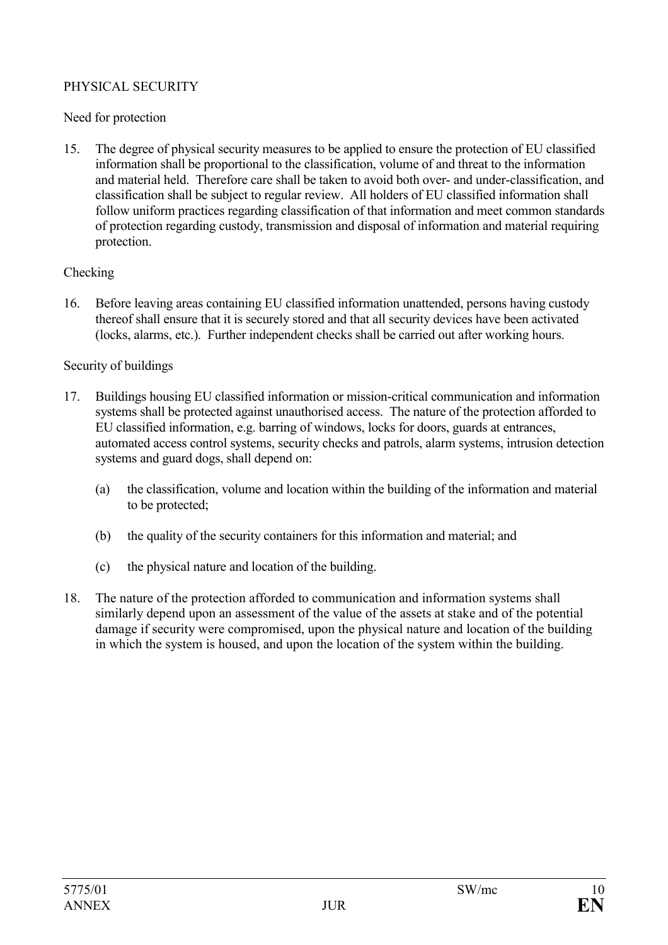# PHYSICAL SECURITY

### Need for protection

15. The degree of physical security measures to be applied to ensure the protection of EU classified information shall be proportional to the classification, volume of and threat to the information and material held. Therefore care shall be taken to avoid both over- and under-classification, and classification shall be subject to regular review. All holders of EU classified information shall follow uniform practices regarding classification of that information and meet common standards of protection regarding custody, transmission and disposal of information and material requiring protection.

### Checking

16. Before leaving areas containing EU classified information unattended, persons having custody thereof shall ensure that it is securely stored and that all security devices have been activated (locks, alarms, etc.). Further independent checks shall be carried out after working hours.

### Security of buildings

- 17. Buildings housing EU classified information or mission-critical communication and information systems shall be protected against unauthorised access. The nature of the protection afforded to EU classified information, e.g. barring of windows, locks for doors, guards at entrances, automated access control systems, security checks and patrols, alarm systems, intrusion detection systems and guard dogs, shall depend on:
	- (a) the classification, volume and location within the building of the information and material to be protected;
	- (b) the quality of the security containers for this information and material; and
	- (c) the physical nature and location of the building.
- 18. The nature of the protection afforded to communication and information systems shall similarly depend upon an assessment of the value of the assets at stake and of the potential damage if security were compromised, upon the physical nature and location of the building in which the system is housed, and upon the location of the system within the building.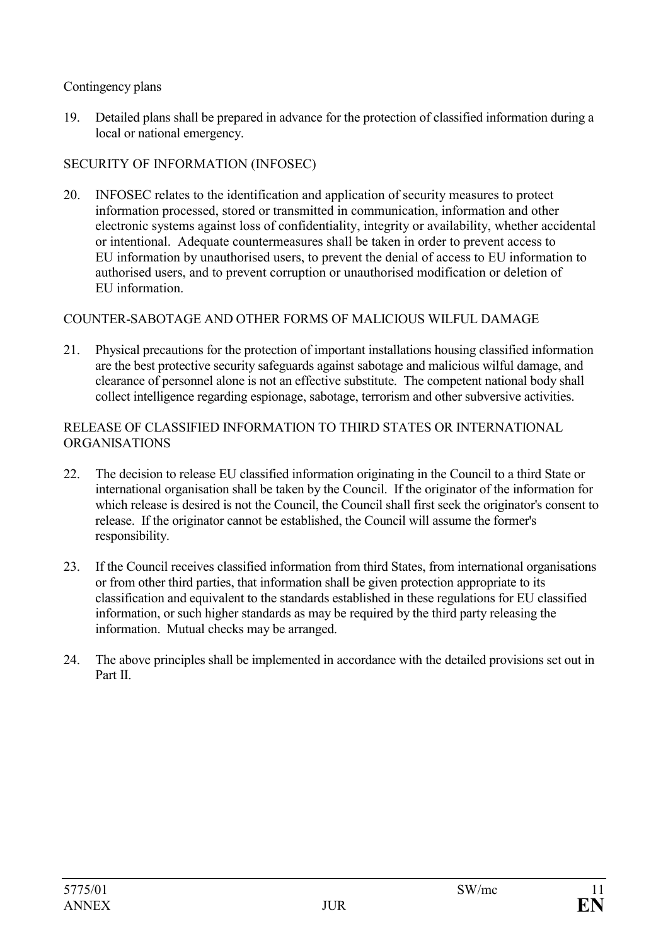### Contingency plans

19. Detailed plans shall be prepared in advance for the protection of classified information during a local or national emergency.

# SECURITY OF INFORMATION (INFOSEC)

20. INFOSEC relates to the identification and application of security measures to protect information processed, stored or transmitted in communication, information and other electronic systems against loss of confidentiality, integrity or availability, whether accidental or intentional. Adequate countermeasures shall be taken in order to prevent access to EU information by unauthorised users, to prevent the denial of access to EU information to authorised users, and to prevent corruption or unauthorised modification or deletion of EU information.

# COUNTER-SABOTAGE AND OTHER FORMS OF MALICIOUS WILFUL DAMAGE

21. Physical precautions for the protection of important installations housing classified information are the best protective security safeguards against sabotage and malicious wilful damage, and clearance of personnel alone is not an effective substitute. The competent national body shall collect intelligence regarding espionage, sabotage, terrorism and other subversive activities.

#### RELEASE OF CLASSIFIED INFORMATION TO THIRD STATES OR INTERNATIONAL ORGANISATIONS

- 22. The decision to release EU classified information originating in the Council to a third State or international organisation shall be taken by the Council. If the originator of the information for which release is desired is not the Council, the Council shall first seek the originator's consent to release. If the originator cannot be established, the Council will assume the former's responsibility.
- 23. If the Council receives classified information from third States, from international organisations or from other third parties, that information shall be given protection appropriate to its classification and equivalent to the standards established in these regulations for EU classified information, or such higher standards as may be required by the third party releasing the information. Mutual checks may be arranged.
- 24. The above principles shall be implemented in accordance with the detailed provisions set out in Part II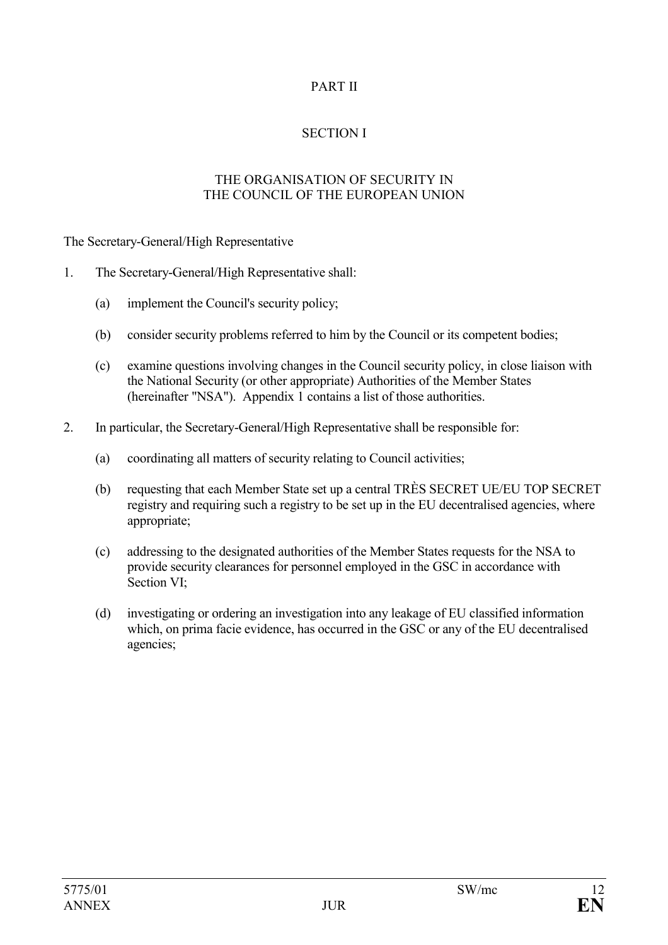# PART II

# SECTION I

#### THE ORGANISATION OF SECURITY IN THE COUNCIL OF THE EUROPEAN UNION

The Secretary-General/High Representative

- 1. The Secretary-General/High Representative shall:
	- (a) implement the Council's security policy;
	- (b) consider security problems referred to him by the Council or its competent bodies;
	- (c) examine questions involving changes in the Council security policy, in close liaison with the National Security (or other appropriate) Authorities of the Member States (hereinafter "NSA"). Appendix 1 contains a list of those authorities.
- 2. In particular, the Secretary-General/High Representative shall be responsible for:
	- (a) coordinating all matters of security relating to Council activities;
	- (b) requesting that each Member State set up a central TRÈS SECRET UE/EU TOP SECRET registry and requiring such a registry to be set up in the EU decentralised agencies, where appropriate;
	- (c) addressing to the designated authorities of the Member States requests for the NSA to provide security clearances for personnel employed in the GSC in accordance with Section VI;
	- (d) investigating or ordering an investigation into any leakage of EU classified information which, on prima facie evidence, has occurred in the GSC or any of the EU decentralised agencies;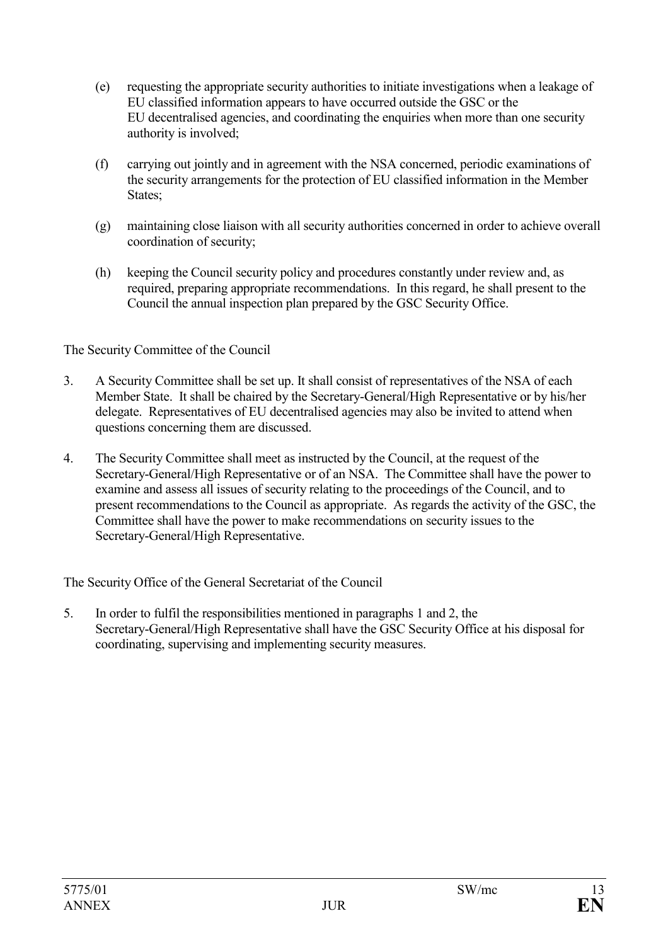- (e) requesting the appropriate security authorities to initiate investigations when a leakage of EU classified information appears to have occurred outside the GSC or the EU decentralised agencies, and coordinating the enquiries when more than one security authority is involved;
- (f) carrying out jointly and in agreement with the NSA concerned, periodic examinations of the security arrangements for the protection of EU classified information in the Member States:
- (g) maintaining close liaison with all security authorities concerned in order to achieve overall coordination of security;
- (h) keeping the Council security policy and procedures constantly under review and, as required, preparing appropriate recommendations. In this regard, he shall present to the Council the annual inspection plan prepared by the GSC Security Office.

The Security Committee of the Council

- 3. A Security Committee shall be set up. It shall consist of representatives of the NSA of each Member State. It shall be chaired by the Secretary-General/High Representative or by his/her delegate. Representatives of EU decentralised agencies may also be invited to attend when questions concerning them are discussed.
- 4. The Security Committee shall meet as instructed by the Council, at the request of the Secretary-General/High Representative or of an NSA. The Committee shall have the power to examine and assess all issues of security relating to the proceedings of the Council, and to present recommendations to the Council as appropriate. As regards the activity of the GSC, the Committee shall have the power to make recommendations on security issues to the Secretary-General/High Representative.

The Security Office of the General Secretariat of the Council

5. In order to fulfil the responsibilities mentioned in paragraphs 1 and 2, the Secretary-General/High Representative shall have the GSC Security Office at his disposal for coordinating, supervising and implementing security measures.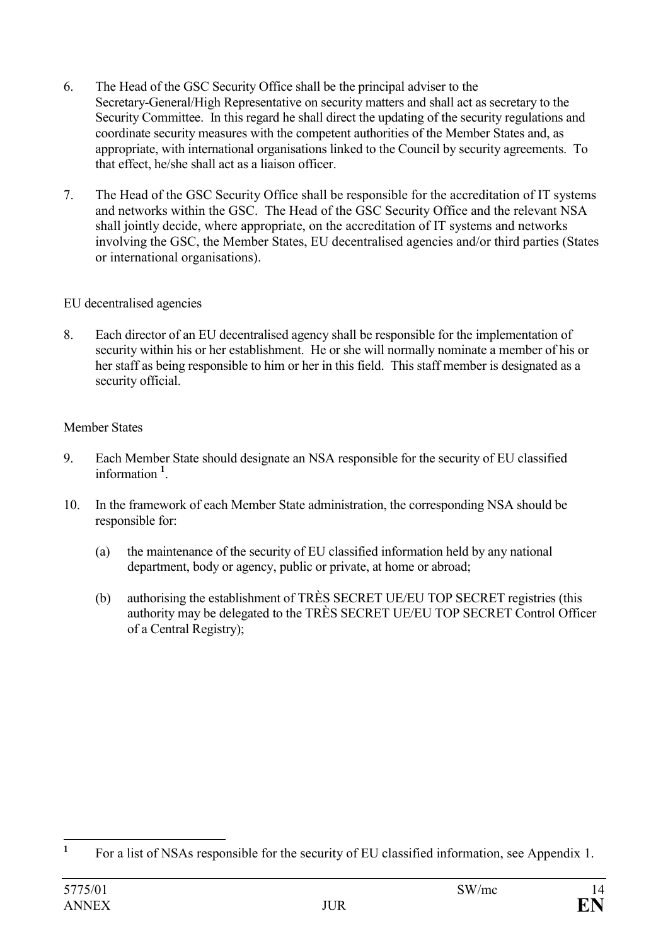- 6. The Head of the GSC Security Office shall be the principal adviser to the Secretary-General/High Representative on security matters and shall act as secretary to the Security Committee. In this regard he shall direct the updating of the security regulations and coordinate security measures with the competent authorities of the Member States and, as appropriate, with international organisations linked to the Council by security agreements. To that effect, he/she shall act as a liaison officer.
- 7. The Head of the GSC Security Office shall be responsible for the accreditation of IT systems and networks within the GSC. The Head of the GSC Security Office and the relevant NSA shall jointly decide, where appropriate, on the accreditation of IT systems and networks involving the GSC, the Member States, EU decentralised agencies and/or third parties (States or international organisations).

### EU decentralised agencies

8. Each director of an EU decentralised agency shall be responsible for the implementation of security within his or her establishment. He or she will normally nominate a member of his or her staff as being responsible to him or her in this field. This staff member is designated as a security official.

# Member States

- 9. Each Member State should designate an NSA responsible for the security of EU classified information **<sup>1</sup>** .
- 10. In the framework of each Member State administration, the corresponding NSA should be responsible for:
	- (a) the maintenance of the security of EU classified information held by any national department, body or agency, public or private, at home or abroad;
	- (b) authorising the establishment of TRÈS SECRET UE/EU TOP SECRET registries (this authority may be delegated to the TRÈS SECRET UE/EU TOP SECRET Control Officer of a Central Registry);

 **1** For a list of NSAs responsible for the security of EU classified information, see Appendix 1.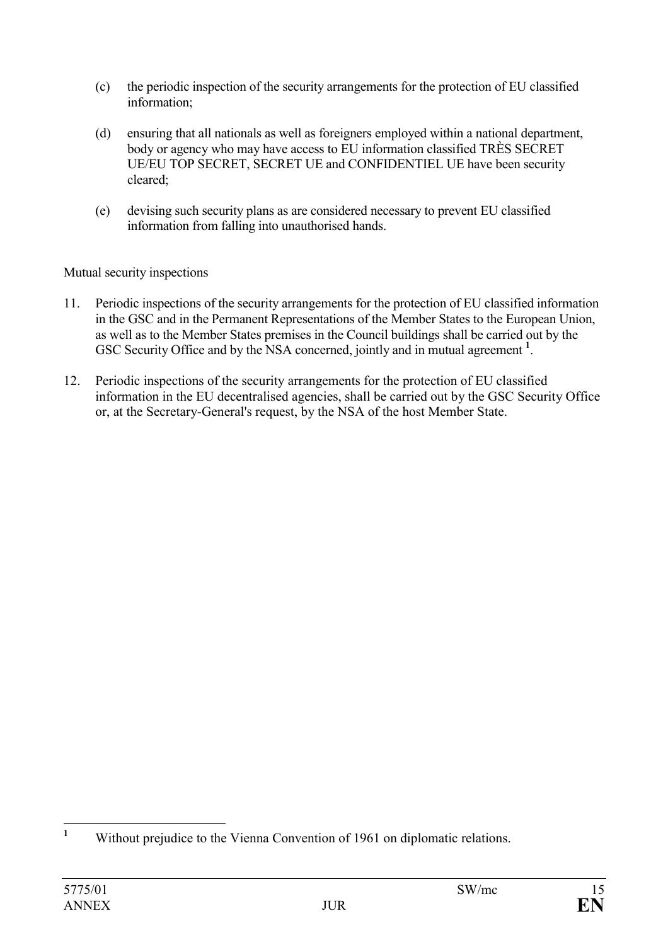- (c) the periodic inspection of the security arrangements for the protection of EU classified information;
- (d) ensuring that all nationals as well as foreigners employed within a national department, body or agency who may have access to EU information classified TRÈS SECRET UE/EU TOP SECRET, SECRET UE and CONFIDENTIEL UE have been security cleared;
- (e) devising such security plans as are considered necessary to prevent EU classified information from falling into unauthorised hands.

# Mutual security inspections

- 11. Periodic inspections of the security arrangements for the protection of EU classified information in the GSC and in the Permanent Representations of the Member States to the European Union, as well as to the Member States premises in the Council buildings shall be carried out by the GSC Security Office and by the NSA concerned, jointly and in mutual agreement **<sup>1</sup>** .
- 12. Periodic inspections of the security arrangements for the protection of EU classified information in the EU decentralised agencies, shall be carried out by the GSC Security Office or, at the Secretary-General's request, by the NSA of the host Member State.

 **1** Without prejudice to the Vienna Convention of 1961 on diplomatic relations.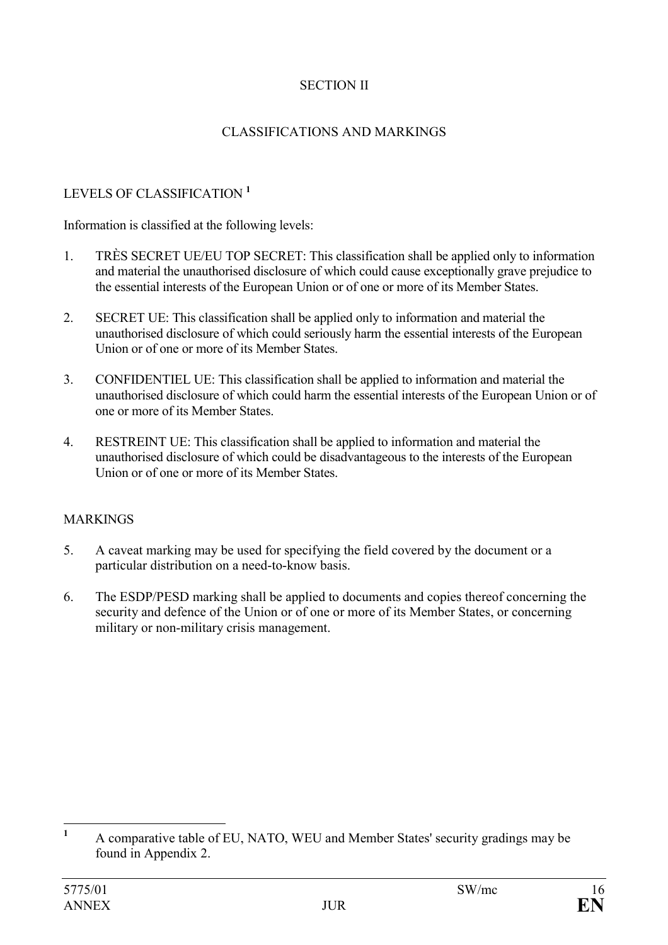# SECTION II

# CLASSIFICATIONS AND MARKINGS

# LEVELS OF CLASSIFICATION **<sup>1</sup>**

Information is classified at the following levels:

- 1. TRÈS SECRET UE/EU TOP SECRET: This classification shall be applied only to information and material the unauthorised disclosure of which could cause exceptionally grave prejudice to the essential interests of the European Union or of one or more of its Member States.
- 2. SECRET UE: This classification shall be applied only to information and material the unauthorised disclosure of which could seriously harm the essential interests of the European Union or of one or more of its Member States.
- 3. CONFIDENTIEL UE: This classification shall be applied to information and material the unauthorised disclosure of which could harm the essential interests of the European Union or of one or more of its Member States.
- 4. RESTREINT UE: This classification shall be applied to information and material the unauthorised disclosure of which could be disadvantageous to the interests of the European Union or of one or more of its Member States.

#### MARKINGS

- 5. A caveat marking may be used for specifying the field covered by the document or a particular distribution on a need-to-know basis.
- 6. The ESDP/PESD marking shall be applied to documents and copies thereof concerning the security and defence of the Union or of one or more of its Member States, or concerning military or non-military crisis management.

 **1** A comparative table of EU, NATO, WEU and Member States' security gradings may be found in Appendix 2.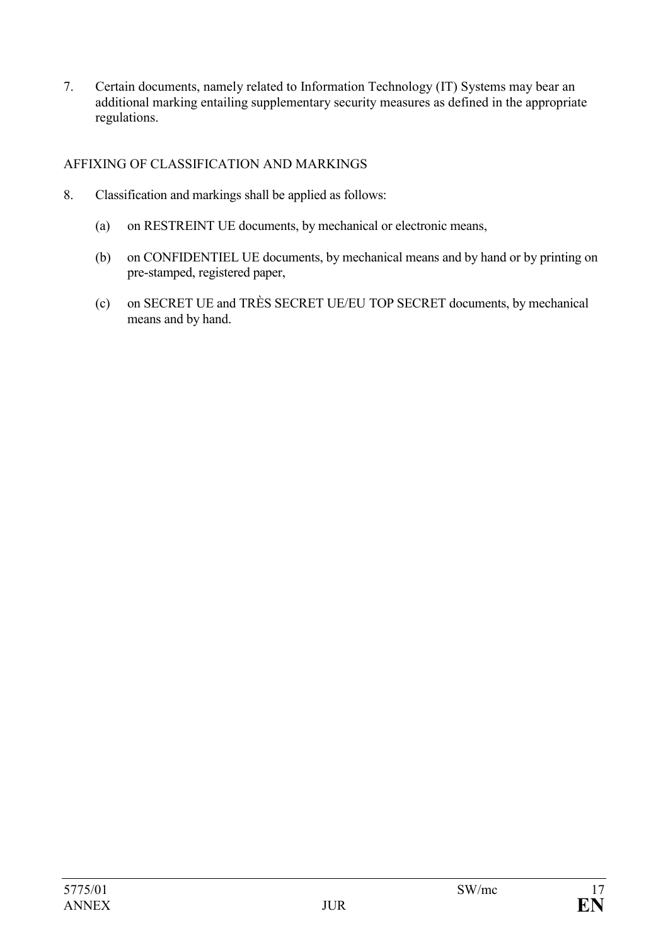7. Certain documents, namely related to Information Technology (IT) Systems may bear an additional marking entailing supplementary security measures as defined in the appropriate regulations.

# AFFIXING OF CLASSIFICATION AND MARKINGS

- 8. Classification and markings shall be applied as follows:
	- (a) on RESTREINT UE documents, by mechanical or electronic means,
	- (b) on CONFIDENTIEL UE documents, by mechanical means and by hand or by printing on pre-stamped, registered paper,
	- (c) on SECRET UE and TRÈS SECRET UE/EU TOP SECRET documents, by mechanical means and by hand.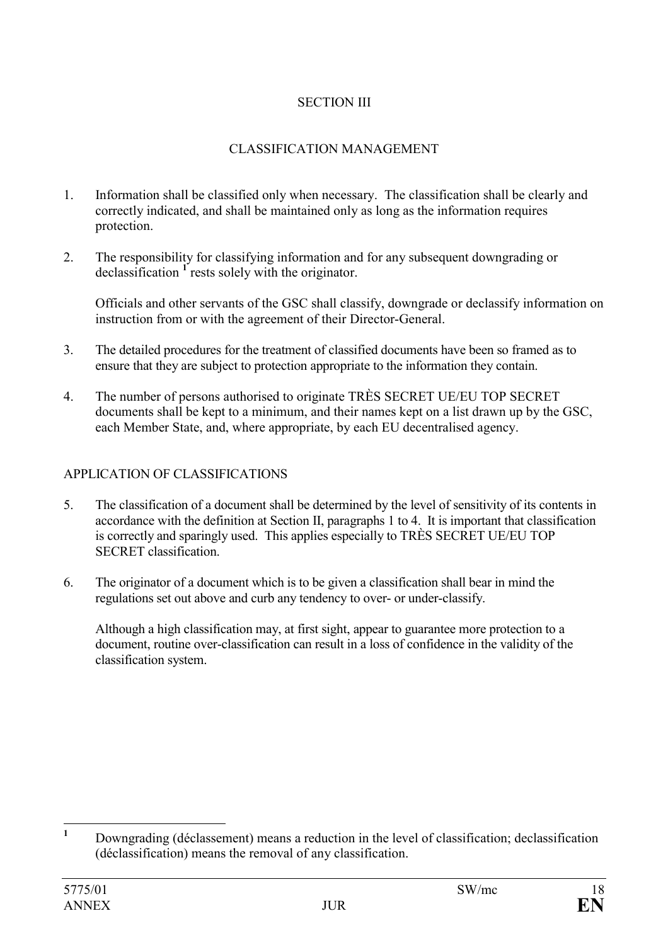# SECTION III

# CLASSIFICATION MANAGEMENT

- 1. Information shall be classified only when necessary. The classification shall be clearly and correctly indicated, and shall be maintained only as long as the information requires protection.
- 2. The responsibility for classifying information and for any subsequent downgrading or declassification **<sup>1</sup>** rests solely with the originator.

Officials and other servants of the GSC shall classify, downgrade or declassify information on instruction from or with the agreement of their Director-General.

- 3. The detailed procedures for the treatment of classified documents have been so framed as to ensure that they are subject to protection appropriate to the information they contain.
- 4. The number of persons authorised to originate TRÈS SECRET UE/EU TOP SECRET documents shall be kept to a minimum, and their names kept on a list drawn up by the GSC, each Member State, and, where appropriate, by each EU decentralised agency.

# APPLICATION OF CLASSIFICATIONS

- 5. The classification of a document shall be determined by the level of sensitivity of its contents in accordance with the definition at Section II, paragraphs 1 to 4. It is important that classification is correctly and sparingly used. This applies especially to TRÈS SECRET UE/EU TOP SECRET classification.
- 6. The originator of a document which is to be given a classification shall bear in mind the regulations set out above and curb any tendency to over- or under-classify.

Although a high classification may, at first sight, appear to guarantee more protection to a document, routine over-classification can result in a loss of confidence in the validity of the classification system.

 **1** Downgrading (déclassement) means a reduction in the level of classification; declassification (déclassification) means the removal of any classification.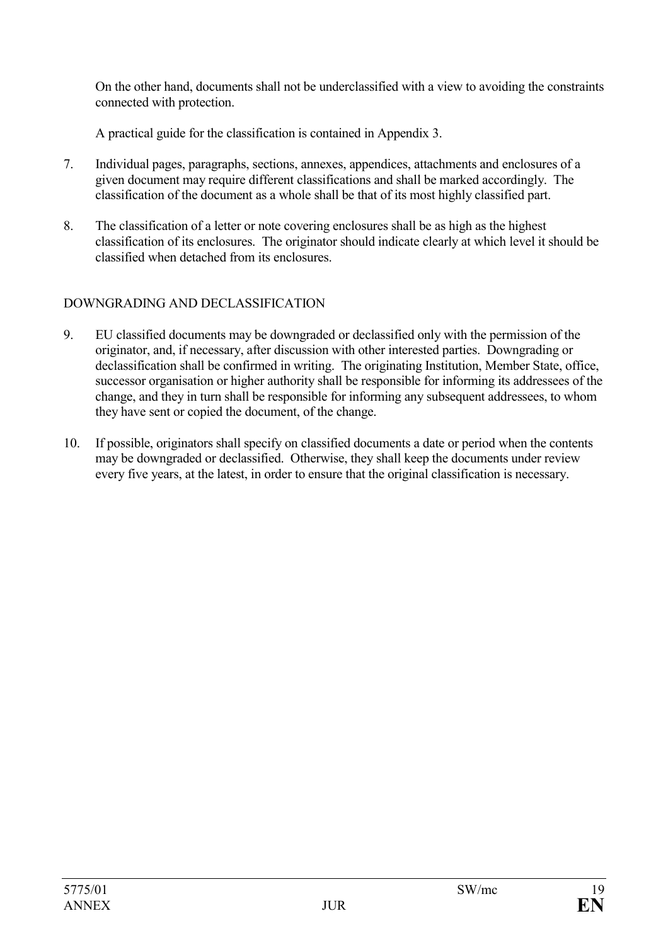On the other hand, documents shall not be underclassified with a view to avoiding the constraints connected with protection.

A practical guide for the classification is contained in Appendix 3.

- 7. Individual pages, paragraphs, sections, annexes, appendices, attachments and enclosures of a given document may require different classifications and shall be marked accordingly. The classification of the document as a whole shall be that of its most highly classified part.
- 8. The classification of a letter or note covering enclosures shall be as high as the highest classification of its enclosures. The originator should indicate clearly at which level it should be classified when detached from its enclosures.

# DOWNGRADING AND DECLASSIFICATION

- 9. EU classified documents may be downgraded or declassified only with the permission of the originator, and, if necessary, after discussion with other interested parties. Downgrading or declassification shall be confirmed in writing. The originating Institution, Member State, office, successor organisation or higher authority shall be responsible for informing its addressees of the change, and they in turn shall be responsible for informing any subsequent addressees, to whom they have sent or copied the document, of the change.
- 10. If possible, originators shall specify on classified documents a date or period when the contents may be downgraded or declassified. Otherwise, they shall keep the documents under review every five years, at the latest, in order to ensure that the original classification is necessary.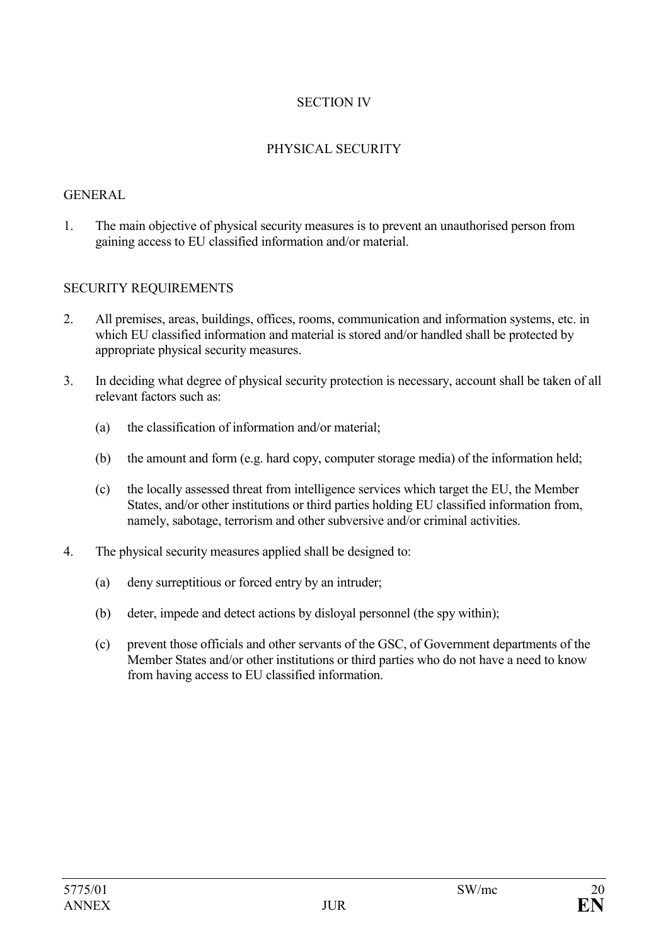# SECTION IV

### PHYSICAL SECURITY

#### **GENERAL**

1. The main objective of physical security measures is to prevent an unauthorised person from gaining access to EU classified information and/or material.

#### SECURITY REQUIREMENTS

- 2. All premises, areas, buildings, offices, rooms, communication and information systems, etc. in which EU classified information and material is stored and/or handled shall be protected by appropriate physical security measures.
- 3. In deciding what degree of physical security protection is necessary, account shall be taken of all relevant factors such as:
	- (a) the classification of information and/or material;
	- (b) the amount and form (e.g. hard copy, computer storage media) of the information held;
	- (c) the locally assessed threat from intelligence services which target the EU, the Member States, and/or other institutions or third parties holding EU classified information from, namely, sabotage, terrorism and other subversive and/or criminal activities.
- 4. The physical security measures applied shall be designed to:
	- (a) deny surreptitious or forced entry by an intruder;
	- (b) deter, impede and detect actions by disloyal personnel (the spy within);
	- (c) prevent those officials and other servants of the GSC, of Government departments of the Member States and/or other institutions or third parties who do not have a need to know from having access to EU classified information.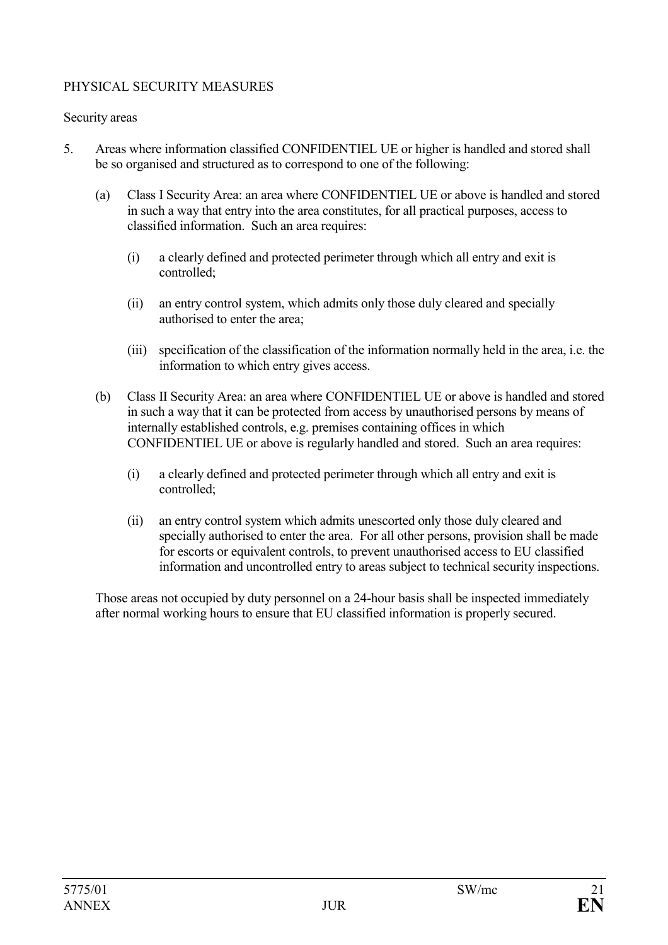# PHYSICAL SECURITY MEASURES

#### Security areas

- 5. Areas where information classified CONFIDENTIEL UE or higher is handled and stored shall be so organised and structured as to correspond to one of the following:
	- (a) Class I Security Area: an area where CONFIDENTIEL UE or above is handled and stored in such a way that entry into the area constitutes, for all practical purposes, access to classified information. Such an area requires:
		- (i) a clearly defined and protected perimeter through which all entry and exit is controlled;
		- (ii) an entry control system, which admits only those duly cleared and specially authorised to enter the area;
		- (iii) specification of the classification of the information normally held in the area, i.e. the information to which entry gives access.
	- (b) Class II Security Area: an area where CONFIDENTIEL UE or above is handled and stored in such a way that it can be protected from access by unauthorised persons by means of internally established controls, e.g. premises containing offices in which CONFIDENTIEL UE or above is regularly handled and stored. Such an area requires:
		- (i) a clearly defined and protected perimeter through which all entry and exit is controlled;
		- (ii) an entry control system which admits unescorted only those duly cleared and specially authorised to enter the area. For all other persons, provision shall be made for escorts or equivalent controls, to prevent unauthorised access to EU classified information and uncontrolled entry to areas subject to technical security inspections.

Those areas not occupied by duty personnel on a 24-hour basis shall be inspected immediately after normal working hours to ensure that EU classified information is properly secured.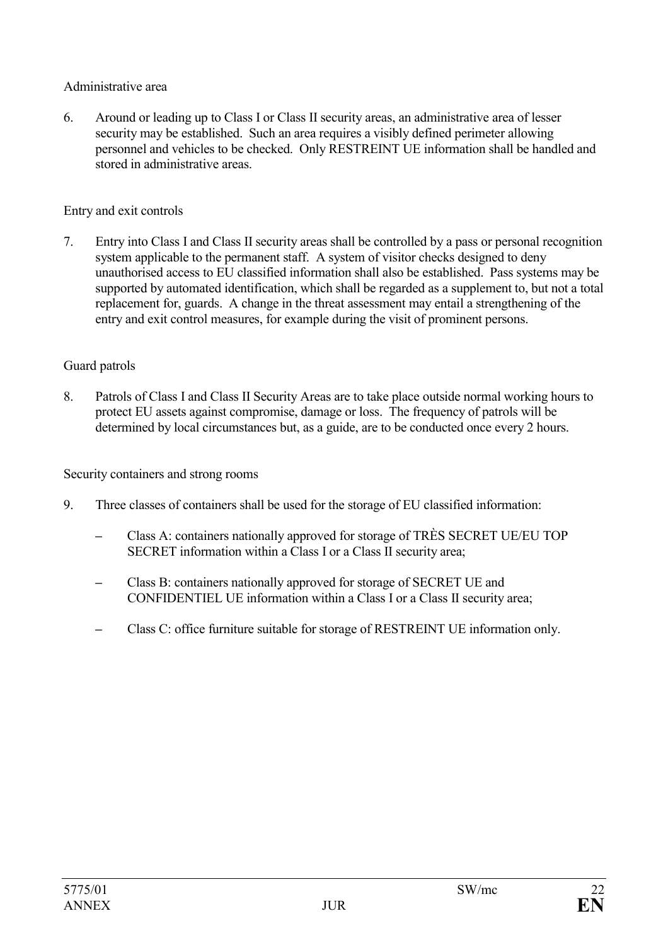#### Administrative area

6. Around or leading up to Class I or Class II security areas, an administrative area of lesser security may be established. Such an area requires a visibly defined perimeter allowing personnel and vehicles to be checked. Only RESTREINT UE information shall be handled and stored in administrative areas.

### Entry and exit controls

7. Entry into Class I and Class II security areas shall be controlled by a pass or personal recognition system applicable to the permanent staff. A system of visitor checks designed to deny unauthorised access to EU classified information shall also be established. Pass systems may be supported by automated identification, which shall be regarded as a supplement to, but not a total replacement for, guards. A change in the threat assessment may entail a strengthening of the entry and exit control measures, for example during the visit of prominent persons.

# Guard patrols

8. Patrols of Class I and Class II Security Areas are to take place outside normal working hours to protect EU assets against compromise, damage or loss. The frequency of patrols will be determined by local circumstances but, as a guide, are to be conducted once every 2 hours.

Security containers and strong rooms

- 9. Three classes of containers shall be used for the storage of EU classified information:
	- **–** Class A: containers nationally approved for storage of TRÈS SECRET UE/EU TOP SECRET information within a Class I or a Class II security area;
	- **–** Class B: containers nationally approved for storage of SECRET UE and CONFIDENTIEL UE information within a Class I or a Class II security area;
	- **–** Class C: office furniture suitable for storage of RESTREINT UE information only.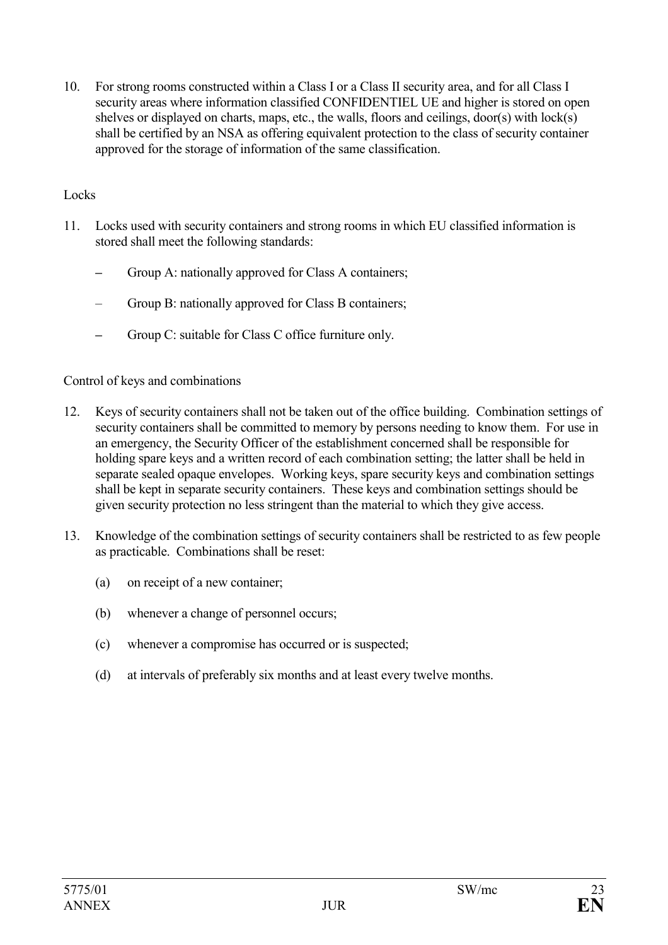10. For strong rooms constructed within a Class I or a Class II security area, and for all Class I security areas where information classified CONFIDENTIEL UE and higher is stored on open shelves or displayed on charts, maps, etc., the walls, floors and ceilings, door(s) with lock(s) shall be certified by an NSA as offering equivalent protection to the class of security container approved for the storage of information of the same classification.

#### Locks

- 11. Locks used with security containers and strong rooms in which EU classified information is stored shall meet the following standards:
	- **–** Group A: nationally approved for Class A containers;
	- Group B: nationally approved for Class B containers;
	- **–** Group C: suitable for Class C office furniture only.

#### Control of keys and combinations

- 12. Keys of security containers shall not be taken out of the office building. Combination settings of security containers shall be committed to memory by persons needing to know them. For use in an emergency, the Security Officer of the establishment concerned shall be responsible for holding spare keys and a written record of each combination setting; the latter shall be held in separate sealed opaque envelopes. Working keys, spare security keys and combination settings shall be kept in separate security containers. These keys and combination settings should be given security protection no less stringent than the material to which they give access.
- 13. Knowledge of the combination settings of security containers shall be restricted to as few people as practicable. Combinations shall be reset:
	- (a) on receipt of a new container;
	- (b) whenever a change of personnel occurs;
	- (c) whenever a compromise has occurred or is suspected;
	- (d) at intervals of preferably six months and at least every twelve months.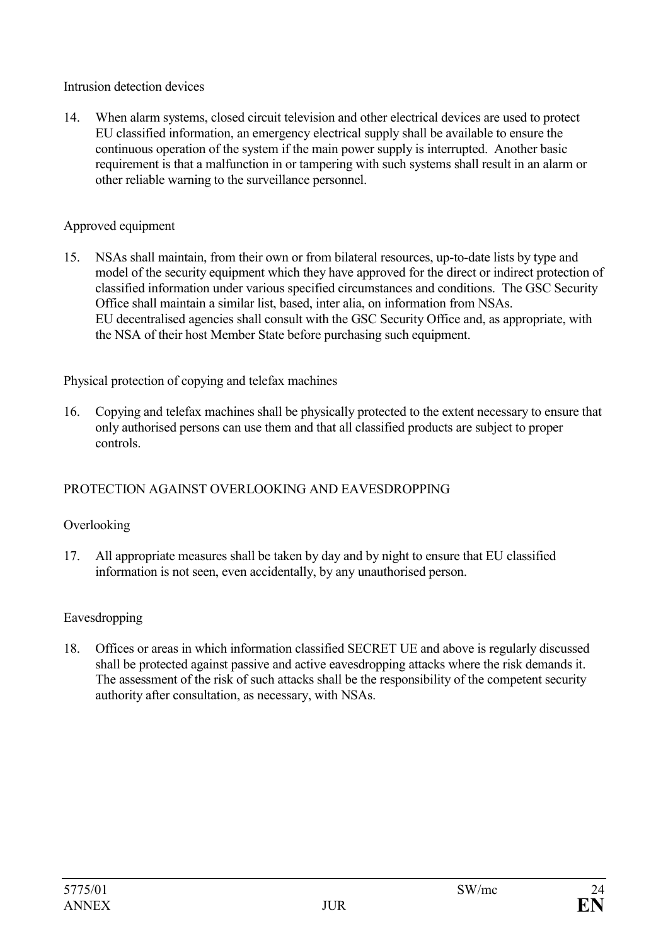Intrusion detection devices

14. When alarm systems, closed circuit television and other electrical devices are used to protect EU classified information, an emergency electrical supply shall be available to ensure the continuous operation of the system if the main power supply is interrupted. Another basic requirement is that a malfunction in or tampering with such systems shall result in an alarm or other reliable warning to the surveillance personnel.

# Approved equipment

15. NSAs shall maintain, from their own or from bilateral resources, up-to-date lists by type and model of the security equipment which they have approved for the direct or indirect protection of classified information under various specified circumstances and conditions. The GSC Security Office shall maintain a similar list, based, inter alia, on information from NSAs. EU decentralised agencies shall consult with the GSC Security Office and, as appropriate, with the NSA of their host Member State before purchasing such equipment.

Physical protection of copying and telefax machines

16. Copying and telefax machines shall be physically protected to the extent necessary to ensure that only authorised persons can use them and that all classified products are subject to proper controls.

# PROTECTION AGAINST OVERLOOKING AND EAVESDROPPING

# Overlooking

17. All appropriate measures shall be taken by day and by night to ensure that EU classified information is not seen, even accidentally, by any unauthorised person.

# Eavesdropping

18. Offices or areas in which information classified SECRET UE and above is regularly discussed shall be protected against passive and active eavesdropping attacks where the risk demands it. The assessment of the risk of such attacks shall be the responsibility of the competent security authority after consultation, as necessary, with NSAs.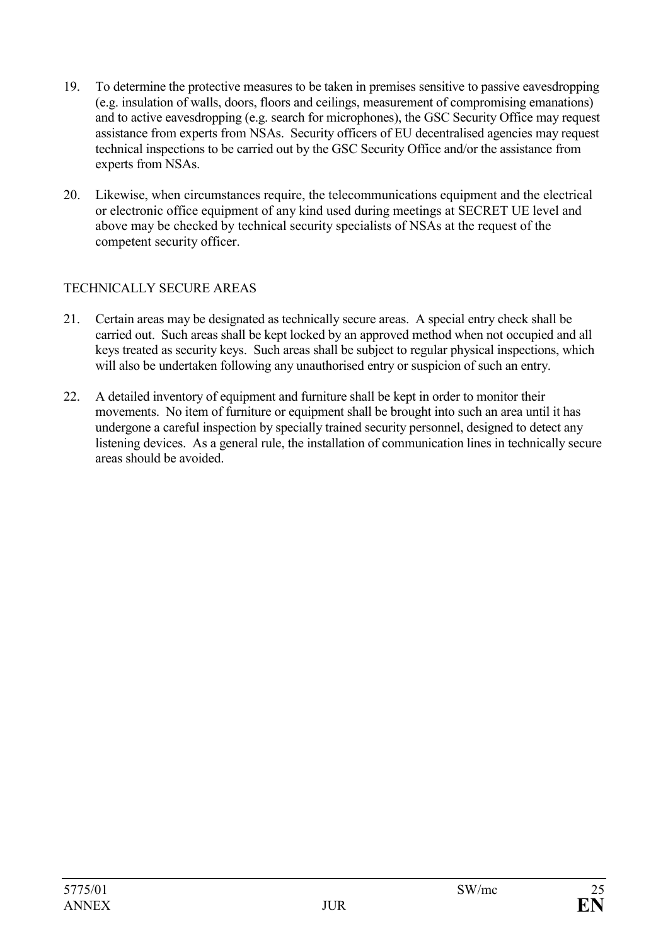- 19. To determine the protective measures to be taken in premises sensitive to passive eavesdropping (e.g. insulation of walls, doors, floors and ceilings, measurement of compromising emanations) and to active eavesdropping (e.g. search for microphones), the GSC Security Office may request assistance from experts from NSAs. Security officers of EU decentralised agencies may request technical inspections to be carried out by the GSC Security Office and/or the assistance from experts from NSAs.
- 20. Likewise, when circumstances require, the telecommunications equipment and the electrical or electronic office equipment of any kind used during meetings at SECRET UE level and above may be checked by technical security specialists of NSAs at the request of the competent security officer.

# TECHNICALLY SECURE AREAS

- 21. Certain areas may be designated as technically secure areas. A special entry check shall be carried out. Such areas shall be kept locked by an approved method when not occupied and all keys treated as security keys. Such areas shall be subject to regular physical inspections, which will also be undertaken following any unauthorised entry or suspicion of such an entry.
- 22. A detailed inventory of equipment and furniture shall be kept in order to monitor their movements. No item of furniture or equipment shall be brought into such an area until it has undergone a careful inspection by specially trained security personnel, designed to detect any listening devices. As a general rule, the installation of communication lines in technically secure areas should be avoided.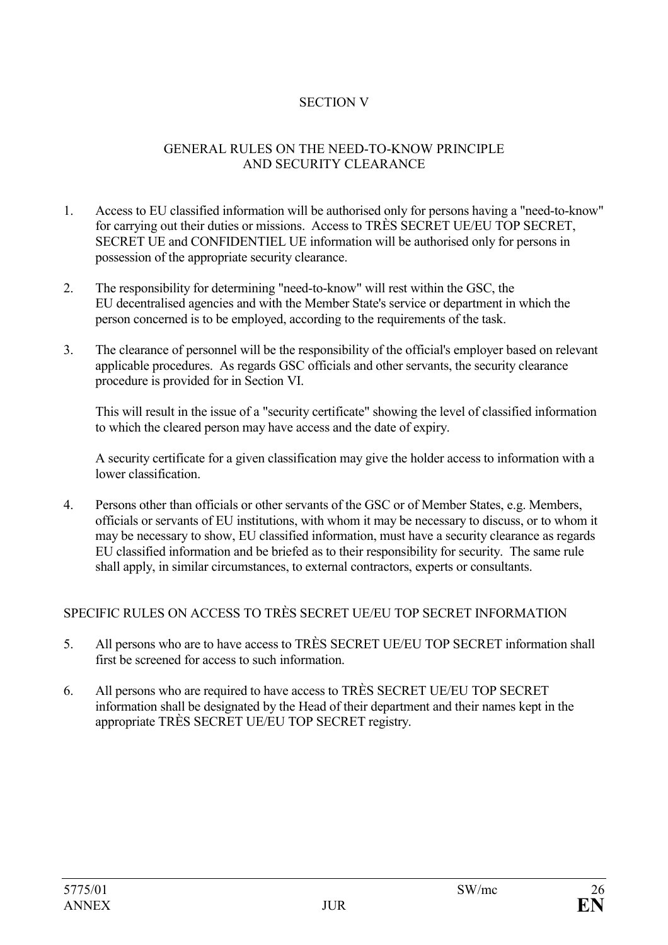### SECTION V

#### GENERAL RULES ON THE NEED-TO-KNOW PRINCIPLE AND SECURITY CLEARANCE

- 1. Access to EU classified information will be authorised only for persons having a "need-to-know" for carrying out their duties or missions. Access to TRÈS SECRET UE/EU TOP SECRET, SECRET UE and CONFIDENTIEL UE information will be authorised only for persons in possession of the appropriate security clearance.
- 2. The responsibility for determining "need-to-know" will rest within the GSC, the EU decentralised agencies and with the Member State's service or department in which the person concerned is to be employed, according to the requirements of the task.
- 3. The clearance of personnel will be the responsibility of the official's employer based on relevant applicable procedures. As regards GSC officials and other servants, the security clearance procedure is provided for in Section VI.

This will result in the issue of a "security certificate" showing the level of classified information to which the cleared person may have access and the date of expiry.

A security certificate for a given classification may give the holder access to information with a lower classification.

4. Persons other than officials or other servants of the GSC or of Member States, e.g. Members, officials or servants of EU institutions, with whom it may be necessary to discuss, or to whom it may be necessary to show, EU classified information, must have a security clearance as regards EU classified information and be briefed as to their responsibility for security. The same rule shall apply, in similar circumstances, to external contractors, experts or consultants.

#### SPECIFIC RULES ON ACCESS TO TRÈS SECRET UE/EU TOP SECRET INFORMATION

- 5. All persons who are to have access to TRÈS SECRET UE/EU TOP SECRET information shall first be screened for access to such information.
- 6. All persons who are required to have access to TRÈS SECRET UE/EU TOP SECRET information shall be designated by the Head of their department and their names kept in the appropriate TRÈS SECRET UE/EU TOP SECRET registry.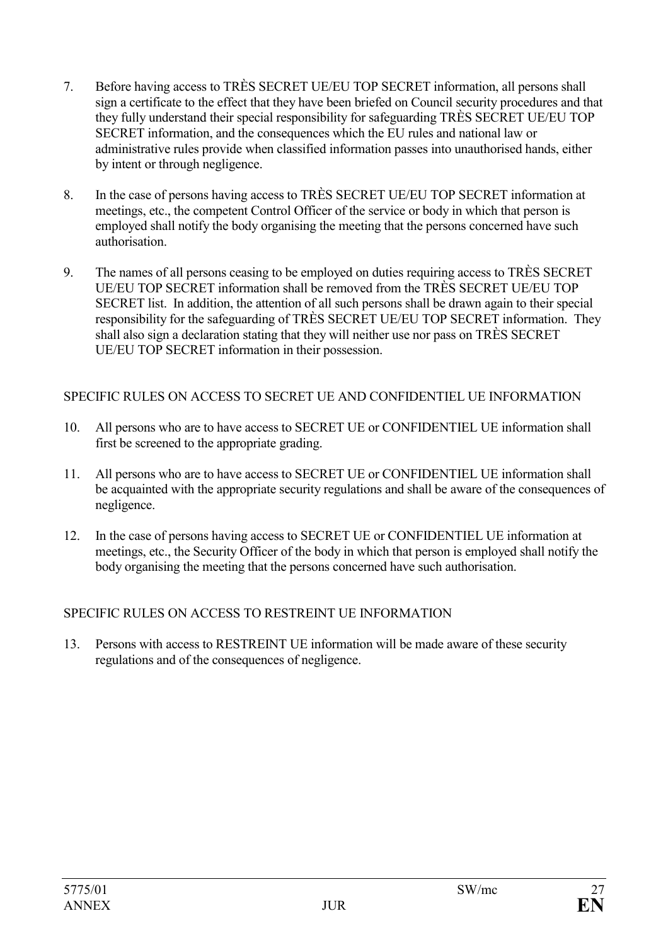- 7. Before having access to TRÈS SECRET UE/EU TOP SECRET information, all persons shall sign a certificate to the effect that they have been briefed on Council security procedures and that they fully understand their special responsibility for safeguarding TRÈS SECRET UE/EU TOP SECRET information, and the consequences which the EU rules and national law or administrative rules provide when classified information passes into unauthorised hands, either by intent or through negligence.
- 8. In the case of persons having access to TRÈS SECRET UE/EU TOP SECRET information at meetings, etc., the competent Control Officer of the service or body in which that person is employed shall notify the body organising the meeting that the persons concerned have such authorisation.
- 9. The names of all persons ceasing to be employed on duties requiring access to TRÈS SECRET UE/EU TOP SECRET information shall be removed from the TRÈS SECRET UE/EU TOP SECRET list. In addition, the attention of all such persons shall be drawn again to their special responsibility for the safeguarding of TRÈS SECRET UE/EU TOP SECRET information. They shall also sign a declaration stating that they will neither use nor pass on TRÈS SECRET UE/EU TOP SECRET information in their possession.

# SPECIFIC RULES ON ACCESS TO SECRET UE AND CONFIDENTIEL UE INFORMATION

- 10. All persons who are to have access to SECRET UE or CONFIDENTIEL UE information shall first be screened to the appropriate grading.
- 11. All persons who are to have access to SECRET UE or CONFIDENTIEL UE information shall be acquainted with the appropriate security regulations and shall be aware of the consequences of negligence.
- 12. In the case of persons having access to SECRET UE or CONFIDENTIEL UE information at meetings, etc., the Security Officer of the body in which that person is employed shall notify the body organising the meeting that the persons concerned have such authorisation.

# SPECIFIC RULES ON ACCESS TO RESTREINT UE INFORMATION

13. Persons with access to RESTREINT UE information will be made aware of these security regulations and of the consequences of negligence.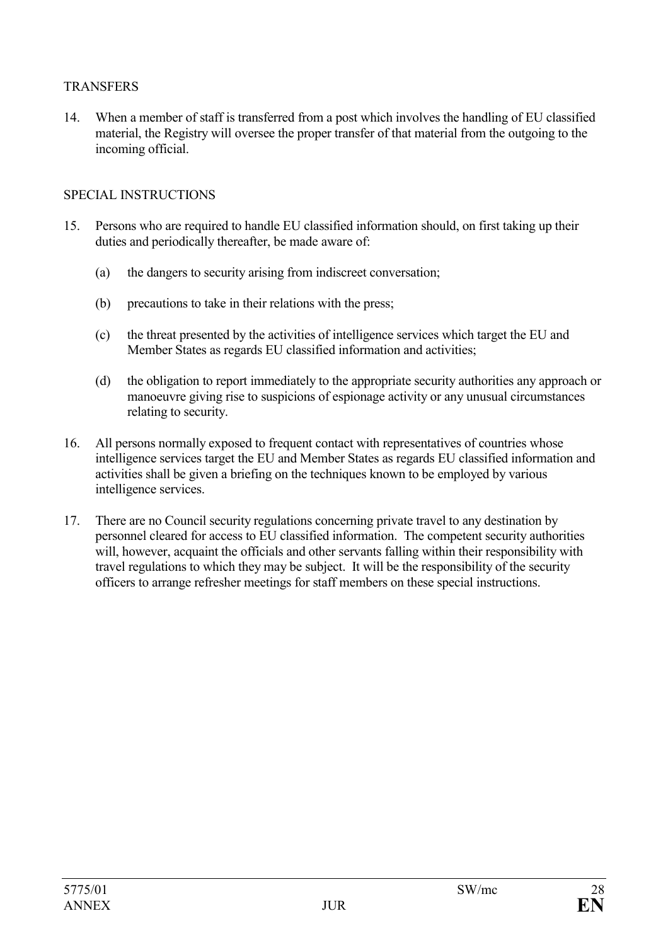### TRANSFERS

14. When a member of staff is transferred from a post which involves the handling of EU classified material, the Registry will oversee the proper transfer of that material from the outgoing to the incoming official.

### SPECIAL INSTRUCTIONS

- 15. Persons who are required to handle EU classified information should, on first taking up their duties and periodically thereafter, be made aware of:
	- (a) the dangers to security arising from indiscreet conversation;
	- (b) precautions to take in their relations with the press;
	- (c) the threat presented by the activities of intelligence services which target the EU and Member States as regards EU classified information and activities;
	- (d) the obligation to report immediately to the appropriate security authorities any approach or manoeuvre giving rise to suspicions of espionage activity or any unusual circumstances relating to security.
- 16. All persons normally exposed to frequent contact with representatives of countries whose intelligence services target the EU and Member States as regards EU classified information and activities shall be given a briefing on the techniques known to be employed by various intelligence services.
- 17. There are no Council security regulations concerning private travel to any destination by personnel cleared for access to EU classified information. The competent security authorities will, however, acquaint the officials and other servants falling within their responsibility with travel regulations to which they may be subject. It will be the responsibility of the security officers to arrange refresher meetings for staff members on these special instructions.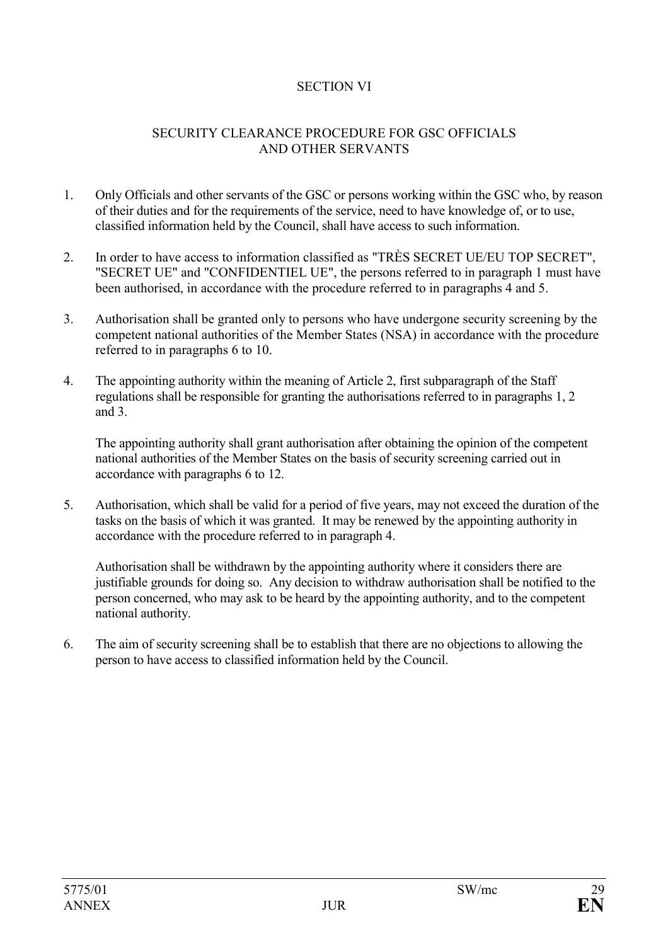### SECTION VI

#### SECURITY CLEARANCE PROCEDURE FOR GSC OFFICIALS AND OTHER SERVANTS

- 1. Only Officials and other servants of the GSC or persons working within the GSC who, by reason of their duties and for the requirements of the service, need to have knowledge of, or to use, classified information held by the Council, shall have access to such information.
- 2. In order to have access to information classified as "TRÈS SECRET UE/EU TOP SECRET", "SECRET UE" and "CONFIDENTIEL UE", the persons referred to in paragraph 1 must have been authorised, in accordance with the procedure referred to in paragraphs 4 and 5.
- 3. Authorisation shall be granted only to persons who have undergone security screening by the competent national authorities of the Member States (NSA) in accordance with the procedure referred to in paragraphs 6 to 10.
- 4. The appointing authority within the meaning of Article 2, first subparagraph of the Staff regulations shall be responsible for granting the authorisations referred to in paragraphs 1, 2 and  $3$ .

The appointing authority shall grant authorisation after obtaining the opinion of the competent national authorities of the Member States on the basis of security screening carried out in accordance with paragraphs 6 to 12.

5. Authorisation, which shall be valid for a period of five years, may not exceed the duration of the tasks on the basis of which it was granted. It may be renewed by the appointing authority in accordance with the procedure referred to in paragraph 4.

Authorisation shall be withdrawn by the appointing authority where it considers there are justifiable grounds for doing so. Any decision to withdraw authorisation shall be notified to the person concerned, who may ask to be heard by the appointing authority, and to the competent national authority.

6. The aim of security screening shall be to establish that there are no objections to allowing the person to have access to classified information held by the Council.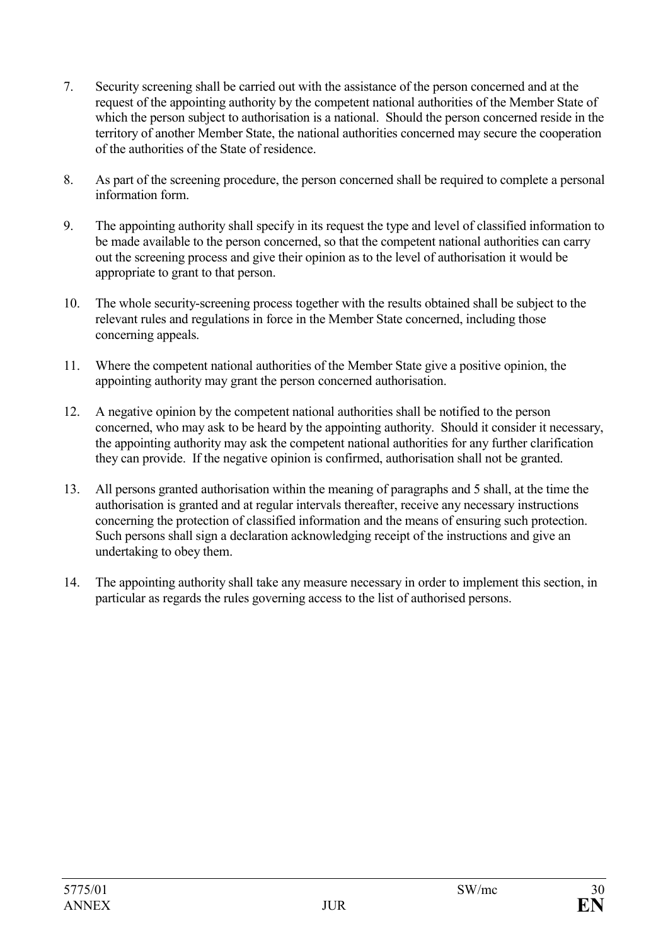- 7. Security screening shall be carried out with the assistance of the person concerned and at the request of the appointing authority by the competent national authorities of the Member State of which the person subject to authorisation is a national. Should the person concerned reside in the territory of another Member State, the national authorities concerned may secure the cooperation of the authorities of the State of residence.
- 8. As part of the screening procedure, the person concerned shall be required to complete a personal information form.
- 9. The appointing authority shall specify in its request the type and level of classified information to be made available to the person concerned, so that the competent national authorities can carry out the screening process and give their opinion as to the level of authorisation it would be appropriate to grant to that person.
- 10. The whole security-screening process together with the results obtained shall be subject to the relevant rules and regulations in force in the Member State concerned, including those concerning appeals.
- 11. Where the competent national authorities of the Member State give a positive opinion, the appointing authority may grant the person concerned authorisation.
- 12. A negative opinion by the competent national authorities shall be notified to the person concerned, who may ask to be heard by the appointing authority. Should it consider it necessary, the appointing authority may ask the competent national authorities for any further clarification they can provide. If the negative opinion is confirmed, authorisation shall not be granted.
- 13. All persons granted authorisation within the meaning of paragraphs and 5 shall, at the time the authorisation is granted and at regular intervals thereafter, receive any necessary instructions concerning the protection of classified information and the means of ensuring such protection. Such persons shall sign a declaration acknowledging receipt of the instructions and give an undertaking to obey them.
- 14. The appointing authority shall take any measure necessary in order to implement this section, in particular as regards the rules governing access to the list of authorised persons.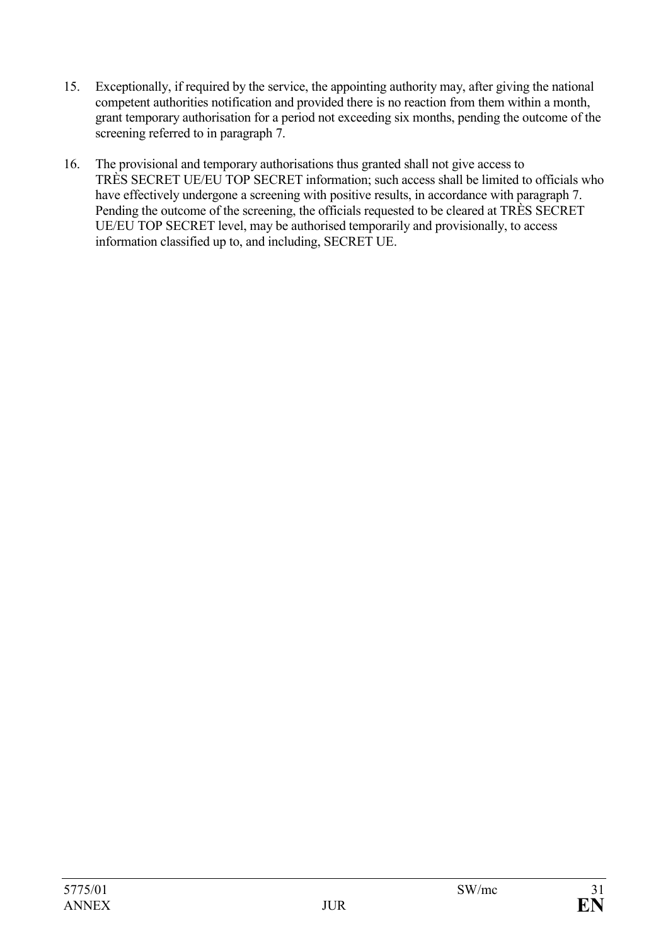- 15. Exceptionally, if required by the service, the appointing authority may, after giving the national competent authorities notification and provided there is no reaction from them within a month, grant temporary authorisation for a period not exceeding six months, pending the outcome of the screening referred to in paragraph 7.
- 16. The provisional and temporary authorisations thus granted shall not give access to TRÈS SECRET UE/EU TOP SECRET information; such access shall be limited to officials who have effectively undergone a screening with positive results, in accordance with paragraph 7. Pending the outcome of the screening, the officials requested to be cleared at TRÈS SECRET UE/EU TOP SECRET level, may be authorised temporarily and provisionally, to access information classified up to, and including, SECRET UE.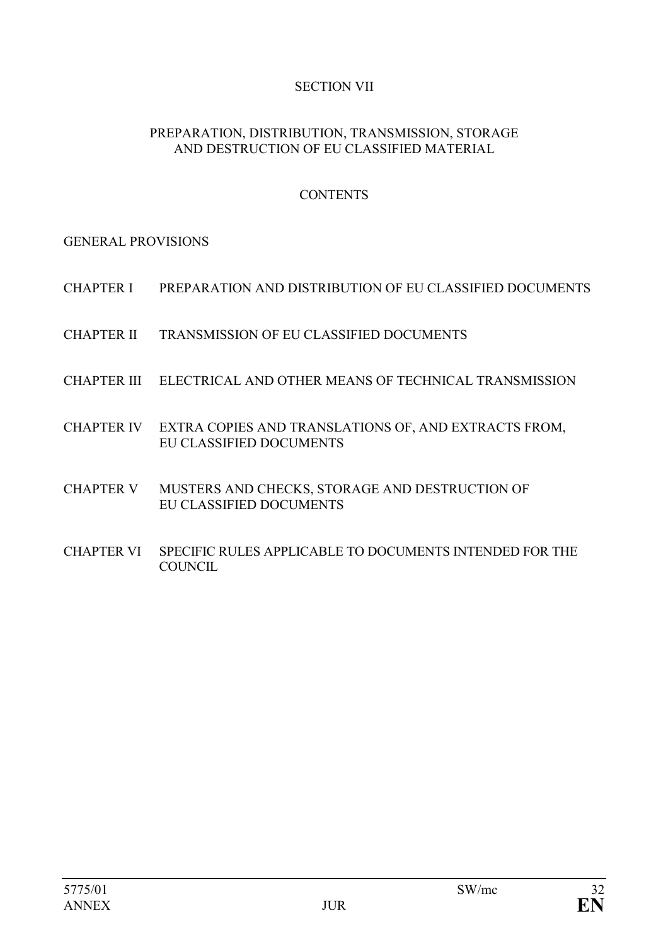# SECTION VII

#### PREPARATION, DISTRIBUTION, TRANSMISSION, STORAGE AND DESTRUCTION OF EU CLASSIFIED MATERIAL

## **CONTENTS**

GENERAL PROVISIONS

- CHAPTER I PREPARATION AND DISTRIBUTION OF EU CLASSIFIED DOCUMENTS
- CHAPTER II TRANSMISSION OF EU CLASSIFIED DOCUMENTS
- CHAPTER III ELECTRICAL AND OTHER MEANS OF TECHNICAL TRANSMISSION
- CHAPTER IV EXTRA COPIES AND TRANSLATIONS OF, AND EXTRACTS FROM, EU CLASSIFIED DOCUMENTS
- CHAPTER V MUSTERS AND CHECKS, STORAGE AND DESTRUCTION OF EU CLASSIFIED DOCUMENTS
- CHAPTER VI SPECIFIC RULES APPLICABLE TO DOCUMENTS INTENDED FOR THE **COUNCIL**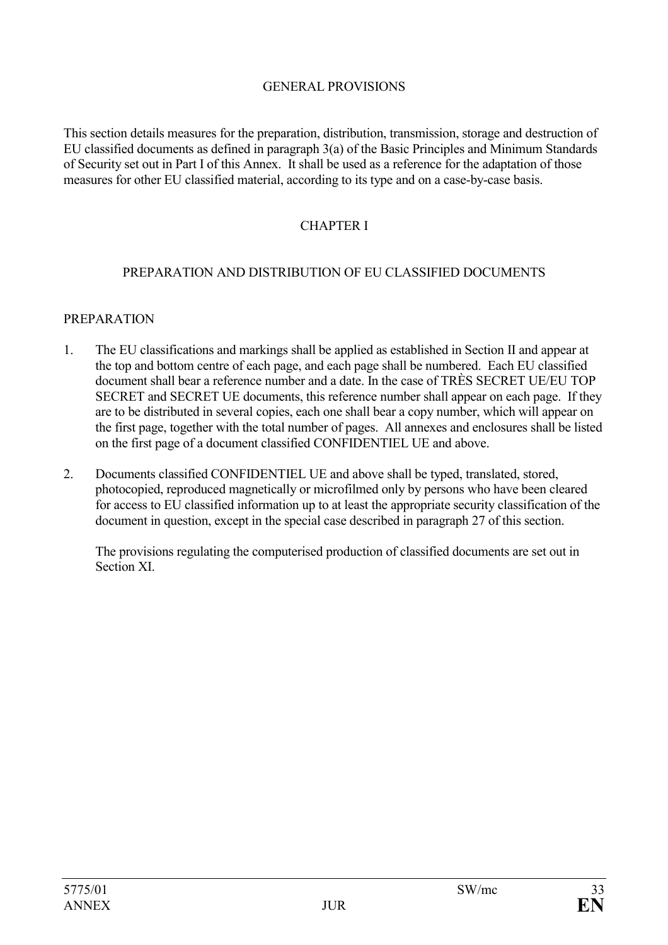#### GENERAL PROVISIONS

This section details measures for the preparation, distribution, transmission, storage and destruction of EU classified documents as defined in paragraph 3(a) of the Basic Principles and Minimum Standards of Security set out in Part I of this Annex. It shall be used as a reference for the adaptation of those measures for other EU classified material, according to its type and on a case-by-case basis.

#### CHAPTER I

#### PREPARATION AND DISTRIBUTION OF EU CLASSIFIED DOCUMENTS

#### **PREPARATION**

- 1. The EU classifications and markings shall be applied as established in Section II and appear at the top and bottom centre of each page, and each page shall be numbered. Each EU classified document shall bear a reference number and a date. In the case of TRÈS SECRET UE/EU TOP SECRET and SECRET UE documents, this reference number shall appear on each page. If they are to be distributed in several copies, each one shall bear a copy number, which will appear on the first page, together with the total number of pages. All annexes and enclosures shall be listed on the first page of a document classified CONFIDENTIEL UE and above.
- 2. Documents classified CONFIDENTIEL UE and above shall be typed, translated, stored, photocopied, reproduced magnetically or microfilmed only by persons who have been cleared for access to EU classified information up to at least the appropriate security classification of the document in question, except in the special case described in paragraph 27 of this section.

The provisions regulating the computerised production of classified documents are set out in Section XI.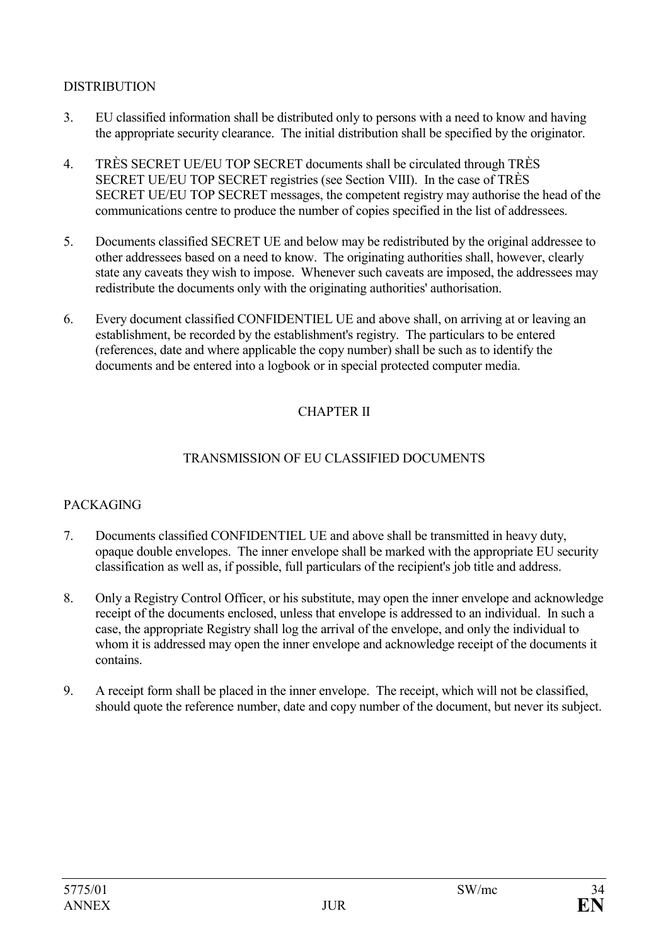### **DISTRIBUTION**

- 3. EU classified information shall be distributed only to persons with a need to know and having the appropriate security clearance. The initial distribution shall be specified by the originator.
- 4. TRÈS SECRET UE/EU TOP SECRET documents shall be circulated through TRÈS SECRET UE/EU TOP SECRET registries (see Section VIII). In the case of TRÈS SECRET UE/EU TOP SECRET messages, the competent registry may authorise the head of the communications centre to produce the number of copies specified in the list of addressees.
- 5. Documents classified SECRET UE and below may be redistributed by the original addressee to other addressees based on a need to know. The originating authorities shall, however, clearly state any caveats they wish to impose. Whenever such caveats are imposed, the addressees may redistribute the documents only with the originating authorities' authorisation.
- 6. Every document classified CONFIDENTIEL UE and above shall, on arriving at or leaving an establishment, be recorded by the establishment's registry. The particulars to be entered (references, date and where applicable the copy number) shall be such as to identify the documents and be entered into a logbook or in special protected computer media.

# CHAPTER II

#### TRANSMISSION OF EU CLASSIFIED DOCUMENTS

#### PACKAGING

- 7. Documents classified CONFIDENTIEL UE and above shall be transmitted in heavy duty, opaque double envelopes. The inner envelope shall be marked with the appropriate EU security classification as well as, if possible, full particulars of the recipient's job title and address.
- 8. Only a Registry Control Officer, or his substitute, may open the inner envelope and acknowledge receipt of the documents enclosed, unless that envelope is addressed to an individual. In such a case, the appropriate Registry shall log the arrival of the envelope, and only the individual to whom it is addressed may open the inner envelope and acknowledge receipt of the documents it contains.
- 9. A receipt form shall be placed in the inner envelope. The receipt, which will not be classified, should quote the reference number, date and copy number of the document, but never its subject.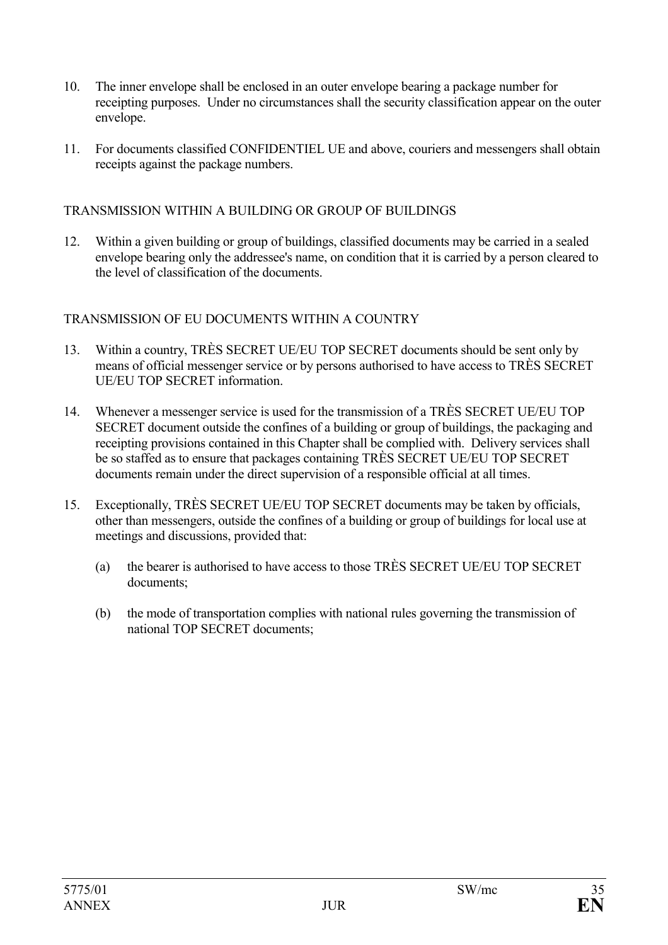- 10. The inner envelope shall be enclosed in an outer envelope bearing a package number for receipting purposes. Under no circumstances shall the security classification appear on the outer envelope.
- 11. For documents classified CONFIDENTIEL UE and above, couriers and messengers shall obtain receipts against the package numbers.

#### TRANSMISSION WITHIN A BUILDING OR GROUP OF BUILDINGS

12. Within a given building or group of buildings, classified documents may be carried in a sealed envelope bearing only the addressee's name, on condition that it is carried by a person cleared to the level of classification of the documents.

#### TRANSMISSION OF EU DOCUMENTS WITHIN A COUNTRY

- 13. Within a country, TRÈS SECRET UE/EU TOP SECRET documents should be sent only by means of official messenger service or by persons authorised to have access to TRÈS SECRET UE/EU TOP SECRET information.
- 14. Whenever a messenger service is used for the transmission of a TRÈS SECRET UE/EU TOP SECRET document outside the confines of a building or group of buildings, the packaging and receipting provisions contained in this Chapter shall be complied with. Delivery services shall be so staffed as to ensure that packages containing TRÈS SECRET UE/EU TOP SECRET documents remain under the direct supervision of a responsible official at all times.
- 15. Exceptionally, TRÈS SECRET UE/EU TOP SECRET documents may be taken by officials, other than messengers, outside the confines of a building or group of buildings for local use at meetings and discussions, provided that:
	- (a) the bearer is authorised to have access to those TRÈS SECRET UE/EU TOP SECRET documents;
	- (b) the mode of transportation complies with national rules governing the transmission of national TOP SECRET documents;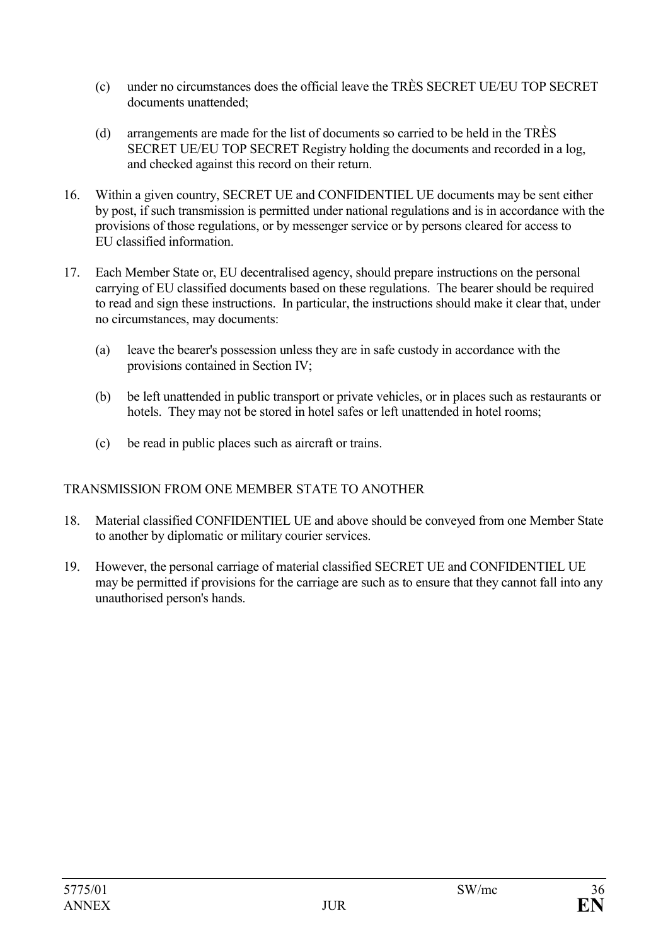- (c) under no circumstances does the official leave the TRÈS SECRET UE/EU TOP SECRET documents unattended;
- (d) arrangements are made for the list of documents so carried to be held in the TRÈS SECRET UE/EU TOP SECRET Registry holding the documents and recorded in a log, and checked against this record on their return.
- 16. Within a given country, SECRET UE and CONFIDENTIEL UE documents may be sent either by post, if such transmission is permitted under national regulations and is in accordance with the provisions of those regulations, or by messenger service or by persons cleared for access to EU classified information.
- 17. Each Member State or, EU decentralised agency, should prepare instructions on the personal carrying of EU classified documents based on these regulations. The bearer should be required to read and sign these instructions. In particular, the instructions should make it clear that, under no circumstances, may documents:
	- (a) leave the bearer's possession unless they are in safe custody in accordance with the provisions contained in Section IV;
	- (b) be left unattended in public transport or private vehicles, or in places such as restaurants or hotels. They may not be stored in hotel safes or left unattended in hotel rooms:
	- (c) be read in public places such as aircraft or trains.

# TRANSMISSION FROM ONE MEMBER STATE TO ANOTHER

- 18. Material classified CONFIDENTIEL UE and above should be conveyed from one Member State to another by diplomatic or military courier services.
- 19. However, the personal carriage of material classified SECRET UE and CONFIDENTIEL UE may be permitted if provisions for the carriage are such as to ensure that they cannot fall into any unauthorised person's hands.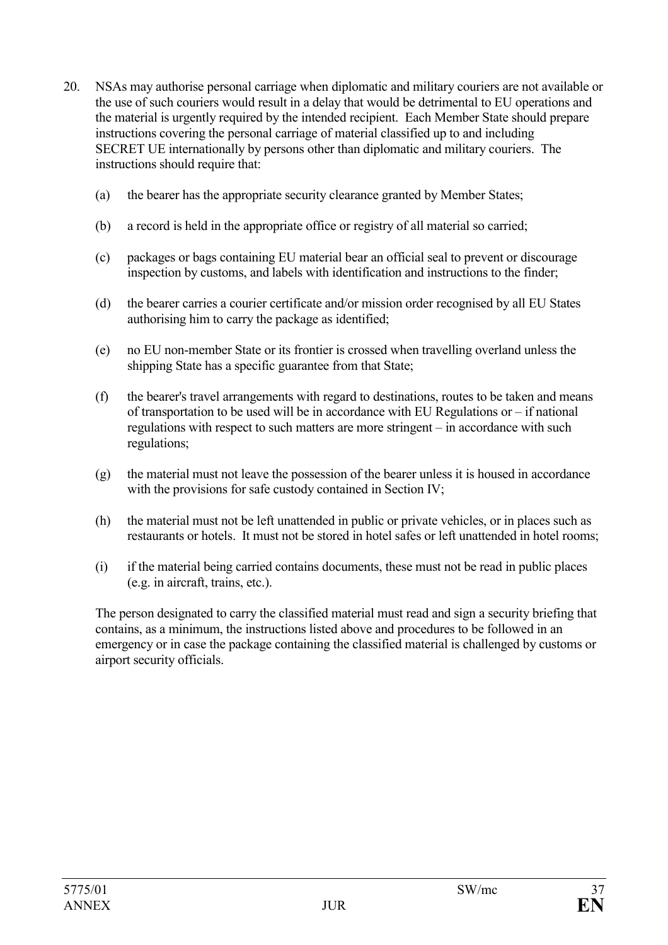- 20. NSAs may authorise personal carriage when diplomatic and military couriers are not available or the use of such couriers would result in a delay that would be detrimental to EU operations and the material is urgently required by the intended recipient. Each Member State should prepare instructions covering the personal carriage of material classified up to and including SECRET UE internationally by persons other than diplomatic and military couriers. The instructions should require that:
	- (a) the bearer has the appropriate security clearance granted by Member States;
	- (b) a record is held in the appropriate office or registry of all material so carried;
	- (c) packages or bags containing EU material bear an official seal to prevent or discourage inspection by customs, and labels with identification and instructions to the finder;
	- (d) the bearer carries a courier certificate and/or mission order recognised by all EU States authorising him to carry the package as identified;
	- (e) no EU non-member State or its frontier is crossed when travelling overland unless the shipping State has a specific guarantee from that State;
	- (f) the bearer's travel arrangements with regard to destinations, routes to be taken and means of transportation to be used will be in accordance with EU Regulations or – if national regulations with respect to such matters are more stringent – in accordance with such regulations;
	- (g) the material must not leave the possession of the bearer unless it is housed in accordance with the provisions for safe custody contained in Section IV;
	- (h) the material must not be left unattended in public or private vehicles, or in places such as restaurants or hotels. It must not be stored in hotel safes or left unattended in hotel rooms;
	- (i) if the material being carried contains documents, these must not be read in public places (e.g. in aircraft, trains, etc.).

The person designated to carry the classified material must read and sign a security briefing that contains, as a minimum, the instructions listed above and procedures to be followed in an emergency or in case the package containing the classified material is challenged by customs or airport security officials.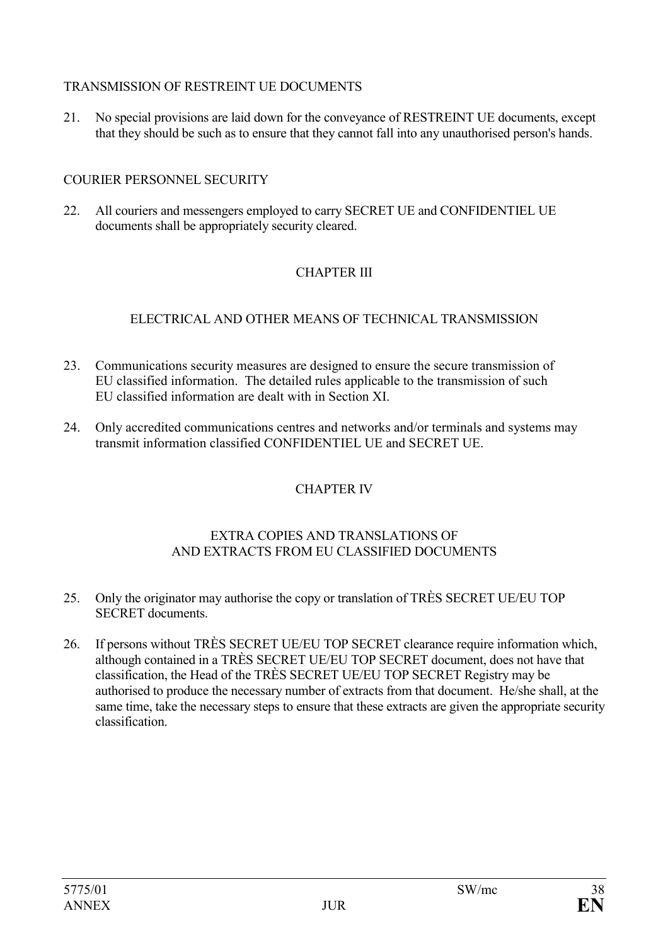### TRANSMISSION OF RESTREINT UE DOCUMENTS

21. No special provisions are laid down for the conveyance of RESTREINT UE documents, except that they should be such as to ensure that they cannot fall into any unauthorised person's hands.

# COURIER PERSONNEL SECURITY

22. All couriers and messengers employed to carry SECRET UE and CONFIDENTIEL UE documents shall be appropriately security cleared.

# CHAPTER III

# ELECTRICAL AND OTHER MEANS OF TECHNICAL TRANSMISSION

- 23. Communications security measures are designed to ensure the secure transmission of EU classified information. The detailed rules applicable to the transmission of such EU classified information are dealt with in Section XI.
- 24. Only accredited communications centres and networks and/or terminals and systems may transmit information classified CONFIDENTIEL UE and SECRET UE.

# CHAPTER IV

### EXTRA COPIES AND TRANSLATIONS OF AND EXTRACTS FROM EU CLASSIFIED DOCUMENTS

- 25. Only the originator may authorise the copy or translation of TRÈS SECRET UE/EU TOP SECRET documents.
- 26. If persons without TRÈS SECRET UE/EU TOP SECRET clearance require information which, although contained in a TRÈS SECRET UE/EU TOP SECRET document, does not have that classification, the Head of the TRÈS SECRET UE/EU TOP SECRET Registry may be authorised to produce the necessary number of extracts from that document. He/she shall, at the same time, take the necessary steps to ensure that these extracts are given the appropriate security classification.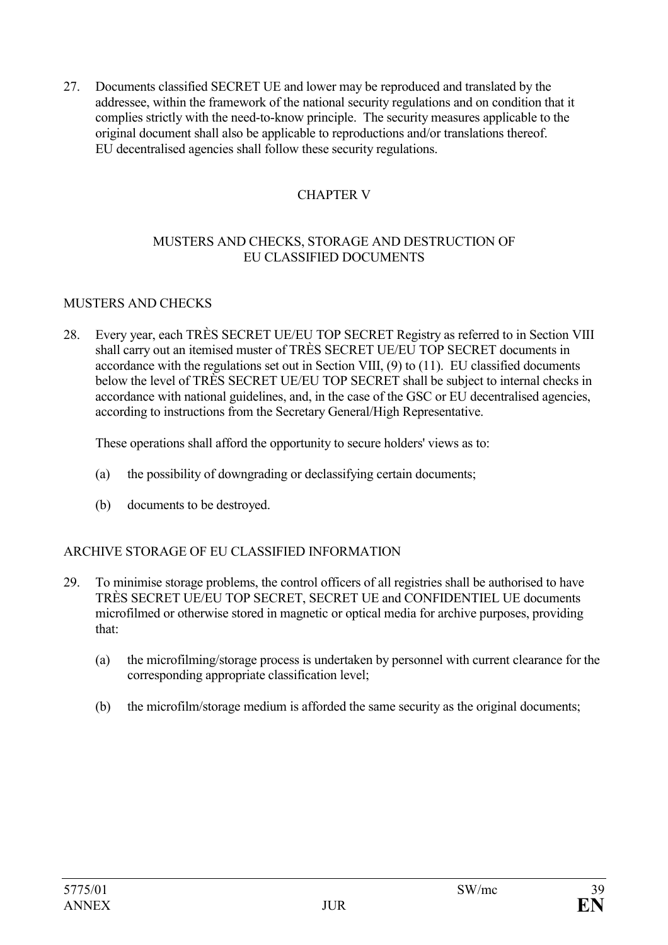27. Documents classified SECRET UE and lower may be reproduced and translated by the addressee, within the framework of the national security regulations and on condition that it complies strictly with the need-to-know principle. The security measures applicable to the original document shall also be applicable to reproductions and/or translations thereof. EU decentralised agencies shall follow these security regulations.

# CHAPTER V

#### MUSTERS AND CHECKS, STORAGE AND DESTRUCTION OF EU CLASSIFIED DOCUMENTS

#### MUSTERS AND CHECKS

28. Every year, each TRÈS SECRET UE/EU TOP SECRET Registry as referred to in Section VIII shall carry out an itemised muster of TRÈS SECRET UE/EU TOP SECRET documents in accordance with the regulations set out in Section VIII, (9) to (11). EU classified documents below the level of TRÈS SECRET UE/EU TOP SECRET shall be subject to internal checks in accordance with national guidelines, and, in the case of the GSC or EU decentralised agencies, according to instructions from the Secretary General/High Representative.

These operations shall afford the opportunity to secure holders' views as to:

- (a) the possibility of downgrading or declassifying certain documents;
- (b) documents to be destroyed.

### ARCHIVE STORAGE OF EU CLASSIFIED INFORMATION

- 29. To minimise storage problems, the control officers of all registries shall be authorised to have TRÈS SECRET UE/EU TOP SECRET, SECRET UE and CONFIDENTIEL UE documents microfilmed or otherwise stored in magnetic or optical media for archive purposes, providing that:
	- (a) the microfilming/storage process is undertaken by personnel with current clearance for the corresponding appropriate classification level;
	- (b) the microfilm/storage medium is afforded the same security as the original documents;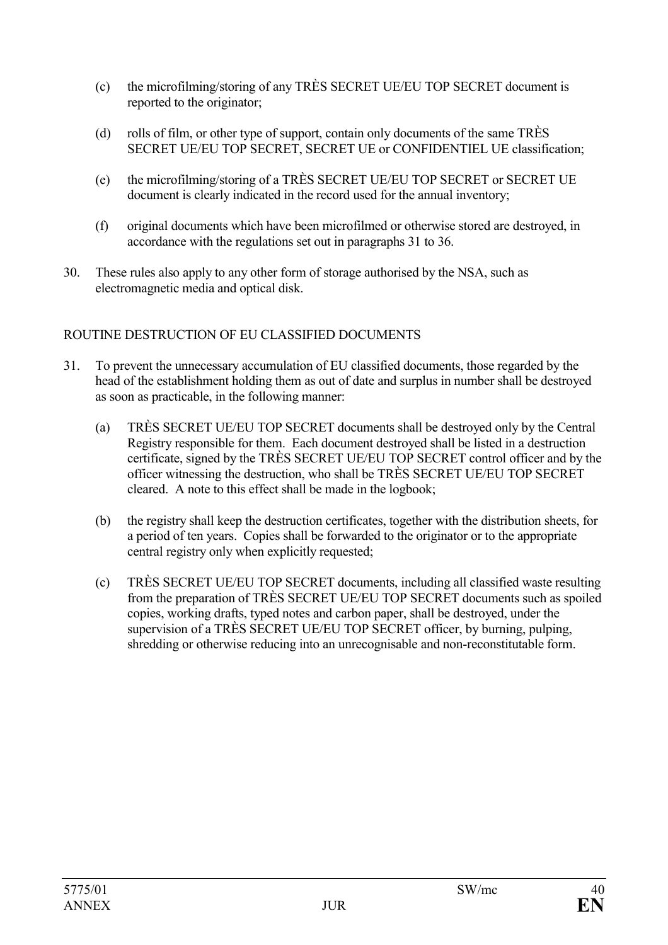- (c) the microfilming/storing of any TRÈS SECRET UE/EU TOP SECRET document is reported to the originator;
- (d) rolls of film, or other type of support, contain only documents of the same TRÈS SECRET UE/EU TOP SECRET, SECRET UE or CONFIDENTIEL UE classification;
- (e) the microfilming/storing of a TRÈS SECRET UE/EU TOP SECRET or SECRET UE document is clearly indicated in the record used for the annual inventory;
- (f) original documents which have been microfilmed or otherwise stored are destroyed, in accordance with the regulations set out in paragraphs 31 to 36.
- 30. These rules also apply to any other form of storage authorised by the NSA, such as electromagnetic media and optical disk.

# ROUTINE DESTRUCTION OF EU CLASSIFIED DOCUMENTS

- 31. To prevent the unnecessary accumulation of EU classified documents, those regarded by the head of the establishment holding them as out of date and surplus in number shall be destroyed as soon as practicable, in the following manner:
	- (a) TRÈS SECRET UE/EU TOP SECRET documents shall be destroyed only by the Central Registry responsible for them. Each document destroyed shall be listed in a destruction certificate, signed by the TRÈS SECRET UE/EU TOP SECRET control officer and by the officer witnessing the destruction, who shall be TRÈS SECRET UE/EU TOP SECRET cleared. A note to this effect shall be made in the logbook;
	- (b) the registry shall keep the destruction certificates, together with the distribution sheets, for a period of ten years. Copies shall be forwarded to the originator or to the appropriate central registry only when explicitly requested;
	- (c) TRÈS SECRET UE/EU TOP SECRET documents, including all classified waste resulting from the preparation of TRÈS SECRET UE/EU TOP SECRET documents such as spoiled copies, working drafts, typed notes and carbon paper, shall be destroyed, under the supervision of a TRÈS SECRET UE/EU TOP SECRET officer, by burning, pulping, shredding or otherwise reducing into an unrecognisable and non-reconstitutable form.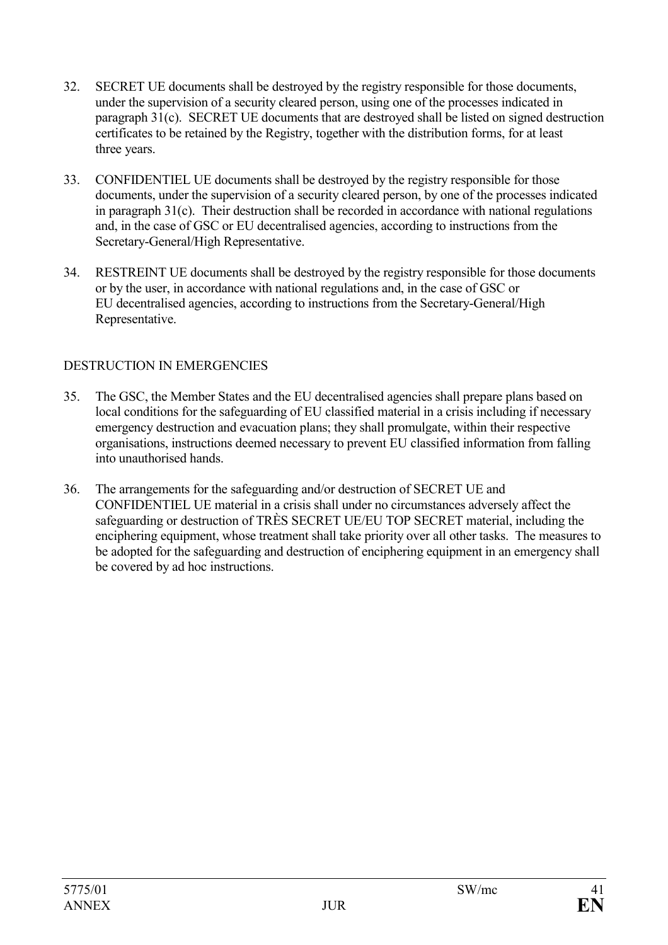- 32. SECRET UE documents shall be destroyed by the registry responsible for those documents, under the supervision of a security cleared person, using one of the processes indicated in paragraph 31(c). SECRET UE documents that are destroyed shall be listed on signed destruction certificates to be retained by the Registry, together with the distribution forms, for at least three years.
- 33. CONFIDENTIEL UE documents shall be destroyed by the registry responsible for those documents, under the supervision of a security cleared person, by one of the processes indicated in paragraph 31(c). Their destruction shall be recorded in accordance with national regulations and, in the case of GSC or EU decentralised agencies, according to instructions from the Secretary-General/High Representative.
- 34. RESTREINT UE documents shall be destroyed by the registry responsible for those documents or by the user, in accordance with national regulations and, in the case of GSC or EU decentralised agencies, according to instructions from the Secretary-General/High Representative.

# DESTRUCTION IN EMERGENCIES

- 35. The GSC, the Member States and the EU decentralised agencies shall prepare plans based on local conditions for the safeguarding of EU classified material in a crisis including if necessary emergency destruction and evacuation plans; they shall promulgate, within their respective organisations, instructions deemed necessary to prevent EU classified information from falling into unauthorised hands.
- 36. The arrangements for the safeguarding and/or destruction of SECRET UE and CONFIDENTIEL UE material in a crisis shall under no circumstances adversely affect the safeguarding or destruction of TRÈS SECRET UE/EU TOP SECRET material, including the enciphering equipment, whose treatment shall take priority over all other tasks. The measures to be adopted for the safeguarding and destruction of enciphering equipment in an emergency shall be covered by ad hoc instructions.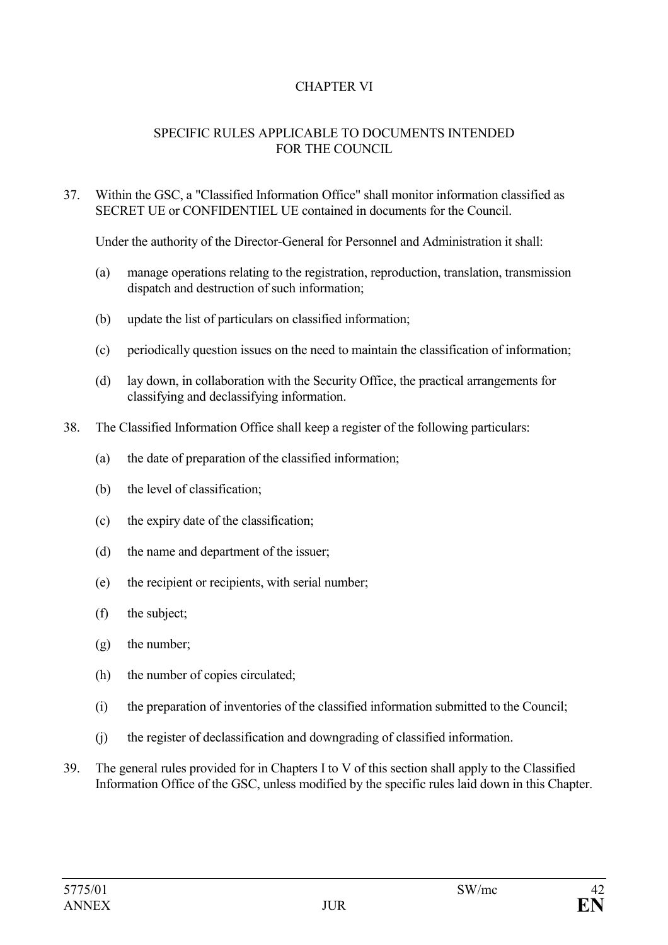# CHAPTER VI

#### SPECIFIC RULES APPLICABLE TO DOCUMENTS INTENDED FOR THE COUNCIL

#### 37. Within the GSC, a "Classified Information Office" shall monitor information classified as SECRET UE or CONFIDENTIEL UE contained in documents for the Council.

Under the authority of the Director-General for Personnel and Administration it shall:

- (a) manage operations relating to the registration, reproduction, translation, transmission dispatch and destruction of such information;
- (b) update the list of particulars on classified information;
- (c) periodically question issues on the need to maintain the classification of information;
- (d) lay down, in collaboration with the Security Office, the practical arrangements for classifying and declassifying information.
- 38. The Classified Information Office shall keep a register of the following particulars:
	- (a) the date of preparation of the classified information;
	- (b) the level of classification;
	- (c) the expiry date of the classification;
	- (d) the name and department of the issuer;
	- (e) the recipient or recipients, with serial number;
	- (f) the subject;
	- (g) the number;
	- (h) the number of copies circulated;
	- (i) the preparation of inventories of the classified information submitted to the Council;
	- (j) the register of declassification and downgrading of classified information.
- 39. The general rules provided for in Chapters I to V of this section shall apply to the Classified Information Office of the GSC, unless modified by the specific rules laid down in this Chapter.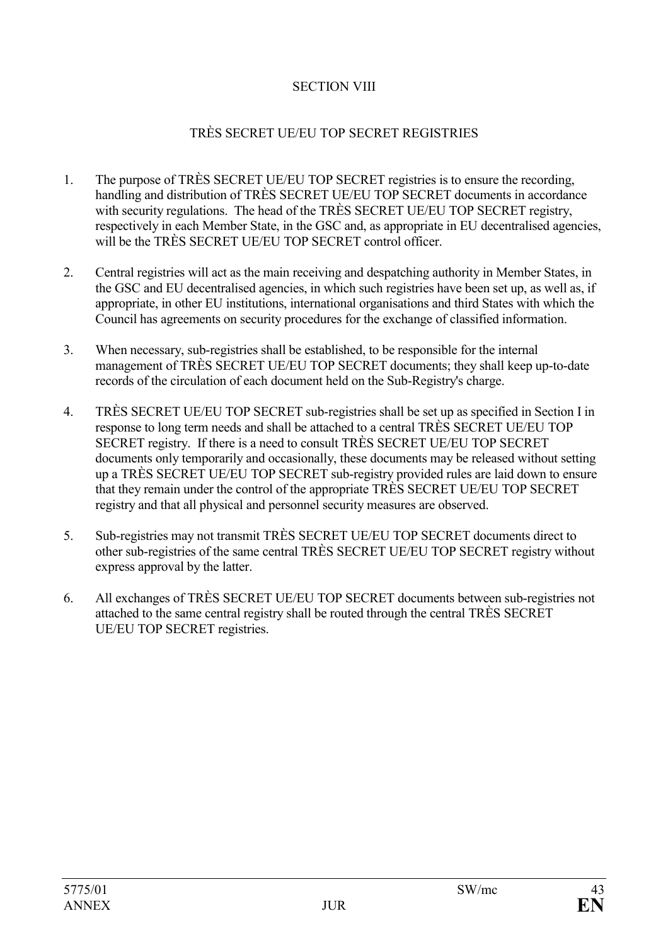## SECTION VIII

# TRÈS SECRET UE/EU TOP SECRET REGISTRIES

- 1. The purpose of TRÈS SECRET UE/EU TOP SECRET registries is to ensure the recording, handling and distribution of TRÈS SECRET UE/EU TOP SECRET documents in accordance with security regulations. The head of the TRÈS SECRET UE/EU TOP SECRET registry, respectively in each Member State, in the GSC and, as appropriate in EU decentralised agencies, will be the TRÈS SECRET UE/EU TOP SECRET control officer
- 2. Central registries will act as the main receiving and despatching authority in Member States, in the GSC and EU decentralised agencies, in which such registries have been set up, as well as, if appropriate, in other EU institutions, international organisations and third States with which the Council has agreements on security procedures for the exchange of classified information.
- 3. When necessary, sub-registries shall be established, to be responsible for the internal management of TRÈS SECRET UE/EU TOP SECRET documents; they shall keep up-to-date records of the circulation of each document held on the Sub-Registry's charge.
- 4. TRÈS SECRET UE/EU TOP SECRET sub-registries shall be set up as specified in Section I in response to long term needs and shall be attached to a central TRÈS SECRET UE/EU TOP SECRET registry. If there is a need to consult TRÈS SECRET UE/EU TOP SECRET documents only temporarily and occasionally, these documents may be released without setting up a TRÈS SECRET UE/EU TOP SECRET sub-registry provided rules are laid down to ensure that they remain under the control of the appropriate TRÈS SECRET UE/EU TOP SECRET registry and that all physical and personnel security measures are observed.
- 5. Sub-registries may not transmit TRÈS SECRET UE/EU TOP SECRET documents direct to other sub-registries of the same central TRÈS SECRET UE/EU TOP SECRET registry without express approval by the latter.
- 6. All exchanges of TRÈS SECRET UE/EU TOP SECRET documents between sub-registries not attached to the same central registry shall be routed through the central TRÈS SECRET UE/EU TOP SECRET registries.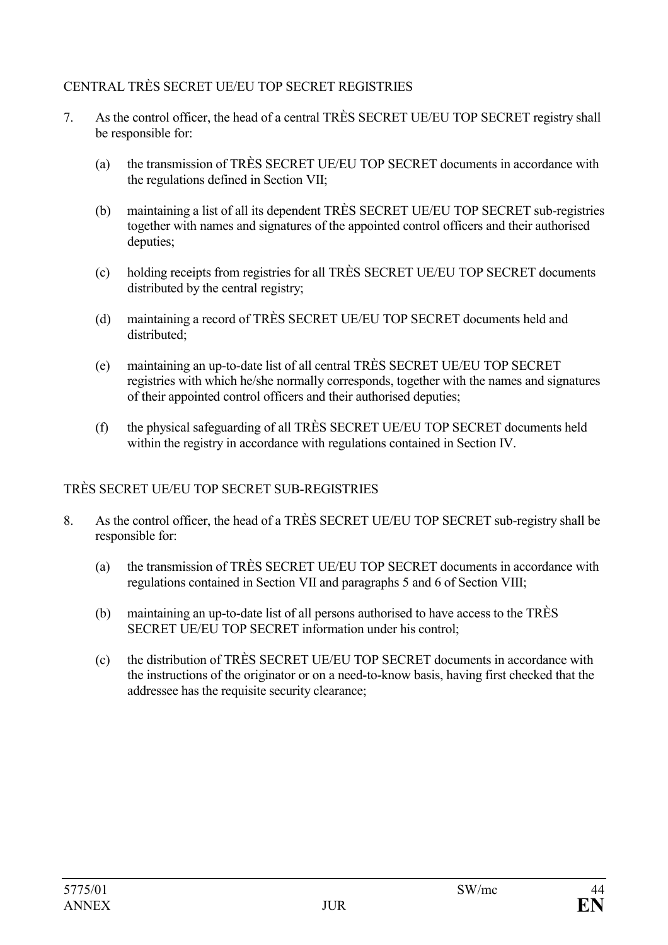## CENTRAL TRÈS SECRET UE/EU TOP SECRET REGISTRIES

- 7. As the control officer, the head of a central TRÈS SECRET UE/EU TOP SECRET registry shall be responsible for:
	- (a) the transmission of TRÈS SECRET UE/EU TOP SECRET documents in accordance with the regulations defined in Section VII;
	- (b) maintaining a list of all its dependent TRÈS SECRET UE/EU TOP SECRET sub-registries together with names and signatures of the appointed control officers and their authorised deputies;
	- (c) holding receipts from registries for all TRÈS SECRET UE/EU TOP SECRET documents distributed by the central registry;
	- (d) maintaining a record of TRÈS SECRET UE/EU TOP SECRET documents held and distributed;
	- (e) maintaining an up-to-date list of all central TRÈS SECRET UE/EU TOP SECRET registries with which he/she normally corresponds, together with the names and signatures of their appointed control officers and their authorised deputies;
	- (f) the physical safeguarding of all TRÈS SECRET UE/EU TOP SECRET documents held within the registry in accordance with regulations contained in Section IV.

### TRÈS SECRET UE/EU TOP SECRET SUB-REGISTRIES

- 8. As the control officer, the head of a TRÈS SECRET UE/EU TOP SECRET sub-registry shall be responsible for:
	- (a) the transmission of TRÈS SECRET UE/EU TOP SECRET documents in accordance with regulations contained in Section VII and paragraphs 5 and 6 of Section VIII;
	- (b) maintaining an up-to-date list of all persons authorised to have access to the TRÈS SECRET UE/EU TOP SECRET information under his control;
	- (c) the distribution of TRÈS SECRET UE/EU TOP SECRET documents in accordance with the instructions of the originator or on a need-to-know basis, having first checked that the addressee has the requisite security clearance;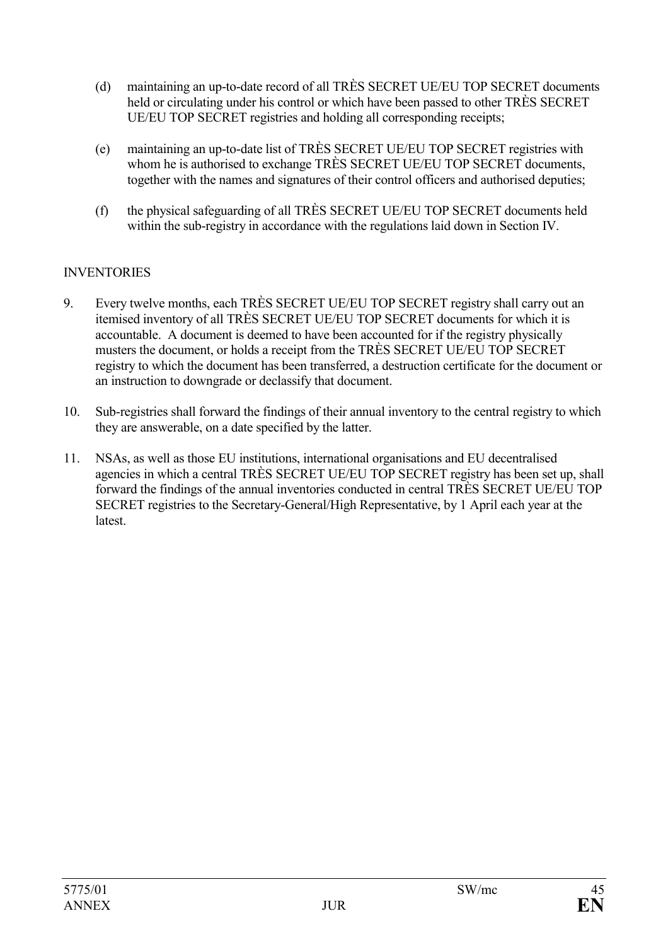- (d) maintaining an up-to-date record of all TRÈS SECRET UE/EU TOP SECRET documents held or circulating under his control or which have been passed to other TRÈS SECRET UE/EU TOP SECRET registries and holding all corresponding receipts;
- (e) maintaining an up-to-date list of TRÈS SECRET UE/EU TOP SECRET registries with whom he is authorised to exchange TRÈS SECRET UE/EU TOP SECRET documents, together with the names and signatures of their control officers and authorised deputies;
- (f) the physical safeguarding of all TRÈS SECRET UE/EU TOP SECRET documents held within the sub-registry in accordance with the regulations laid down in Section IV.

### **INVENTORIES**

- 9. Every twelve months, each TRÈS SECRET UE/EU TOP SECRET registry shall carry out an itemised inventory of all TRÈS SECRET UE/EU TOP SECRET documents for which it is accountable. A document is deemed to have been accounted for if the registry physically musters the document, or holds a receipt from the TRÈS SECRET UE/EU TOP SECRET registry to which the document has been transferred, a destruction certificate for the document or an instruction to downgrade or declassify that document.
- 10. Sub-registries shall forward the findings of their annual inventory to the central registry to which they are answerable, on a date specified by the latter.
- 11. NSAs, as well as those EU institutions, international organisations and EU decentralised agencies in which a central TRÈS SECRET UE/EU TOP SECRET registry has been set up, shall forward the findings of the annual inventories conducted in central TRÈS SECRET UE/EU TOP SECRET registries to the Secretary-General/High Representative, by 1 April each year at the **latest**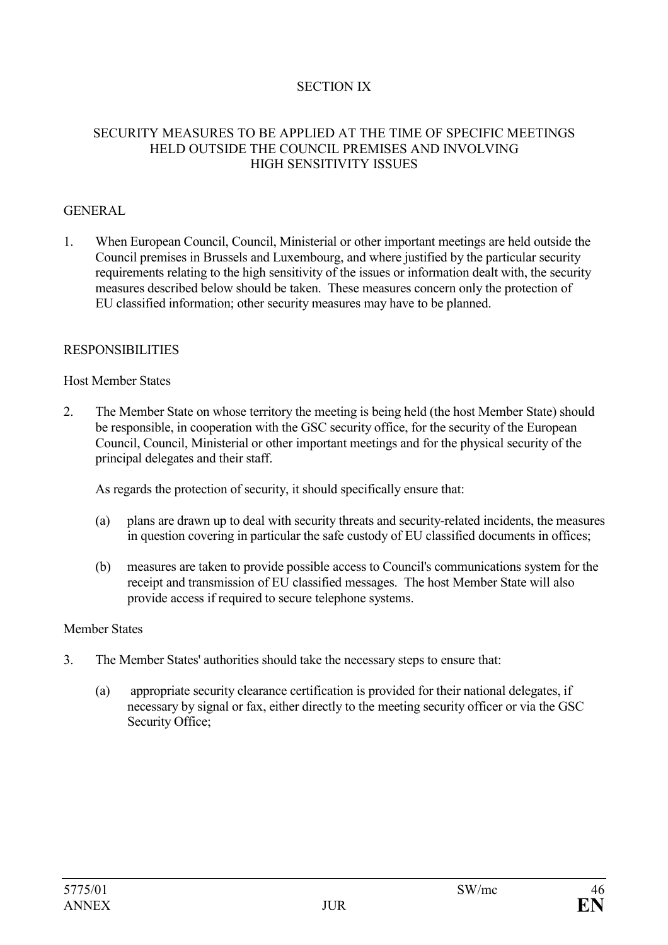### SECTION IX

#### SECURITY MEASURES TO BE APPLIED AT THE TIME OF SPECIFIC MEETINGS HELD OUTSIDE THE COUNCIL PREMISES AND INVOLVING HIGH SENSITIVITY ISSUES

#### GENERAL

1. When European Council, Council, Ministerial or other important meetings are held outside the Council premises in Brussels and Luxembourg, and where justified by the particular security requirements relating to the high sensitivity of the issues or information dealt with, the security measures described below should be taken. These measures concern only the protection of EU classified information; other security measures may have to be planned.

#### RESPONSIBILITIES

#### Host Member States

2. The Member State on whose territory the meeting is being held (the host Member State) should be responsible, in cooperation with the GSC security office, for the security of the European Council, Council, Ministerial or other important meetings and for the physical security of the principal delegates and their staff.

As regards the protection of security, it should specifically ensure that:

- (a) plans are drawn up to deal with security threats and security-related incidents, the measures in question covering in particular the safe custody of EU classified documents in offices;
- (b) measures are taken to provide possible access to Council's communications system for the receipt and transmission of EU classified messages. The host Member State will also provide access if required to secure telephone systems.

#### Member States

- 3. The Member States' authorities should take the necessary steps to ensure that:
	- (a) appropriate security clearance certification is provided for their national delegates, if necessary by signal or fax, either directly to the meeting security officer or via the GSC Security Office;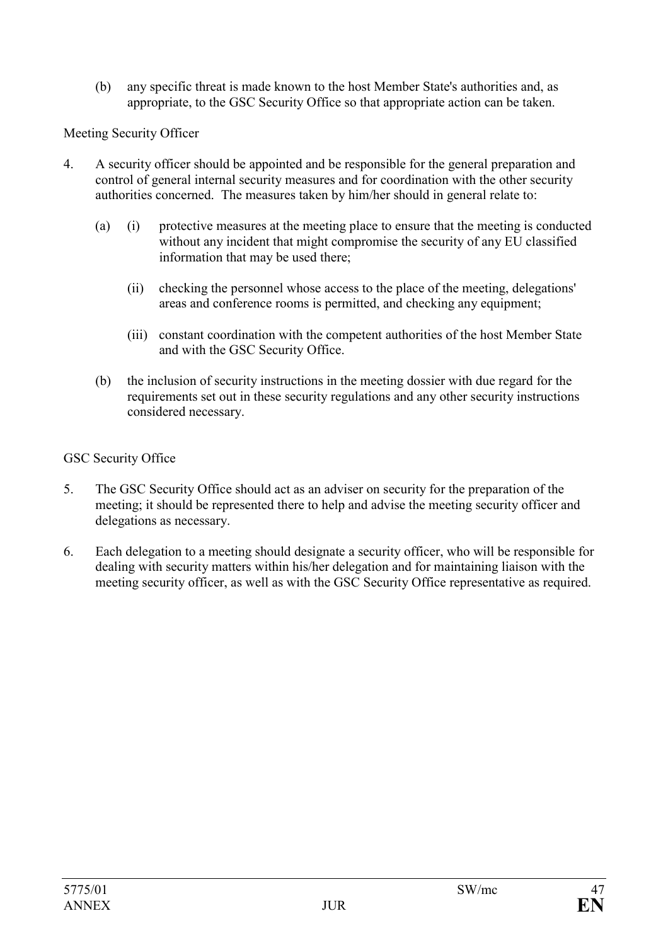(b) any specific threat is made known to the host Member State's authorities and, as appropriate, to the GSC Security Office so that appropriate action can be taken.

### Meeting Security Officer

- 4. A security officer should be appointed and be responsible for the general preparation and control of general internal security measures and for coordination with the other security authorities concerned. The measures taken by him/her should in general relate to:
	- (a) (i) protective measures at the meeting place to ensure that the meeting is conducted without any incident that might compromise the security of any EU classified information that may be used there;
		- (ii) checking the personnel whose access to the place of the meeting, delegations' areas and conference rooms is permitted, and checking any equipment;
		- (iii) constant coordination with the competent authorities of the host Member State and with the GSC Security Office.
	- (b) the inclusion of security instructions in the meeting dossier with due regard for the requirements set out in these security regulations and any other security instructions considered necessary.

#### GSC Security Office

- 5. The GSC Security Office should act as an adviser on security for the preparation of the meeting; it should be represented there to help and advise the meeting security officer and delegations as necessary.
- 6. Each delegation to a meeting should designate a security officer, who will be responsible for dealing with security matters within his/her delegation and for maintaining liaison with the meeting security officer, as well as with the GSC Security Office representative as required.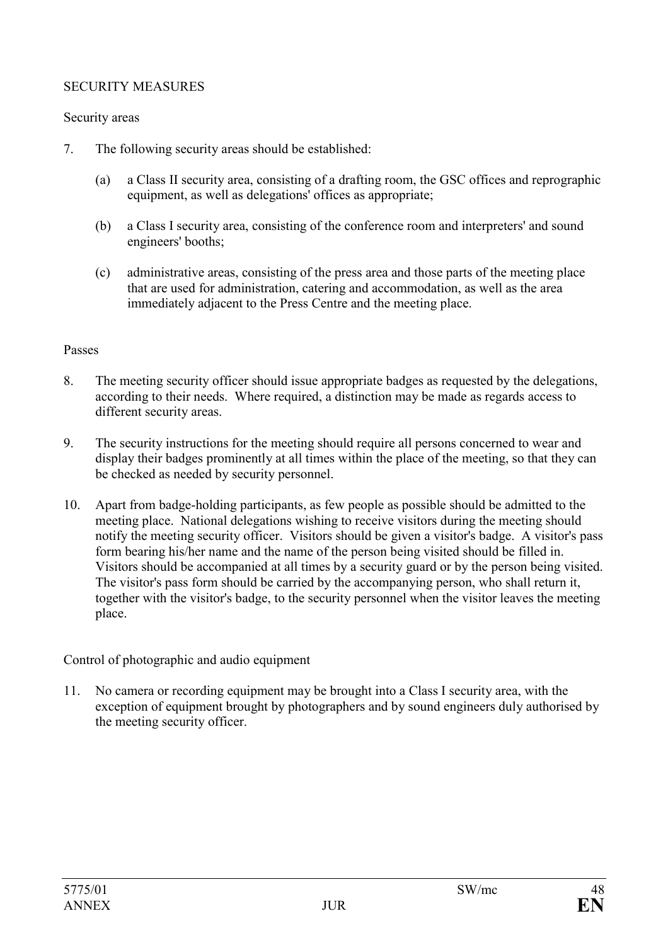### SECURITY MEASURES

#### Security areas

- 7. The following security areas should be established:
	- (a) a Class II security area, consisting of a drafting room, the GSC offices and reprographic equipment, as well as delegations' offices as appropriate;
	- (b) a Class I security area, consisting of the conference room and interpreters' and sound engineers' booths;
	- (c) administrative areas, consisting of the press area and those parts of the meeting place that are used for administration, catering and accommodation, as well as the area immediately adjacent to the Press Centre and the meeting place.

#### Passes

- 8. The meeting security officer should issue appropriate badges as requested by the delegations, according to their needs. Where required, a distinction may be made as regards access to different security areas.
- 9. The security instructions for the meeting should require all persons concerned to wear and display their badges prominently at all times within the place of the meeting, so that they can be checked as needed by security personnel.
- 10. Apart from badge-holding participants, as few people as possible should be admitted to the meeting place. National delegations wishing to receive visitors during the meeting should notify the meeting security officer. Visitors should be given a visitor's badge. A visitor's pass form bearing his/her name and the name of the person being visited should be filled in. Visitors should be accompanied at all times by a security guard or by the person being visited. The visitor's pass form should be carried by the accompanying person, who shall return it, together with the visitor's badge, to the security personnel when the visitor leaves the meeting place.

#### Control of photographic and audio equipment

11. No camera or recording equipment may be brought into a Class I security area, with the exception of equipment brought by photographers and by sound engineers duly authorised by the meeting security officer.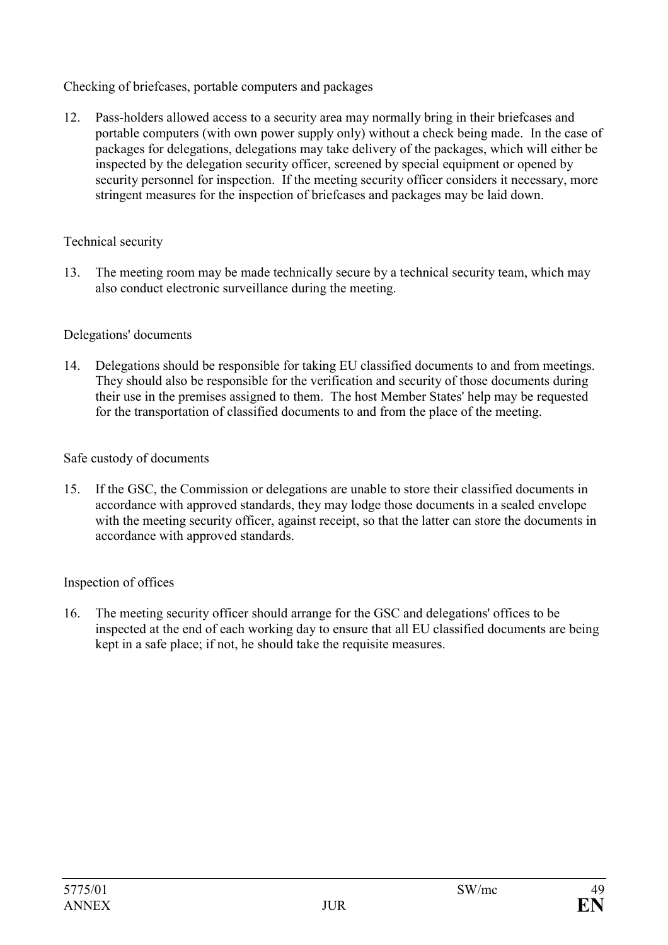Checking of briefcases, portable computers and packages

12. Pass-holders allowed access to a security area may normally bring in their briefcases and portable computers (with own power supply only) without a check being made. In the case of packages for delegations, delegations may take delivery of the packages, which will either be inspected by the delegation security officer, screened by special equipment or opened by security personnel for inspection. If the meeting security officer considers it necessary, more stringent measures for the inspection of briefcases and packages may be laid down.

### Technical security

13. The meeting room may be made technically secure by a technical security team, which may also conduct electronic surveillance during the meeting.

#### Delegations' documents

14. Delegations should be responsible for taking EU classified documents to and from meetings. They should also be responsible for the verification and security of those documents during their use in the premises assigned to them. The host Member States' help may be requested for the transportation of classified documents to and from the place of the meeting.

#### Safe custody of documents

15. If the GSC, the Commission or delegations are unable to store their classified documents in accordance with approved standards, they may lodge those documents in a sealed envelope with the meeting security officer, against receipt, so that the latter can store the documents in accordance with approved standards.

### Inspection of offices

16. The meeting security officer should arrange for the GSC and delegations' offices to be inspected at the end of each working day to ensure that all EU classified documents are being kept in a safe place; if not, he should take the requisite measures.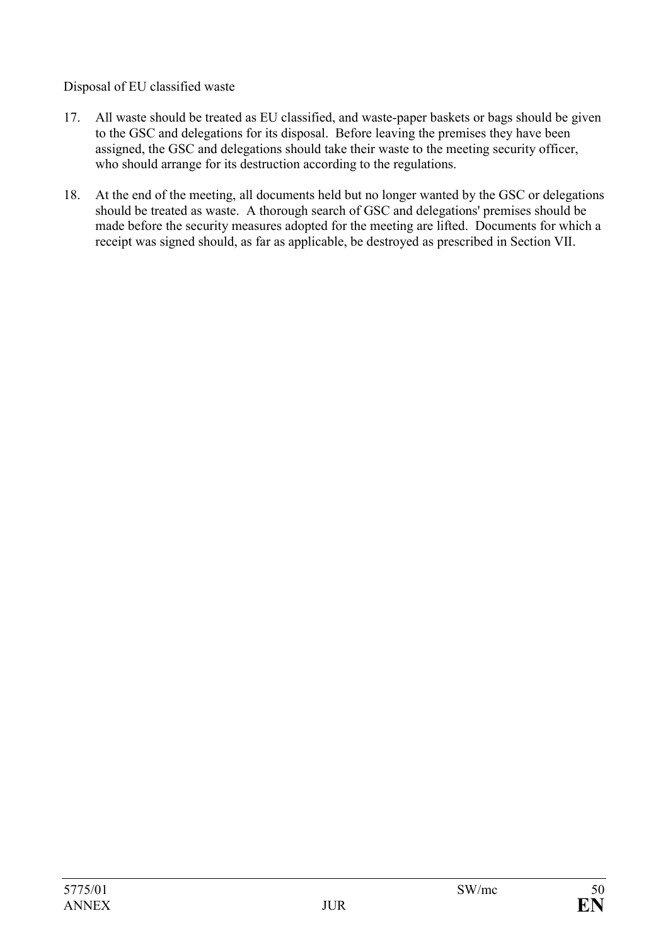Disposal of EU classified waste

- 17. All waste should be treated as EU classified, and waste-paper baskets or bags should be given to the GSC and delegations for its disposal. Before leaving the premises they have been assigned, the GSC and delegations should take their waste to the meeting security officer, who should arrange for its destruction according to the regulations.
- 18. At the end of the meeting, all documents held but no longer wanted by the GSC or delegations should be treated as waste. A thorough search of GSC and delegations' premises should be made before the security measures adopted for the meeting are lifted. Documents for which a receipt was signed should, as far as applicable, be destroyed as prescribed in Section VII.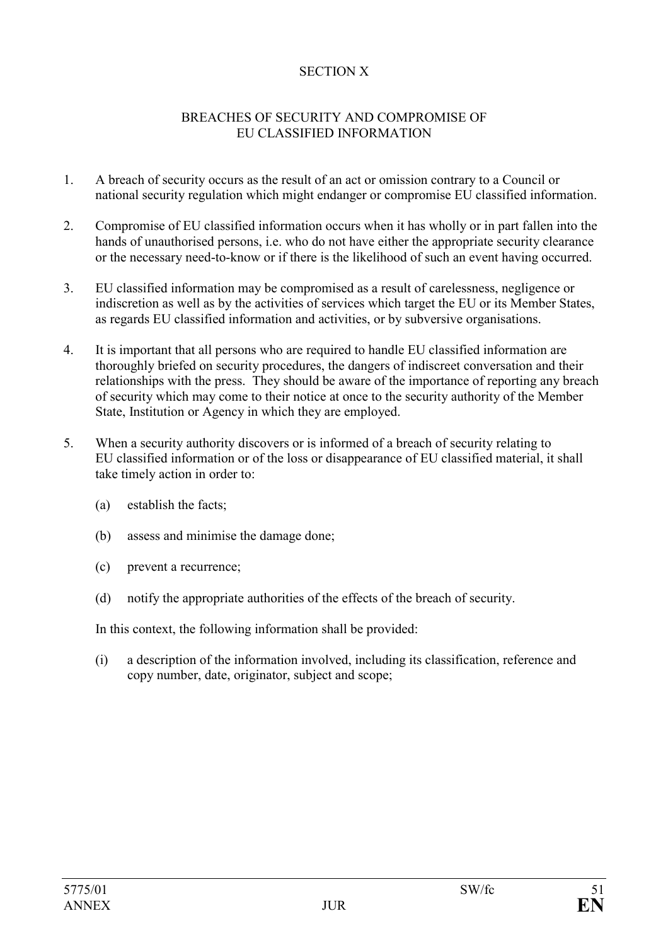### SECTION X

#### BREACHES OF SECURITY AND COMPROMISE OF EU CLASSIFIED INFORMATION

- 1. A breach of security occurs as the result of an act or omission contrary to a Council or national security regulation which might endanger or compromise EU classified information.
- 2. Compromise of EU classified information occurs when it has wholly or in part fallen into the hands of unauthorised persons, i.e. who do not have either the appropriate security clearance or the necessary need-to-know or if there is the likelihood of such an event having occurred.
- 3. EU classified information may be compromised as a result of carelessness, negligence or indiscretion as well as by the activities of services which target the EU or its Member States, as regards EU classified information and activities, or by subversive organisations.
- 4. It is important that all persons who are required to handle EU classified information are thoroughly briefed on security procedures, the dangers of indiscreet conversation and their relationships with the press. They should be aware of the importance of reporting any breach of security which may come to their notice at once to the security authority of the Member State, Institution or Agency in which they are employed.
- 5. When a security authority discovers or is informed of a breach of security relating to EU classified information or of the loss or disappearance of EU classified material, it shall take timely action in order to:
	- (a) establish the facts;
	- (b) assess and minimise the damage done;
	- (c) prevent a recurrence;
	- (d) notify the appropriate authorities of the effects of the breach of security.

In this context, the following information shall be provided:

(i) a description of the information involved, including its classification, reference and copy number, date, originator, subject and scope;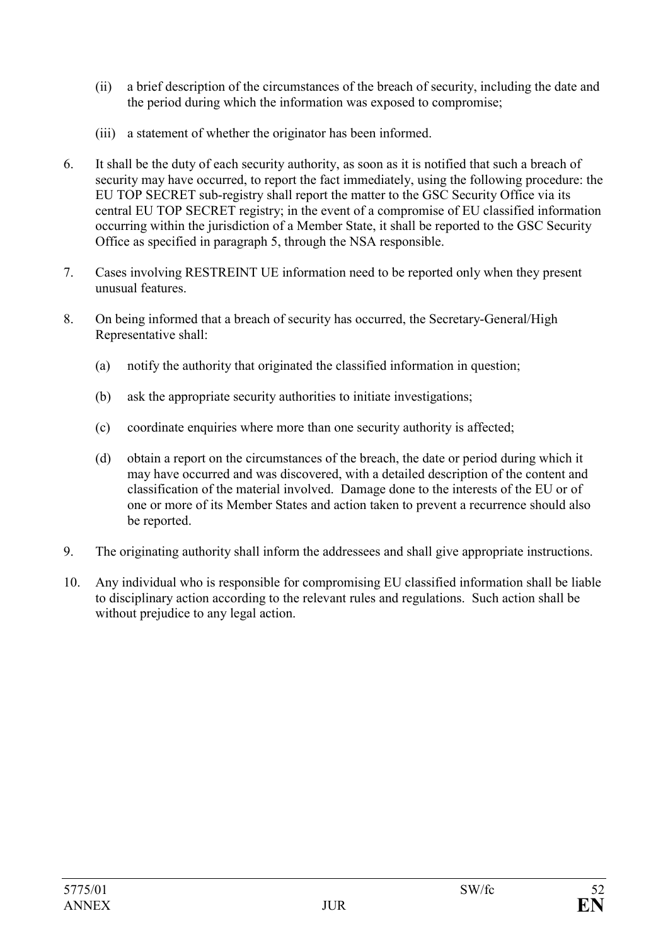- (ii) a brief description of the circumstances of the breach of security, including the date and the period during which the information was exposed to compromise;
- (iii) a statement of whether the originator has been informed.
- 6. It shall be the duty of each security authority, as soon as it is notified that such a breach of security may have occurred, to report the fact immediately, using the following procedure: the EU TOP SECRET sub-registry shall report the matter to the GSC Security Office via its central EU TOP SECRET registry; in the event of a compromise of EU classified information occurring within the jurisdiction of a Member State, it shall be reported to the GSC Security Office as specified in paragraph 5, through the NSA responsible.
- 7. Cases involving RESTREINT UE information need to be reported only when they present unusual features.
- 8. On being informed that a breach of security has occurred, the Secretary-General/High Representative shall:
	- (a) notify the authority that originated the classified information in question;
	- (b) ask the appropriate security authorities to initiate investigations;
	- (c) coordinate enquiries where more than one security authority is affected;
	- (d) obtain a report on the circumstances of the breach, the date or period during which it may have occurred and was discovered, with a detailed description of the content and classification of the material involved. Damage done to the interests of the EU or of one or more of its Member States and action taken to prevent a recurrence should also be reported.
- 9. The originating authority shall inform the addressees and shall give appropriate instructions.
- 10. Any individual who is responsible for compromising EU classified information shall be liable to disciplinary action according to the relevant rules and regulations. Such action shall be without prejudice to any legal action.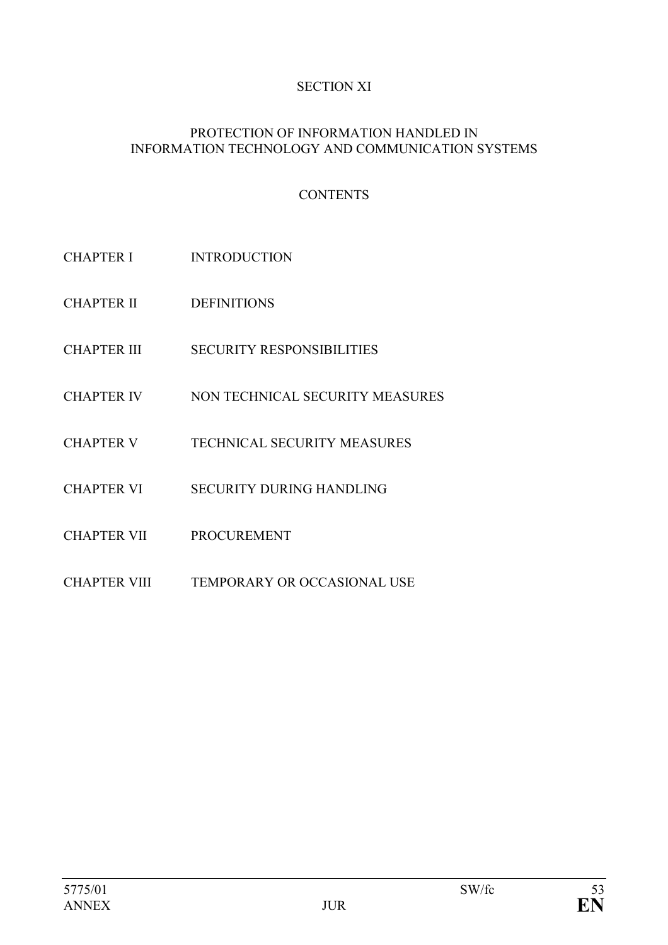# SECTION XI

#### PROTECTION OF INFORMATION HANDLED IN INFORMATION TECHNOLOGY AND COMMUNICATION SYSTEMS

# **CONTENTS**

- CHAPTER I INTRODUCTION
- CHAPTER II DEFINITIONS
- CHAPTER III SECURITY RESPONSIBILITIES
- CHAPTER IV NON TECHNICAL SECURITY MEASURES
- CHAPTER V TECHNICAL SECURITY MEASURES
- CHAPTER VI SECURITY DURING HANDLING
- CHAPTER VII PROCUREMENT
- CHAPTER VIII TEMPORARY OR OCCASIONAL USE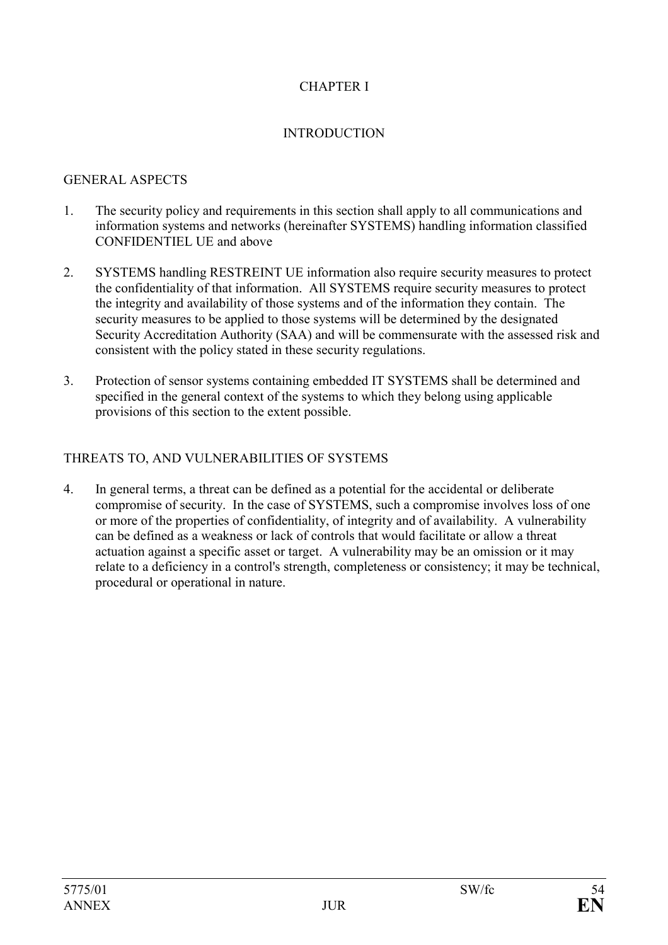# CHAPTER I

#### INTRODUCTION

#### GENERAL ASPECTS

- 1. The security policy and requirements in this section shall apply to all communications and information systems and networks (hereinafter SYSTEMS) handling information classified CONFIDENTIEL UE and above
- 2. SYSTEMS handling RESTREINT UE information also require security measures to protect the confidentiality of that information. All SYSTEMS require security measures to protect the integrity and availability of those systems and of the information they contain. The security measures to be applied to those systems will be determined by the designated Security Accreditation Authority (SAA) and will be commensurate with the assessed risk and consistent with the policy stated in these security regulations.
- 3. Protection of sensor systems containing embedded IT SYSTEMS shall be determined and specified in the general context of the systems to which they belong using applicable provisions of this section to the extent possible.

#### THREATS TO, AND VULNERABILITIES OF SYSTEMS

4. In general terms, a threat can be defined as a potential for the accidental or deliberate compromise of security. In the case of SYSTEMS, such a compromise involves loss of one or more of the properties of confidentiality, of integrity and of availability. A vulnerability can be defined as a weakness or lack of controls that would facilitate or allow a threat actuation against a specific asset or target. A vulnerability may be an omission or it may relate to a deficiency in a control's strength, completeness or consistency; it may be technical, procedural or operational in nature.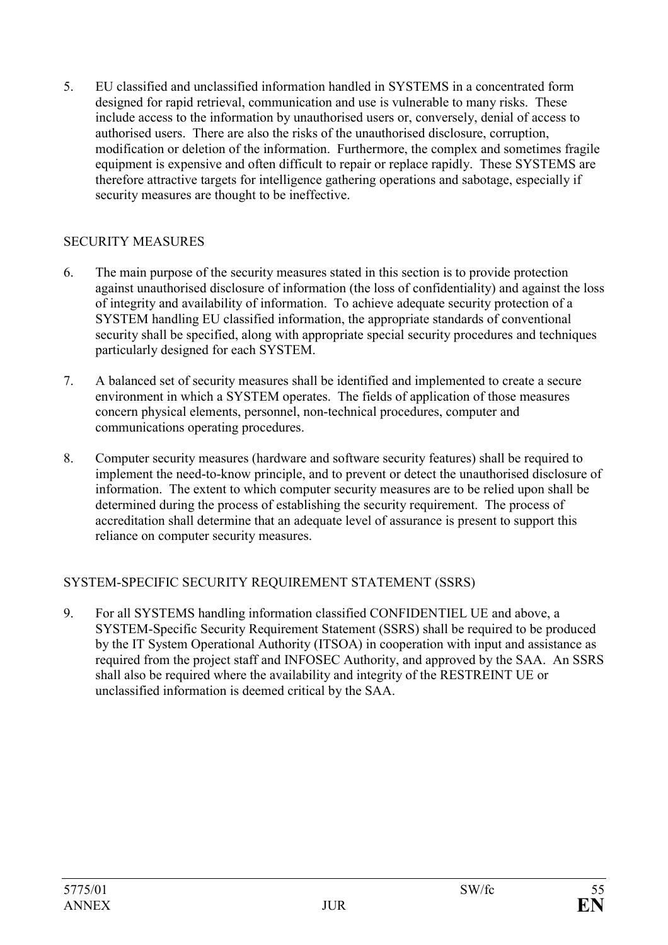5. EU classified and unclassified information handled in SYSTEMS in a concentrated form designed for rapid retrieval, communication and use is vulnerable to many risks. These include access to the information by unauthorised users or, conversely, denial of access to authorised users. There are also the risks of the unauthorised disclosure, corruption, modification or deletion of the information. Furthermore, the complex and sometimes fragile equipment is expensive and often difficult to repair or replace rapidly. These SYSTEMS are therefore attractive targets for intelligence gathering operations and sabotage, especially if security measures are thought to be ineffective.

### SECURITY MEASURES

- 6. The main purpose of the security measures stated in this section is to provide protection against unauthorised disclosure of information (the loss of confidentiality) and against the loss of integrity and availability of information. To achieve adequate security protection of a SYSTEM handling EU classified information, the appropriate standards of conventional security shall be specified, along with appropriate special security procedures and techniques particularly designed for each SYSTEM.
- 7. A balanced set of security measures shall be identified and implemented to create a secure environment in which a SYSTEM operates. The fields of application of those measures concern physical elements, personnel, non-technical procedures, computer and communications operating procedures.
- 8. Computer security measures (hardware and software security features) shall be required to implement the need-to-know principle, and to prevent or detect the unauthorised disclosure of information. The extent to which computer security measures are to be relied upon shall be determined during the process of establishing the security requirement. The process of accreditation shall determine that an adequate level of assurance is present to support this reliance on computer security measures.

### SYSTEM-SPECIFIC SECURITY REQUIREMENT STATEMENT (SSRS)

9. For all SYSTEMS handling information classified CONFIDENTIEL UE and above, a SYSTEM-Specific Security Requirement Statement (SSRS) shall be required to be produced by the IT System Operational Authority (ITSOA) in cooperation with input and assistance as required from the project staff and INFOSEC Authority, and approved by the SAA. An SSRS shall also be required where the availability and integrity of the RESTREINT UE or unclassified information is deemed critical by the SAA.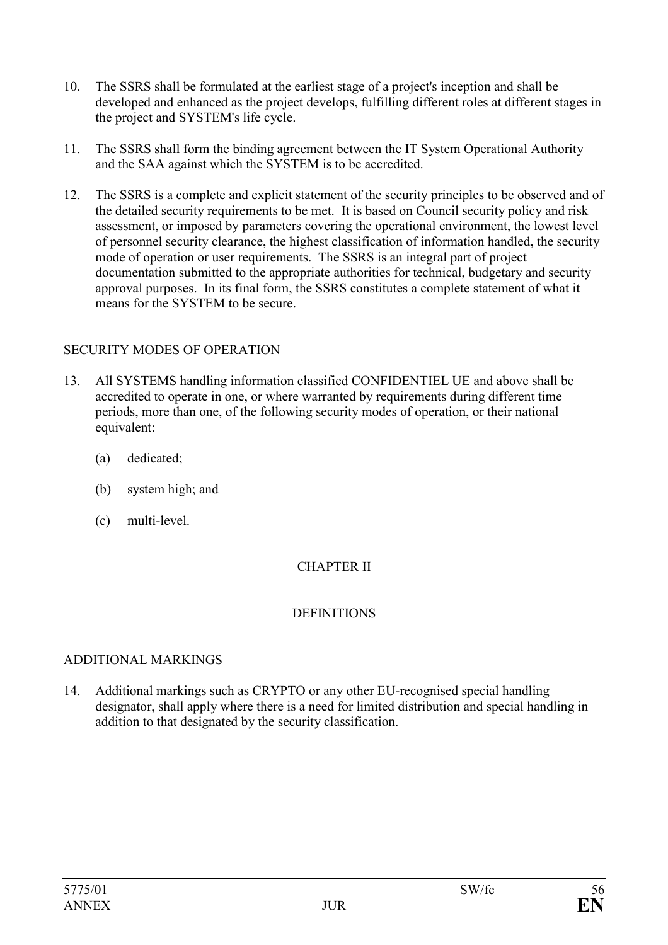- 10. The SSRS shall be formulated at the earliest stage of a project's inception and shall be developed and enhanced as the project develops, fulfilling different roles at different stages in the project and SYSTEM's life cycle.
- 11. The SSRS shall form the binding agreement between the IT System Operational Authority and the SAA against which the SYSTEM is to be accredited.
- 12. The SSRS is a complete and explicit statement of the security principles to be observed and of the detailed security requirements to be met. It is based on Council security policy and risk assessment, or imposed by parameters covering the operational environment, the lowest level of personnel security clearance, the highest classification of information handled, the security mode of operation or user requirements. The SSRS is an integral part of project documentation submitted to the appropriate authorities for technical, budgetary and security approval purposes. In its final form, the SSRS constitutes a complete statement of what it means for the SYSTEM to be secure.

#### SECURITY MODES OF OPERATION

- 13. All SYSTEMS handling information classified CONFIDENTIEL UE and above shall be accredited to operate in one, or where warranted by requirements during different time periods, more than one, of the following security modes of operation, or their national equivalent:
	- (a) dedicated;
	- (b) system high; and
	- (c) multi-level.

### CHAPTER II

### **DEFINITIONS**

### ADDITIONAL MARKINGS

14. Additional markings such as CRYPTO or any other EU-recognised special handling designator, shall apply where there is a need for limited distribution and special handling in addition to that designated by the security classification.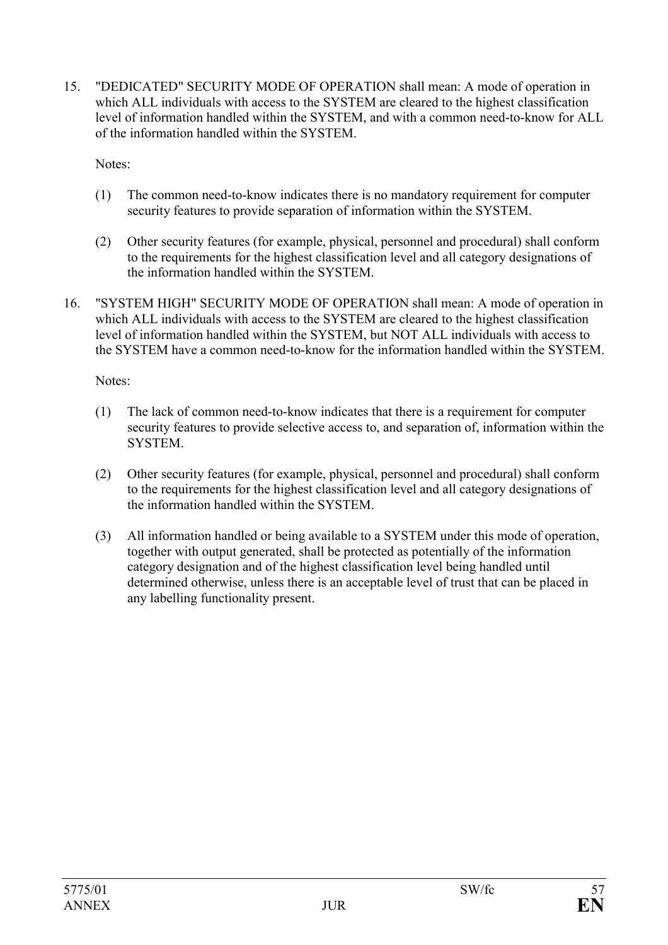15. "DEDICATED" SECURITY MODE OF OPERATION shall mean: A mode of operation in which ALL individuals with access to the SYSTEM are cleared to the highest classification level of information handled within the SYSTEM, and with a common need-to-know for ALL of the information handled within the SYSTEM.

Notes:

- (1) The common need-to-know indicates there is no mandatory requirement for computer security features to provide separation of information within the SYSTEM.
- (2) Other security features (for example, physical, personnel and procedural) shall conform to the requirements for the highest classification level and all category designations of the information handled within the SYSTEM.
- 16. "SYSTEM HIGH" SECURITY MODE OF OPERATION shall mean: A mode of operation in which ALL individuals with access to the SYSTEM are cleared to the highest classification level of information handled within the SYSTEM, but NOT ALL individuals with access to the SYSTEM have a common need-to-know for the information handled within the SYSTEM.

Notes:

- (1) The lack of common need-to-know indicates that there is a requirement for computer security features to provide selective access to, and separation of, information within the SYSTEM.
- (2) Other security features (for example, physical, personnel and procedural) shall conform to the requirements for the highest classification level and all category designations of the information handled within the SYSTEM.
- (3) All information handled or being available to a SYSTEM under this mode of operation, together with output generated, shall be protected as potentially of the information category designation and of the highest classification level being handled until determined otherwise, unless there is an acceptable level of trust that can be placed in any labelling functionality present.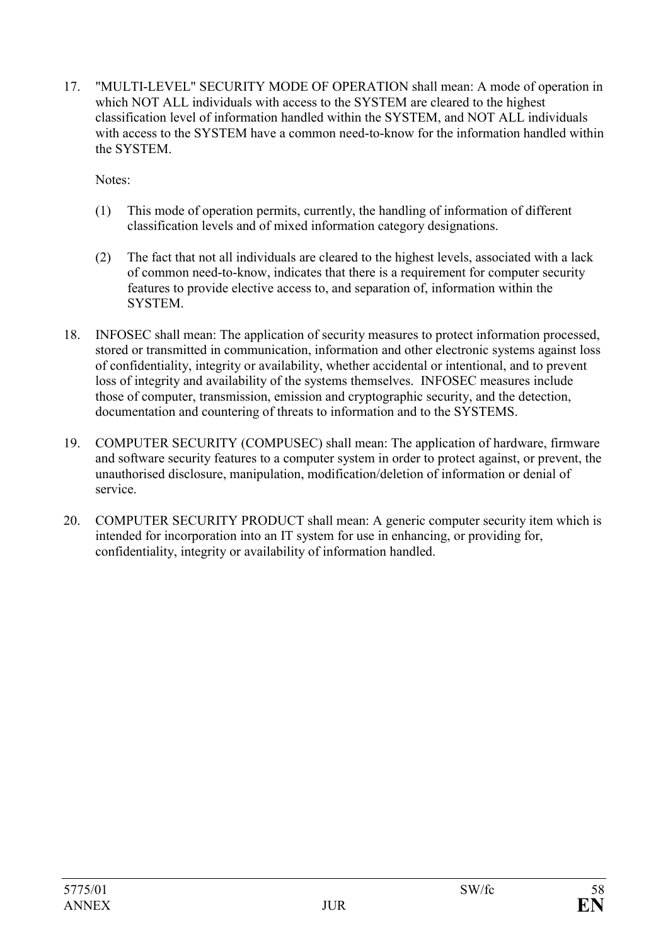17. "MULTI-LEVEL" SECURITY MODE OF OPERATION shall mean: A mode of operation in which NOT ALL individuals with access to the SYSTEM are cleared to the highest classification level of information handled within the SYSTEM, and NOT ALL individuals with access to the SYSTEM have a common need-to-know for the information handled within the SYSTEM.

Notes:

- (1) This mode of operation permits, currently, the handling of information of different classification levels and of mixed information category designations.
- (2) The fact that not all individuals are cleared to the highest levels, associated with a lack of common need-to-know, indicates that there is a requirement for computer security features to provide elective access to, and separation of, information within the **SYSTEM**
- 18. INFOSEC shall mean: The application of security measures to protect information processed, stored or transmitted in communication, information and other electronic systems against loss of confidentiality, integrity or availability, whether accidental or intentional, and to prevent loss of integrity and availability of the systems themselves. INFOSEC measures include those of computer, transmission, emission and cryptographic security, and the detection, documentation and countering of threats to information and to the SYSTEMS.
- 19. COMPUTER SECURITY (COMPUSEC) shall mean: The application of hardware, firmware and software security features to a computer system in order to protect against, or prevent, the unauthorised disclosure, manipulation, modification/deletion of information or denial of service.
- 20. COMPUTER SECURITY PRODUCT shall mean: A generic computer security item which is intended for incorporation into an IT system for use in enhancing, or providing for, confidentiality, integrity or availability of information handled.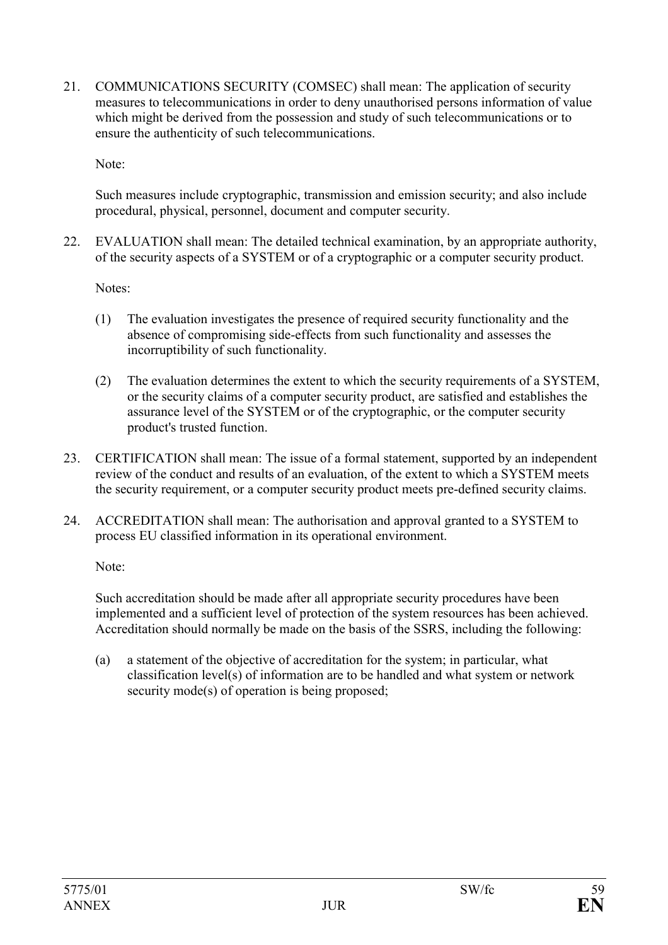21. COMMUNICATIONS SECURITY (COMSEC) shall mean: The application of security measures to telecommunications in order to deny unauthorised persons information of value which might be derived from the possession and study of such telecommunications or to ensure the authenticity of such telecommunications.

Note:

Such measures include cryptographic, transmission and emission security; and also include procedural, physical, personnel, document and computer security.

22. EVALUATION shall mean: The detailed technical examination, by an appropriate authority, of the security aspects of a SYSTEM or of a cryptographic or a computer security product.

Notes:

- (1) The evaluation investigates the presence of required security functionality and the absence of compromising side-effects from such functionality and assesses the incorruptibility of such functionality.
- (2) The evaluation determines the extent to which the security requirements of a SYSTEM, or the security claims of a computer security product, are satisfied and establishes the assurance level of the SYSTEM or of the cryptographic, or the computer security product's trusted function.
- 23. CERTIFICATION shall mean: The issue of a formal statement, supported by an independent review of the conduct and results of an evaluation, of the extent to which a SYSTEM meets the security requirement, or a computer security product meets pre-defined security claims.
- 24. ACCREDITATION shall mean: The authorisation and approval granted to a SYSTEM to process EU classified information in its operational environment.

Note:

Such accreditation should be made after all appropriate security procedures have been implemented and a sufficient level of protection of the system resources has been achieved. Accreditation should normally be made on the basis of the SSRS, including the following:

(a) a statement of the objective of accreditation for the system; in particular, what classification level(s) of information are to be handled and what system or network security mode(s) of operation is being proposed;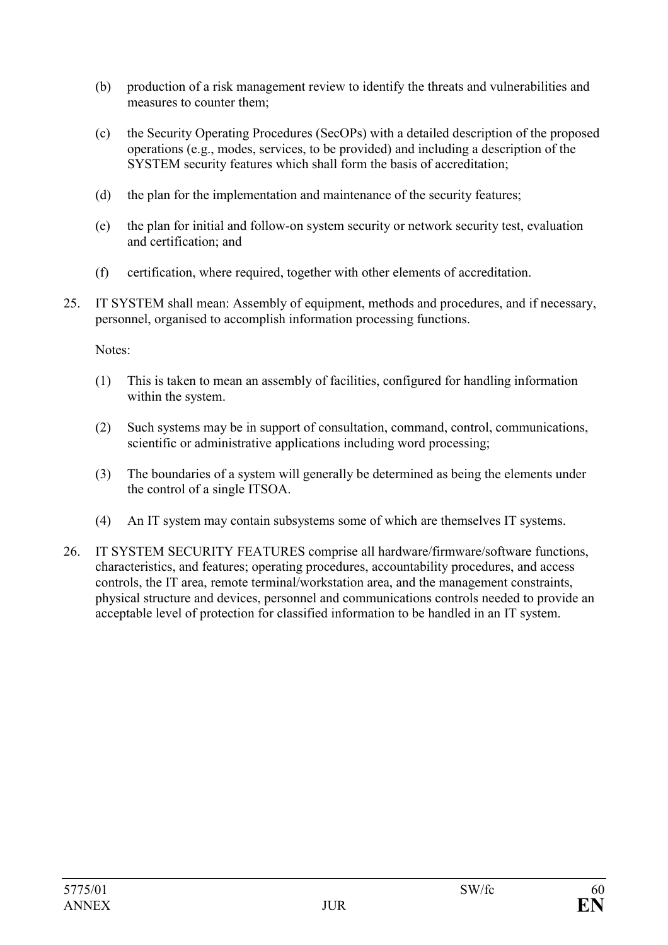- (b) production of a risk management review to identify the threats and vulnerabilities and measures to counter them;
- (c) the Security Operating Procedures (SecOPs) with a detailed description of the proposed operations (e.g., modes, services, to be provided) and including a description of the SYSTEM security features which shall form the basis of accreditation;
- (d) the plan for the implementation and maintenance of the security features;
- (e) the plan for initial and follow-on system security or network security test, evaluation and certification; and
- (f) certification, where required, together with other elements of accreditation.
- 25. IT SYSTEM shall mean: Assembly of equipment, methods and procedures, and if necessary, personnel, organised to accomplish information processing functions.

Notes:

- (1) This is taken to mean an assembly of facilities, configured for handling information within the system.
- (2) Such systems may be in support of consultation, command, control, communications, scientific or administrative applications including word processing;
- (3) The boundaries of a system will generally be determined as being the elements under the control of a single ITSOA.
- (4) An IT system may contain subsystems some of which are themselves IT systems.
- 26. IT SYSTEM SECURITY FEATURES comprise all hardware/firmware/software functions, characteristics, and features; operating procedures, accountability procedures, and access controls, the IT area, remote terminal/workstation area, and the management constraints, physical structure and devices, personnel and communications controls needed to provide an acceptable level of protection for classified information to be handled in an IT system.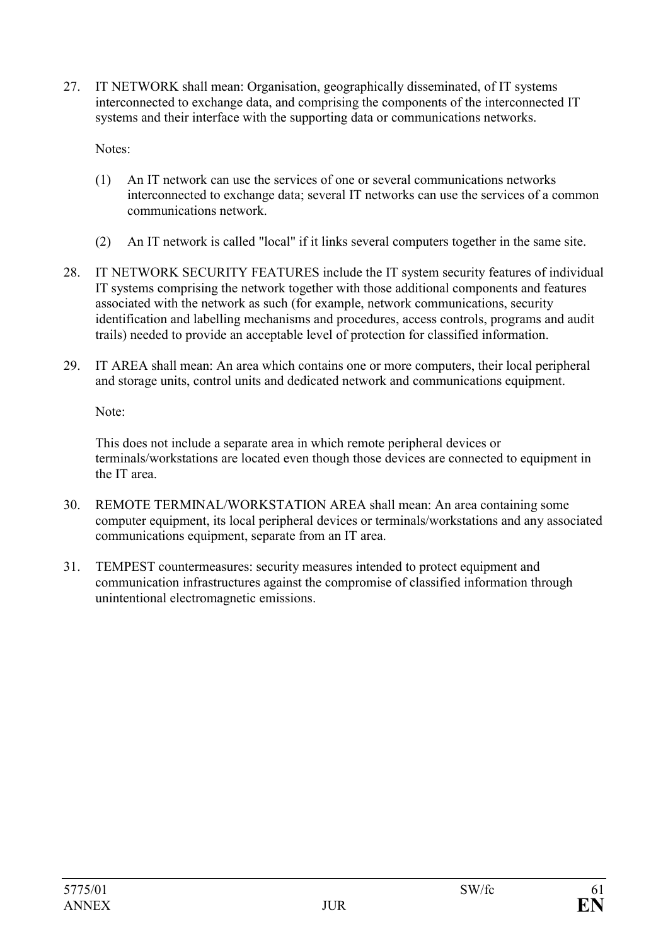27. IT NETWORK shall mean: Organisation, geographically disseminated, of IT systems interconnected to exchange data, and comprising the components of the interconnected IT systems and their interface with the supporting data or communications networks.

Notes:

- (1) An IT network can use the services of one or several communications networks interconnected to exchange data; several IT networks can use the services of a common communications network.
- (2) An IT network is called "local" if it links several computers together in the same site.
- 28. IT NETWORK SECURITY FEATURES include the IT system security features of individual IT systems comprising the network together with those additional components and features associated with the network as such (for example, network communications, security identification and labelling mechanisms and procedures, access controls, programs and audit trails) needed to provide an acceptable level of protection for classified information.
- 29. IT AREA shall mean: An area which contains one or more computers, their local peripheral and storage units, control units and dedicated network and communications equipment.

Note:

This does not include a separate area in which remote peripheral devices or terminals/workstations are located even though those devices are connected to equipment in the IT area.

- 30. REMOTE TERMINAL/WORKSTATION AREA shall mean: An area containing some computer equipment, its local peripheral devices or terminals/workstations and any associated communications equipment, separate from an IT area.
- 31. TEMPEST countermeasures: security measures intended to protect equipment and communication infrastructures against the compromise of classified information through unintentional electromagnetic emissions.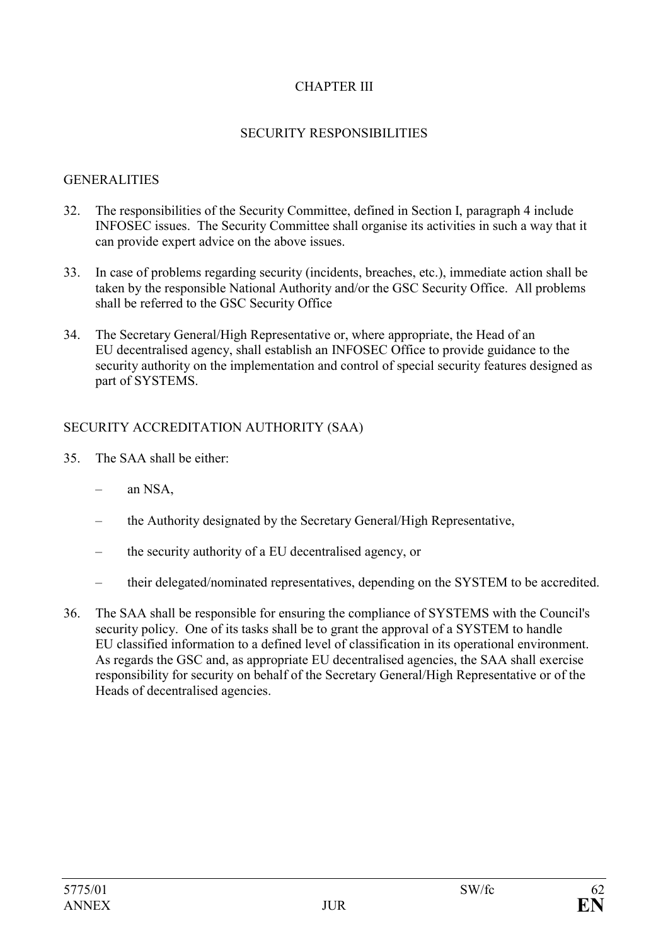## CHAPTER III

#### SECURITY RESPONSIBILITIES

#### **GENERALITIES**

- 32. The responsibilities of the Security Committee, defined in Section I, paragraph 4 include INFOSEC issues. The Security Committee shall organise its activities in such a way that it can provide expert advice on the above issues.
- 33. In case of problems regarding security (incidents, breaches, etc.), immediate action shall be taken by the responsible National Authority and/or the GSC Security Office. All problems shall be referred to the GSC Security Office
- 34. The Secretary General/High Representative or, where appropriate, the Head of an EU decentralised agency, shall establish an INFOSEC Office to provide guidance to the security authority on the implementation and control of special security features designed as part of SYSTEMS.

# SECURITY ACCREDITATION AUTHORITY (SAA)

- 35. The SAA shall be either:
	- an NSA,
	- the Authority designated by the Secretary General/High Representative,
	- the security authority of a EU decentralised agency, or
	- their delegated/nominated representatives, depending on the SYSTEM to be accredited.
- 36. The SAA shall be responsible for ensuring the compliance of SYSTEMS with the Council's security policy. One of its tasks shall be to grant the approval of a SYSTEM to handle EU classified information to a defined level of classification in its operational environment. As regards the GSC and, as appropriate EU decentralised agencies, the SAA shall exercise responsibility for security on behalf of the Secretary General/High Representative or of the Heads of decentralised agencies.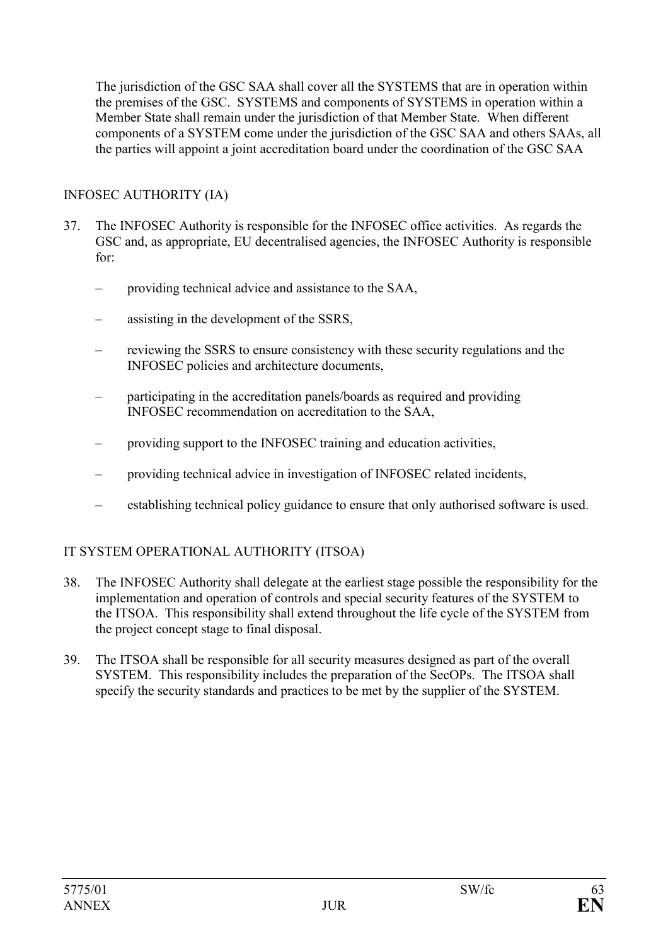The jurisdiction of the GSC SAA shall cover all the SYSTEMS that are in operation within the premises of the GSC. SYSTEMS and components of SYSTEMS in operation within a Member State shall remain under the jurisdiction of that Member State. When different components of a SYSTEM come under the jurisdiction of the GSC SAA and others SAAs, all the parties will appoint a joint accreditation board under the coordination of the GSC SAA

### INFOSEC AUTHORITY (IA)

- 37. The INFOSEC Authority is responsible for the INFOSEC office activities. As regards the GSC and, as appropriate, EU decentralised agencies, the INFOSEC Authority is responsible for:
	- providing technical advice and assistance to the SAA,
	- assisting in the development of the SSRS,
	- reviewing the SSRS to ensure consistency with these security regulations and the INFOSEC policies and architecture documents,
	- participating in the accreditation panels/boards as required and providing INFOSEC recommendation on accreditation to the SAA,
	- providing support to the INFOSEC training and education activities,
	- providing technical advice in investigation of INFOSEC related incidents,
	- establishing technical policy guidance to ensure that only authorised software is used.

### IT SYSTEM OPERATIONAL AUTHORITY (ITSOA)

- 38. The INFOSEC Authority shall delegate at the earliest stage possible the responsibility for the implementation and operation of controls and special security features of the SYSTEM to the ITSOA. This responsibility shall extend throughout the life cycle of the SYSTEM from the project concept stage to final disposal.
- 39. The ITSOA shall be responsible for all security measures designed as part of the overall SYSTEM. This responsibility includes the preparation of the SecOPs. The ITSOA shall specify the security standards and practices to be met by the supplier of the SYSTEM.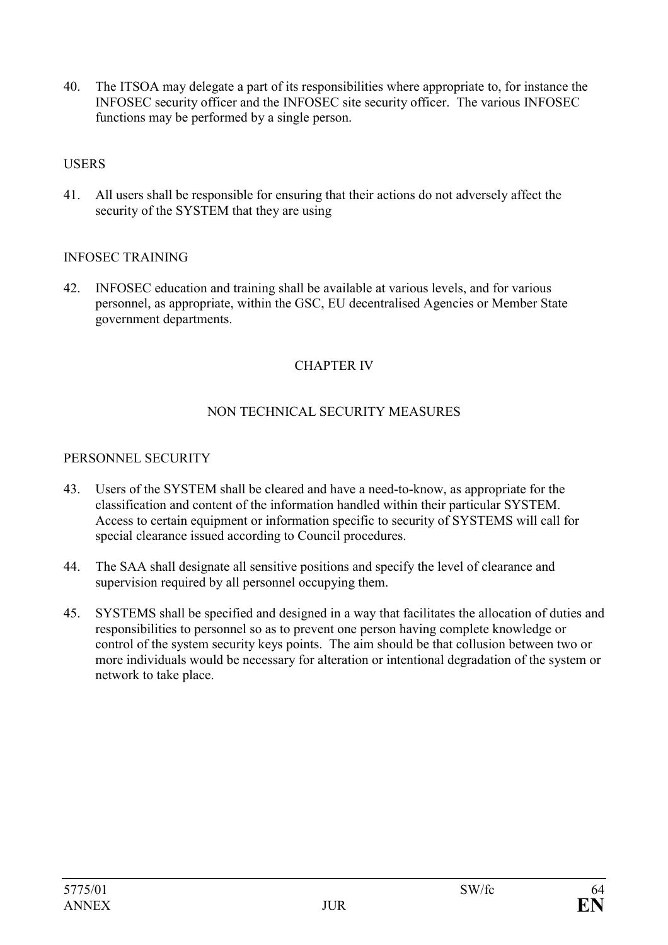40. The ITSOA may delegate a part of its responsibilities where appropriate to, for instance the INFOSEC security officer and the INFOSEC site security officer. The various INFOSEC functions may be performed by a single person.

### **USERS**

41. All users shall be responsible for ensuring that their actions do not adversely affect the security of the SYSTEM that they are using

### INFOSEC TRAINING

42. INFOSEC education and training shall be available at various levels, and for various personnel, as appropriate, within the GSC, EU decentralised Agencies or Member State government departments.

# CHAPTER IV

# NON TECHNICAL SECURITY MEASURES

#### PERSONNEL SECURITY

- 43. Users of the SYSTEM shall be cleared and have a need-to-know, as appropriate for the classification and content of the information handled within their particular SYSTEM. Access to certain equipment or information specific to security of SYSTEMS will call for special clearance issued according to Council procedures.
- 44. The SAA shall designate all sensitive positions and specify the level of clearance and supervision required by all personnel occupying them.
- 45. SYSTEMS shall be specified and designed in a way that facilitates the allocation of duties and responsibilities to personnel so as to prevent one person having complete knowledge or control of the system security keys points. The aim should be that collusion between two or more individuals would be necessary for alteration or intentional degradation of the system or network to take place.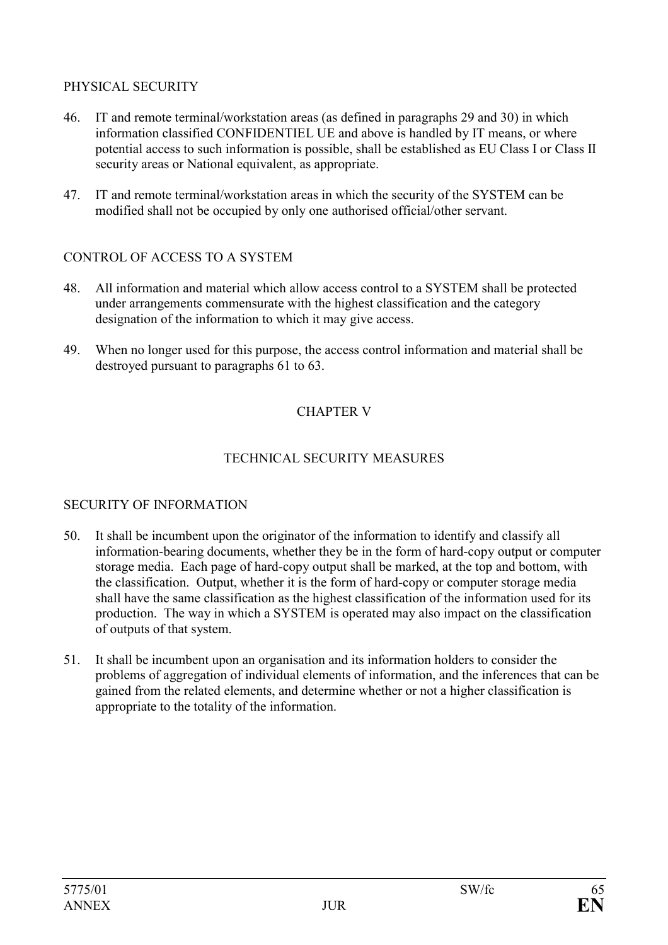# PHYSICAL SECURITY

- 46. IT and remote terminal/workstation areas (as defined in paragraphs 29 and 30) in which information classified CONFIDENTIEL UE and above is handled by IT means, or where potential access to such information is possible, shall be established as EU Class I or Class II security areas or National equivalent, as appropriate.
- 47. IT and remote terminal/workstation areas in which the security of the SYSTEM can be modified shall not be occupied by only one authorised official/other servant.

# CONTROL OF ACCESS TO A SYSTEM

- 48. All information and material which allow access control to a SYSTEM shall be protected under arrangements commensurate with the highest classification and the category designation of the information to which it may give access.
- 49. When no longer used for this purpose, the access control information and material shall be destroyed pursuant to paragraphs 61 to 63.

# CHAPTER V

### TECHNICAL SECURITY MEASURES

### SECURITY OF INFORMATION

- 50. It shall be incumbent upon the originator of the information to identify and classify all information-bearing documents, whether they be in the form of hard-copy output or computer storage media. Each page of hard-copy output shall be marked, at the top and bottom, with the classification. Output, whether it is the form of hard-copy or computer storage media shall have the same classification as the highest classification of the information used for its production. The way in which a SYSTEM is operated may also impact on the classification of outputs of that system.
- 51. It shall be incumbent upon an organisation and its information holders to consider the problems of aggregation of individual elements of information, and the inferences that can be gained from the related elements, and determine whether or not a higher classification is appropriate to the totality of the information.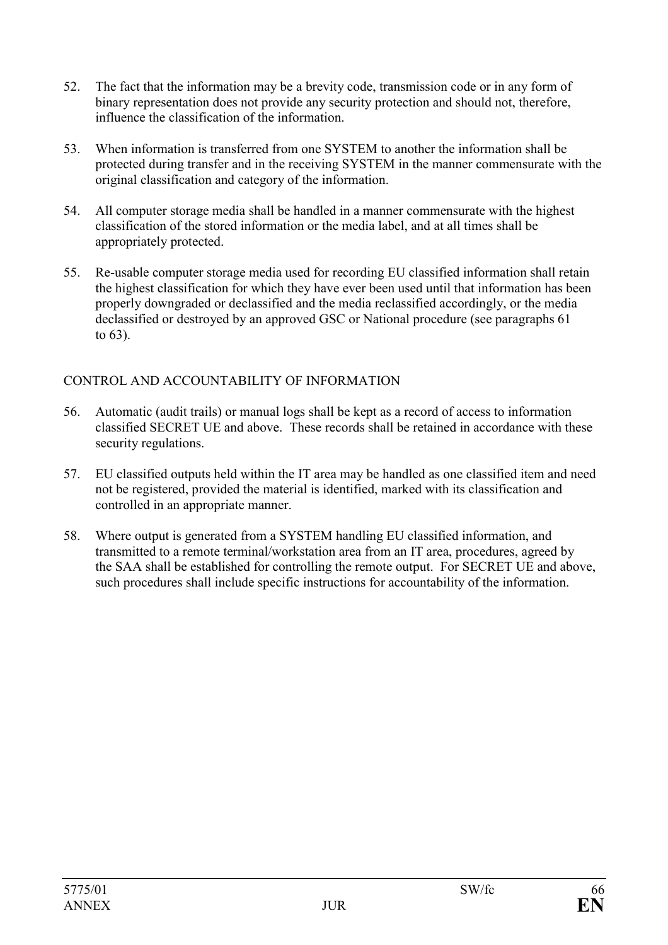- 52. The fact that the information may be a brevity code, transmission code or in any form of binary representation does not provide any security protection and should not, therefore, influence the classification of the information.
- 53. When information is transferred from one SYSTEM to another the information shall be protected during transfer and in the receiving SYSTEM in the manner commensurate with the original classification and category of the information.
- 54. All computer storage media shall be handled in a manner commensurate with the highest classification of the stored information or the media label, and at all times shall be appropriately protected.
- 55. Re-usable computer storage media used for recording EU classified information shall retain the highest classification for which they have ever been used until that information has been properly downgraded or declassified and the media reclassified accordingly, or the media declassified or destroyed by an approved GSC or National procedure (see paragraphs 61 to 63).

### CONTROL AND ACCOUNTABILITY OF INFORMATION

- 56. Automatic (audit trails) or manual logs shall be kept as a record of access to information classified SECRET UE and above. These records shall be retained in accordance with these security regulations.
- 57. EU classified outputs held within the IT area may be handled as one classified item and need not be registered, provided the material is identified, marked with its classification and controlled in an appropriate manner.
- 58. Where output is generated from a SYSTEM handling EU classified information, and transmitted to a remote terminal/workstation area from an IT area, procedures, agreed by the SAA shall be established for controlling the remote output. For SECRET UE and above, such procedures shall include specific instructions for accountability of the information.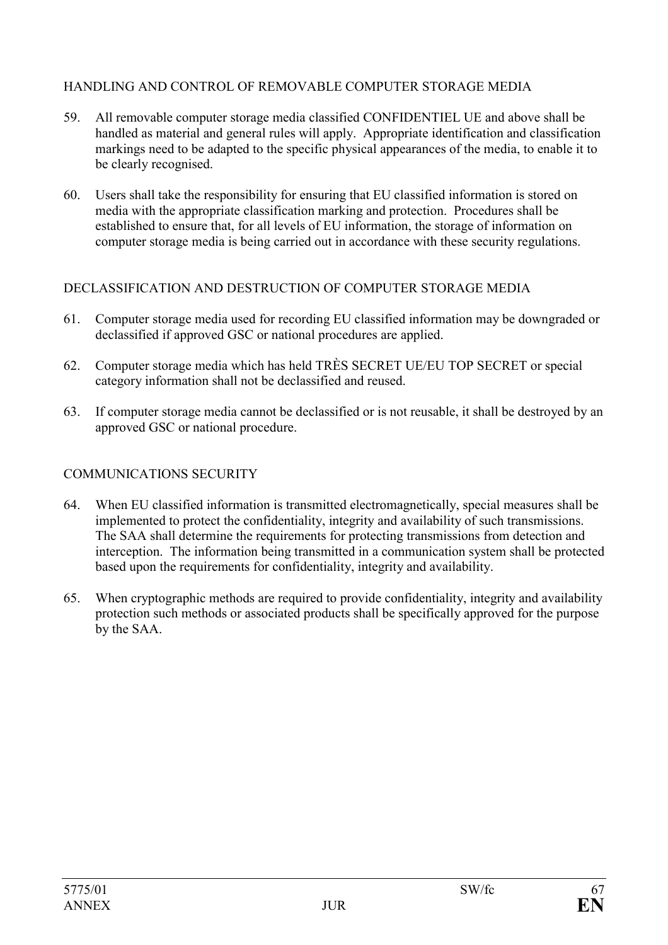# HANDLING AND CONTROL OF REMOVABLE COMPUTER STORAGE MEDIA

- 59. All removable computer storage media classified CONFIDENTIEL UE and above shall be handled as material and general rules will apply. Appropriate identification and classification markings need to be adapted to the specific physical appearances of the media, to enable it to be clearly recognised.
- 60. Users shall take the responsibility for ensuring that EU classified information is stored on media with the appropriate classification marking and protection. Procedures shall be established to ensure that, for all levels of EU information, the storage of information on computer storage media is being carried out in accordance with these security regulations.

# DECLASSIFICATION AND DESTRUCTION OF COMPUTER STORAGE MEDIA

- 61. Computer storage media used for recording EU classified information may be downgraded or declassified if approved GSC or national procedures are applied.
- 62. Computer storage media which has held TRÈS SECRET UE/EU TOP SECRET or special category information shall not be declassified and reused.
- 63. If computer storage media cannot be declassified or is not reusable, it shall be destroyed by an approved GSC or national procedure.

#### COMMUNICATIONS SECURITY

- 64. When EU classified information is transmitted electromagnetically, special measures shall be implemented to protect the confidentiality, integrity and availability of such transmissions. The SAA shall determine the requirements for protecting transmissions from detection and interception. The information being transmitted in a communication system shall be protected based upon the requirements for confidentiality, integrity and availability.
- 65. When cryptographic methods are required to provide confidentiality, integrity and availability protection such methods or associated products shall be specifically approved for the purpose by the SAA.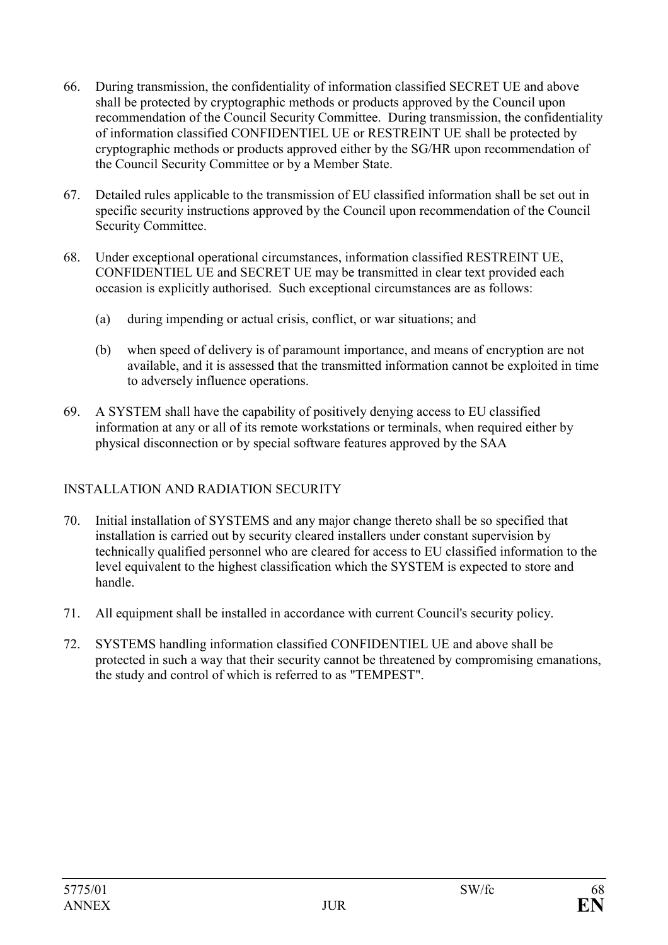- 66. During transmission, the confidentiality of information classified SECRET UE and above shall be protected by cryptographic methods or products approved by the Council upon recommendation of the Council Security Committee. During transmission, the confidentiality of information classified CONFIDENTIEL UE or RESTREINT UE shall be protected by cryptographic methods or products approved either by the SG/HR upon recommendation of the Council Security Committee or by a Member State.
- 67. Detailed rules applicable to the transmission of EU classified information shall be set out in specific security instructions approved by the Council upon recommendation of the Council Security Committee.
- 68. Under exceptional operational circumstances, information classified RESTREINT UE, CONFIDENTIEL UE and SECRET UE may be transmitted in clear text provided each occasion is explicitly authorised. Such exceptional circumstances are as follows:
	- (a) during impending or actual crisis, conflict, or war situations; and
	- (b) when speed of delivery is of paramount importance, and means of encryption are not available, and it is assessed that the transmitted information cannot be exploited in time to adversely influence operations.
- 69. A SYSTEM shall have the capability of positively denying access to EU classified information at any or all of its remote workstations or terminals, when required either by physical disconnection or by special software features approved by the SAA

# INSTALLATION AND RADIATION SECURITY

- 70. Initial installation of SYSTEMS and any major change thereto shall be so specified that installation is carried out by security cleared installers under constant supervision by technically qualified personnel who are cleared for access to EU classified information to the level equivalent to the highest classification which the SYSTEM is expected to store and handle.
- 71. All equipment shall be installed in accordance with current Council's security policy.
- 72. SYSTEMS handling information classified CONFIDENTIEL UE and above shall be protected in such a way that their security cannot be threatened by compromising emanations, the study and control of which is referred to as "TEMPEST".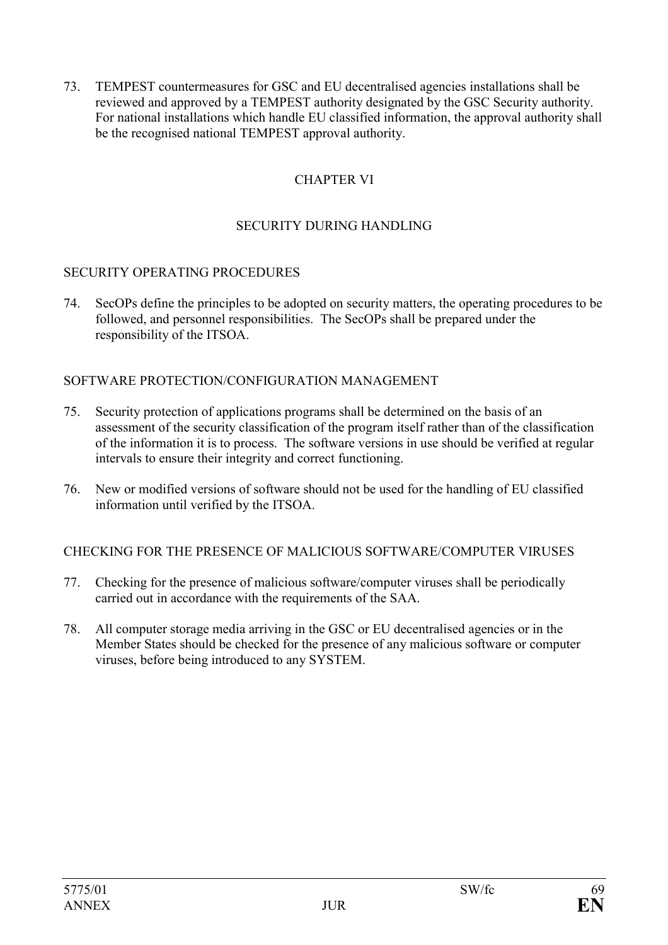73. TEMPEST countermeasures for GSC and EU decentralised agencies installations shall be reviewed and approved by a TEMPEST authority designated by the GSC Security authority. For national installations which handle EU classified information, the approval authority shall be the recognised national TEMPEST approval authority.

# CHAPTER VI

#### SECURITY DURING HANDLING

#### SECURITY OPERATING PROCEDURES

74. SecOPs define the principles to be adopted on security matters, the operating procedures to be followed, and personnel responsibilities. The SecOPs shall be prepared under the responsibility of the ITSOA.

#### SOFTWARE PROTECTION/CONFIGURATION MANAGEMENT

- 75. Security protection of applications programs shall be determined on the basis of an assessment of the security classification of the program itself rather than of the classification of the information it is to process. The software versions in use should be verified at regular intervals to ensure their integrity and correct functioning.
- 76. New or modified versions of software should not be used for the handling of EU classified information until verified by the ITSOA.

CHECKING FOR THE PRESENCE OF MALICIOUS SOFTWARE/COMPUTER VIRUSES

- 77. Checking for the presence of malicious software/computer viruses shall be periodically carried out in accordance with the requirements of the SAA.
- 78. All computer storage media arriving in the GSC or EU decentralised agencies or in the Member States should be checked for the presence of any malicious software or computer viruses, before being introduced to any SYSTEM.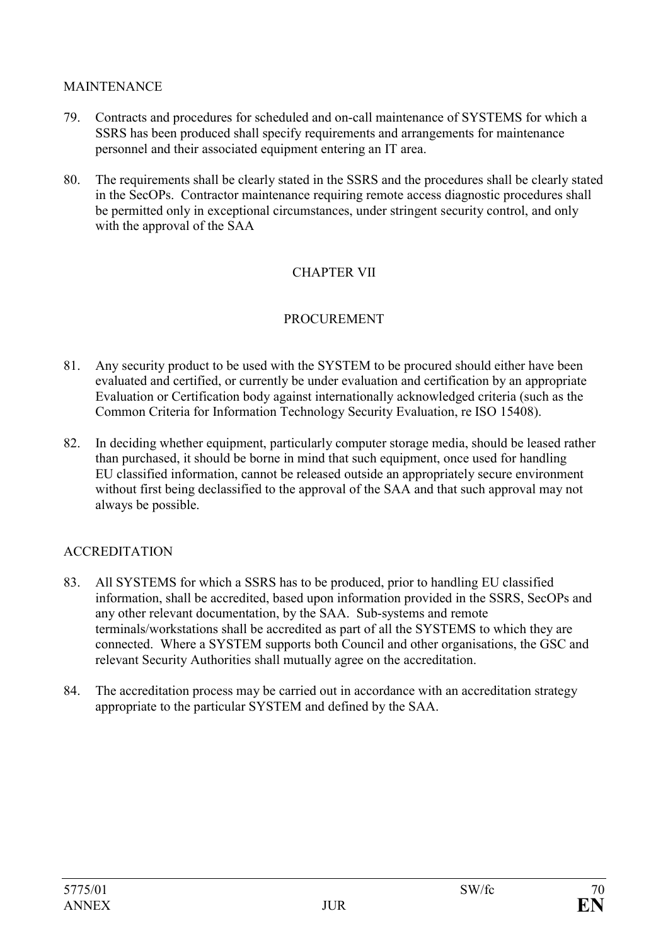#### **MAINTENANCE**

- 79. Contracts and procedures for scheduled and on-call maintenance of SYSTEMS for which a SSRS has been produced shall specify requirements and arrangements for maintenance personnel and their associated equipment entering an IT area.
- 80. The requirements shall be clearly stated in the SSRS and the procedures shall be clearly stated in the SecOPs. Contractor maintenance requiring remote access diagnostic procedures shall be permitted only in exceptional circumstances, under stringent security control, and only with the approval of the SAA

# CHAPTER VII

# **PROCUREMENT**

- 81. Any security product to be used with the SYSTEM to be procured should either have been evaluated and certified, or currently be under evaluation and certification by an appropriate Evaluation or Certification body against internationally acknowledged criteria (such as the Common Criteria for Information Technology Security Evaluation, re ISO 15408).
- 82. In deciding whether equipment, particularly computer storage media, should be leased rather than purchased, it should be borne in mind that such equipment, once used for handling EU classified information, cannot be released outside an appropriately secure environment without first being declassified to the approval of the SAA and that such approval may not always be possible.

# ACCREDITATION

- 83. All SYSTEMS for which a SSRS has to be produced, prior to handling EU classified information, shall be accredited, based upon information provided in the SSRS, SecOPs and any other relevant documentation, by the SAA. Sub-systems and remote terminals/workstations shall be accredited as part of all the SYSTEMS to which they are connected. Where a SYSTEM supports both Council and other organisations, the GSC and relevant Security Authorities shall mutually agree on the accreditation.
- 84. The accreditation process may be carried out in accordance with an accreditation strategy appropriate to the particular SYSTEM and defined by the SAA.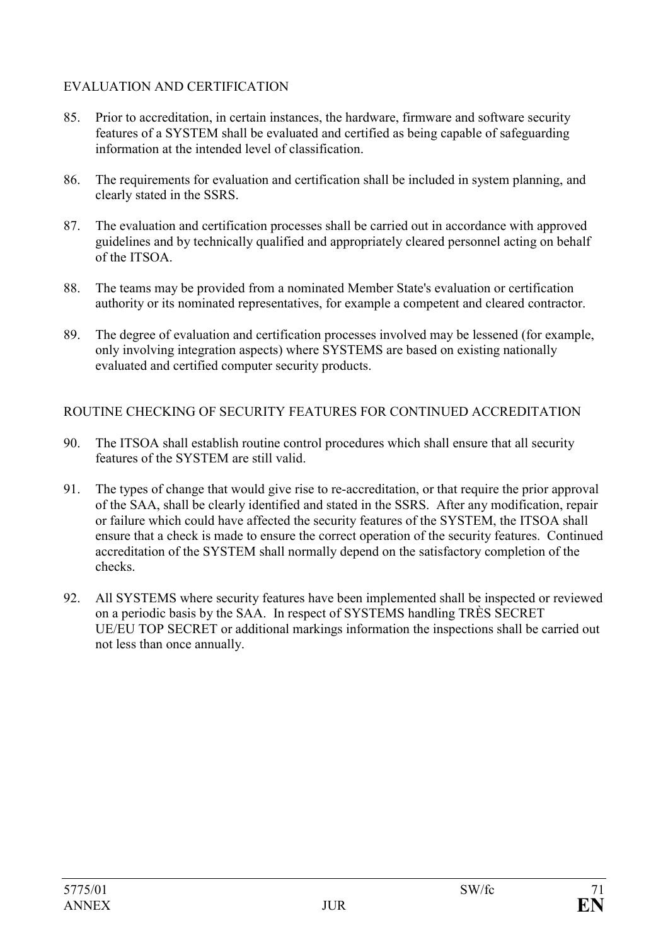# EVALUATION AND CERTIFICATION

- 85. Prior to accreditation, in certain instances, the hardware, firmware and software security features of a SYSTEM shall be evaluated and certified as being capable of safeguarding information at the intended level of classification.
- 86. The requirements for evaluation and certification shall be included in system planning, and clearly stated in the SSRS.
- 87. The evaluation and certification processes shall be carried out in accordance with approved guidelines and by technically qualified and appropriately cleared personnel acting on behalf of the ITSOA.
- 88. The teams may be provided from a nominated Member State's evaluation or certification authority or its nominated representatives, for example a competent and cleared contractor.
- 89. The degree of evaluation and certification processes involved may be lessened (for example, only involving integration aspects) where SYSTEMS are based on existing nationally evaluated and certified computer security products.

# ROUTINE CHECKING OF SECURITY FEATURES FOR CONTINUED ACCREDITATION

- 90. The ITSOA shall establish routine control procedures which shall ensure that all security features of the SYSTEM are still valid.
- 91. The types of change that would give rise to re-accreditation, or that require the prior approval of the SAA, shall be clearly identified and stated in the SSRS. After any modification, repair or failure which could have affected the security features of the SYSTEM, the ITSOA shall ensure that a check is made to ensure the correct operation of the security features. Continued accreditation of the SYSTEM shall normally depend on the satisfactory completion of the checks.
- 92. All SYSTEMS where security features have been implemented shall be inspected or reviewed on a periodic basis by the SAA. In respect of SYSTEMS handling TRÈS SECRET UE/EU TOP SECRET or additional markings information the inspections shall be carried out not less than once annually.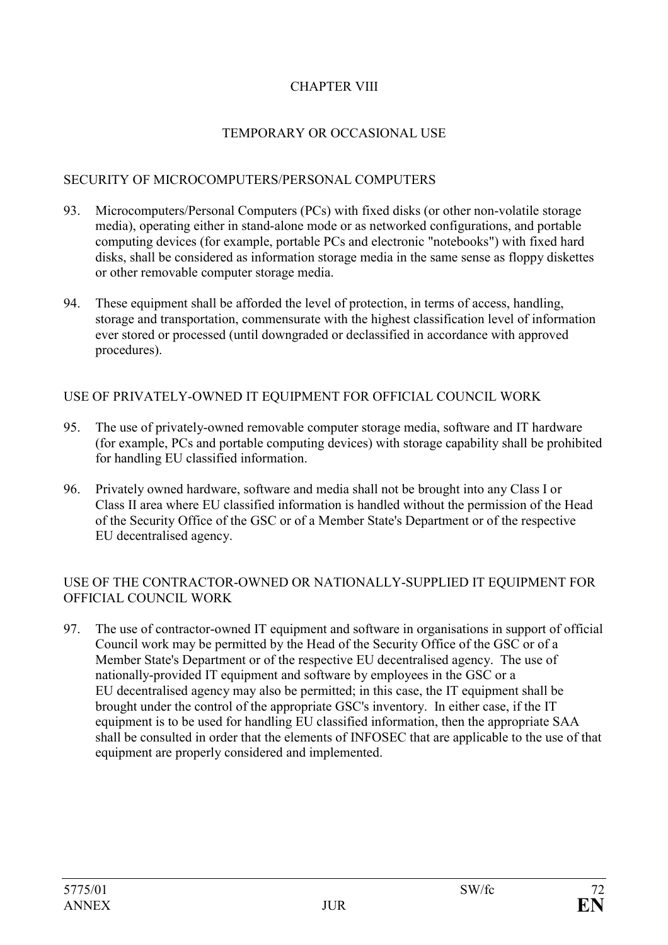# CHAPTER VIII

#### TEMPORARY OR OCCASIONAL USE

#### SECURITY OF MICROCOMPUTERS/PERSONAL COMPUTERS

- 93. Microcomputers/Personal Computers (PCs) with fixed disks (or other non-volatile storage media), operating either in stand-alone mode or as networked configurations, and portable computing devices (for example, portable PCs and electronic "notebooks") with fixed hard disks, shall be considered as information storage media in the same sense as floppy diskettes or other removable computer storage media.
- 94. These equipment shall be afforded the level of protection, in terms of access, handling, storage and transportation, commensurate with the highest classification level of information ever stored or processed (until downgraded or declassified in accordance with approved procedures).

#### USE OF PRIVATELY-OWNED IT EQUIPMENT FOR OFFICIAL COUNCIL WORK

- 95. The use of privately-owned removable computer storage media, software and IT hardware (for example, PCs and portable computing devices) with storage capability shall be prohibited for handling EU classified information.
- 96. Privately owned hardware, software and media shall not be brought into any Class I or Class II area where EU classified information is handled without the permission of the Head of the Security Office of the GSC or of a Member State's Department or of the respective EU decentralised agency.

#### USE OF THE CONTRACTOR-OWNED OR NATIONALLY-SUPPLIED IT EQUIPMENT FOR OFFICIAL COUNCIL WORK

97. The use of contractor-owned IT equipment and software in organisations in support of official Council work may be permitted by the Head of the Security Office of the GSC or of a Member State's Department or of the respective EU decentralised agency. The use of nationally-provided IT equipment and software by employees in the GSC or a EU decentralised agency may also be permitted; in this case, the IT equipment shall be brought under the control of the appropriate GSC's inventory. In either case, if the IT equipment is to be used for handling EU classified information, then the appropriate SAA shall be consulted in order that the elements of INFOSEC that are applicable to the use of that equipment are properly considered and implemented.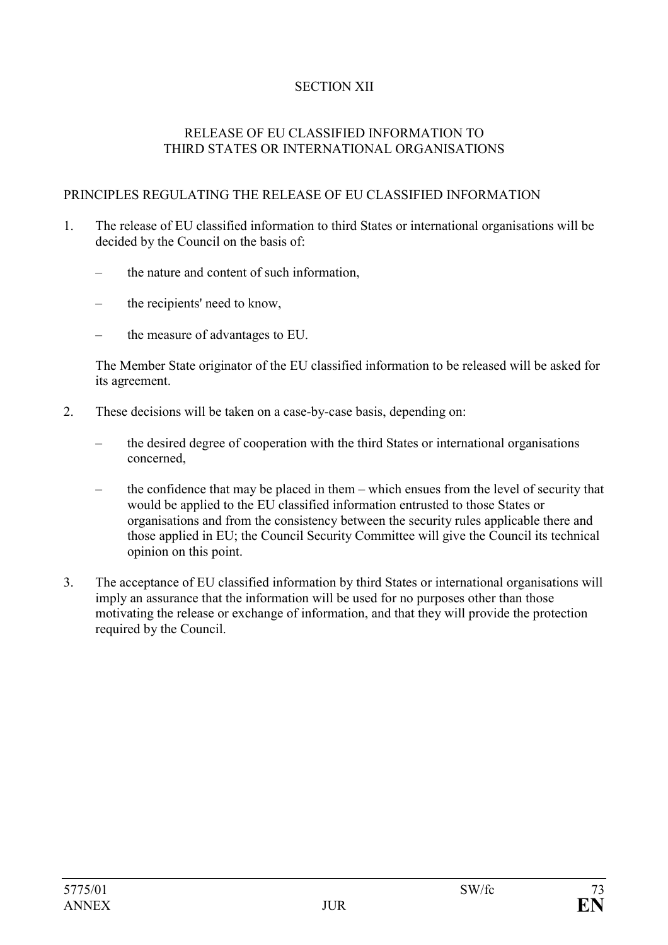# SECTION XII

#### RELEASE OF EU CLASSIFIED INFORMATION TO THIRD STATES OR INTERNATIONAL ORGANISATIONS

#### PRINCIPLES REGULATING THE RELEASE OF EU CLASSIFIED INFORMATION

- 1. The release of EU classified information to third States or international organisations will be decided by the Council on the basis of:
	- the nature and content of such information,
	- the recipients' need to know,
	- the measure of advantages to EU.

The Member State originator of the EU classified information to be released will be asked for its agreement.

- 2. These decisions will be taken on a case-by-case basis, depending on:
	- the desired degree of cooperation with the third States or international organisations concerned,
	- the confidence that may be placed in them which ensues from the level of security that would be applied to the EU classified information entrusted to those States or organisations and from the consistency between the security rules applicable there and those applied in EU; the Council Security Committee will give the Council its technical opinion on this point.
- 3. The acceptance of EU classified information by third States or international organisations will imply an assurance that the information will be used for no purposes other than those motivating the release or exchange of information, and that they will provide the protection required by the Council.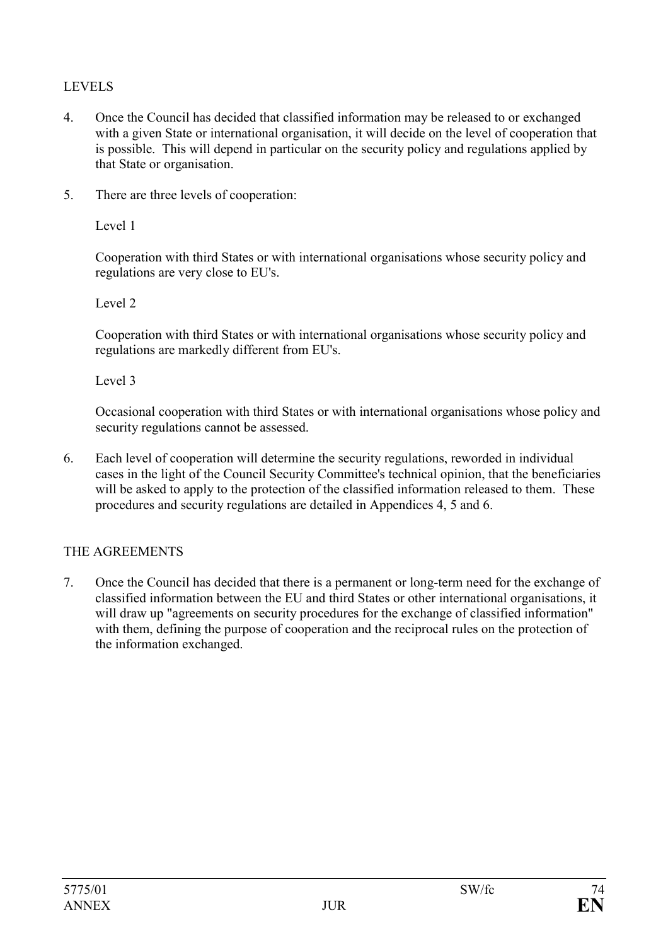# LEVELS

- 4. Once the Council has decided that classified information may be released to or exchanged with a given State or international organisation, it will decide on the level of cooperation that is possible. This will depend in particular on the security policy and regulations applied by that State or organisation.
- 5. There are three levels of cooperation:

Level 1

Cooperation with third States or with international organisations whose security policy and regulations are very close to EU's.

Level 2

Cooperation with third States or with international organisations whose security policy and regulations are markedly different from EU's.

Level 3

Occasional cooperation with third States or with international organisations whose policy and security regulations cannot be assessed.

6. Each level of cooperation will determine the security regulations, reworded in individual cases in the light of the Council Security Committee's technical opinion, that the beneficiaries will be asked to apply to the protection of the classified information released to them. These procedures and security regulations are detailed in Appendices 4, 5 and 6.

# THE AGREEMENTS

7. Once the Council has decided that there is a permanent or long-term need for the exchange of classified information between the EU and third States or other international organisations, it will draw up "agreements on security procedures for the exchange of classified information" with them, defining the purpose of cooperation and the reciprocal rules on the protection of the information exchanged.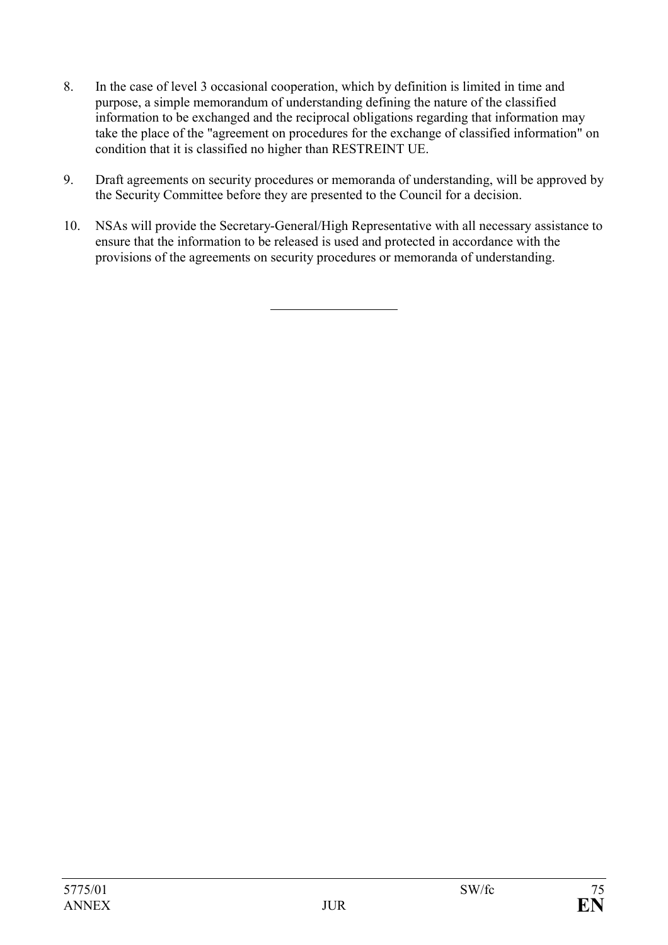- 8. In the case of level 3 occasional cooperation, which by definition is limited in time and purpose, a simple memorandum of understanding defining the nature of the classified information to be exchanged and the reciprocal obligations regarding that information may take the place of the "agreement on procedures for the exchange of classified information" on condition that it is classified no higher than RESTREINT UE.
- 9. Draft agreements on security procedures or memoranda of understanding, will be approved by the Security Committee before they are presented to the Council for a decision.
- 10. NSAs will provide the Secretary-General/High Representative with all necessary assistance to ensure that the information to be released is used and protected in accordance with the provisions of the agreements on security procedures or memoranda of understanding.

 $\overline{a}$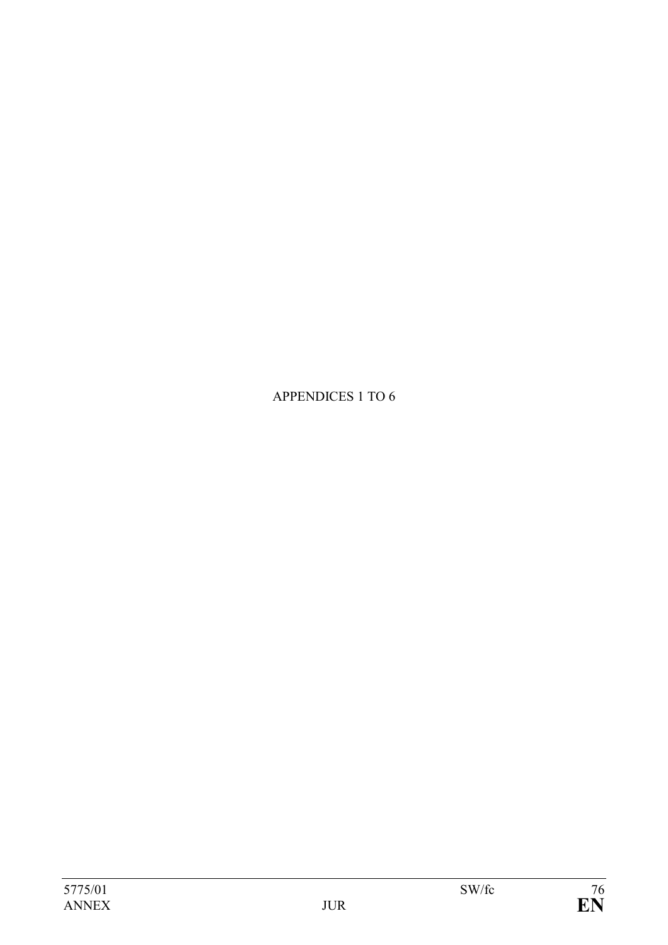APPENDICES 1 TO 6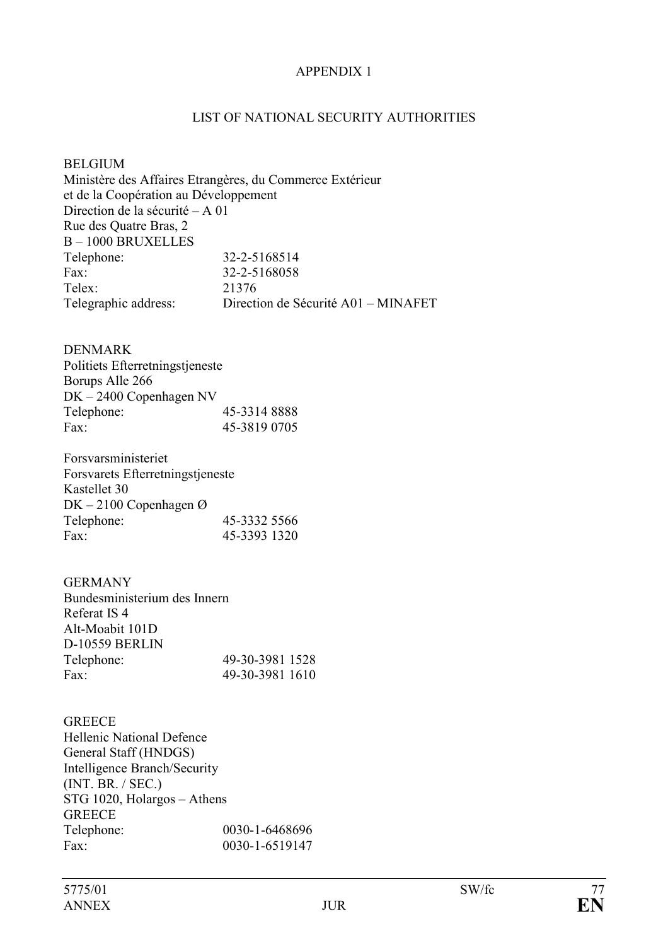#### APPENDIX 1

#### LIST OF NATIONAL SECURITY AUTHORITIES

BELGIUM Ministère des Affaires Etrangères, du Commerce Extérieur et de la Coopération au Développement Direction de la sécurité – A 01 Rue des Quatre Bras, 2 B – 1000 BRUXELLES Telephone: 32-2-5168514 Fax: 32-2-5168058 Telex: 21376 Telegraphic address: Direction de Sécurité A01 – MINAFET

#### DENMARK

| Politiets Efterretningstjeneste |              |
|---------------------------------|--------------|
| Borups Alle 266                 |              |
| $DK - 2400$ Copenhagen NV       |              |
| Telephone:                      | 45-3314 8888 |
| Fax:                            | 45-3819 0705 |

Forsvarsministeriet Forsvarets Efterretningstjeneste Kastellet 30 DK – 2100 Copenhagen Ø Telephone: 45-3332 5566 Fax: 45-3393 1320

#### GERMANY

| Bundesministerium des Innern |                 |
|------------------------------|-----------------|
| Referat IS 4                 |                 |
| Alt-Moabit 101D              |                 |
| D-10559 BERLIN               |                 |
| Telephone:                   | 49-30-3981 1528 |
| Fax:                         | 49-30-3981 1610 |
|                              |                 |

| <b>GREECE</b>                    |                |
|----------------------------------|----------------|
| <b>Hellenic National Defence</b> |                |
| General Staff (HNDGS)            |                |
| Intelligence Branch/Security     |                |
| (INT. BR. /SEC.)                 |                |
| STG 1020, Holargos - Athens      |                |
| <b>GREECE</b>                    |                |
| Telephone:                       | 0030-1-6468696 |
| Fax                              | 0030-1-6519147 |
|                                  |                |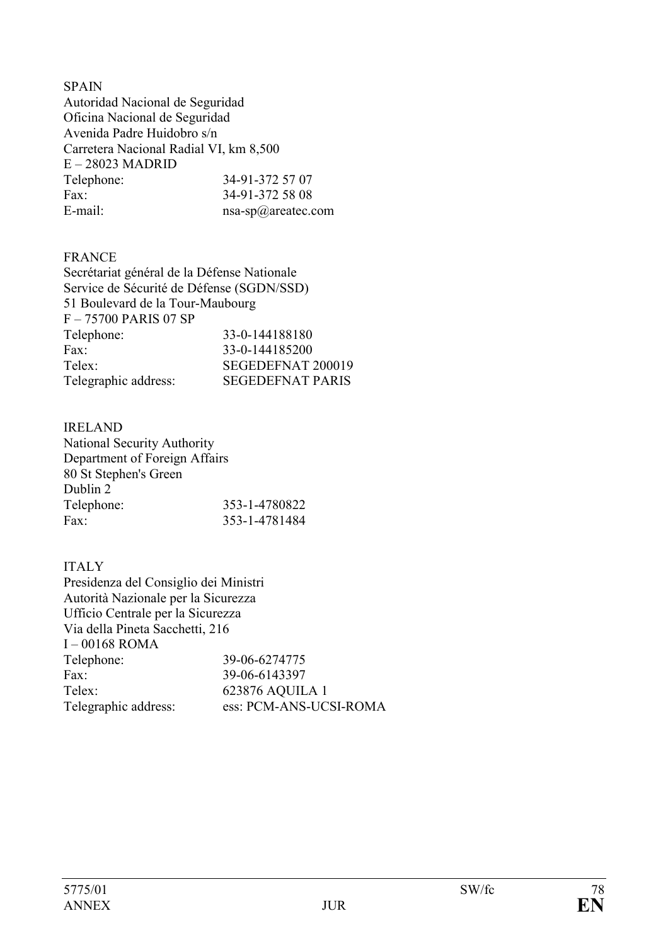#### **SPAIN**

Autoridad Nacional de Seguridad Oficina Nacional de Seguridad Avenida Padre Huidobro s/n Carretera Nacional Radial VI, km 8,500 E – 28023 MADRID Telephone: 34-91-372 57 07 Fax: 34-91-372 58 08 E-mail: nsa-sp@areatec.com

# FRANCE

| Secrétariat général de la Défense Nationale |                         |
|---------------------------------------------|-------------------------|
| Service de Sécurité de Défense (SGDN/SSD)   |                         |
| 51 Boulevard de la Tour-Maubourg            |                         |
| F-75700 PARIS 07 SP                         |                         |
| Telephone:                                  | 33-0-144188180          |
| Fax:                                        | 33-0-144185200          |
| Telex:                                      | SEGEDEFNAT 200019       |
| Telegraphic address:                        | <b>SEGEDEFNAT PARIS</b> |
|                                             |                         |

# IRELAND

National Security Authority Department of Foreign Affairs 80 St Stephen's Green Dublin 2 Telephone: 353-1-4780822 Fax: 353-1-4781484

# ITALY

Presidenza del Consiglio dei Ministri Autorità Nazionale per la Sicurezza Ufficio Centrale per la Sicurezza Via della Pineta Sacchetti, 216 I – 00168 ROMA Telephone: 39-06-6274775 Fax: 39-06-6143397 Telex: 623876 AQUILA 1 Telegraphic address: ess: PCM-ANS-UCSI-ROMA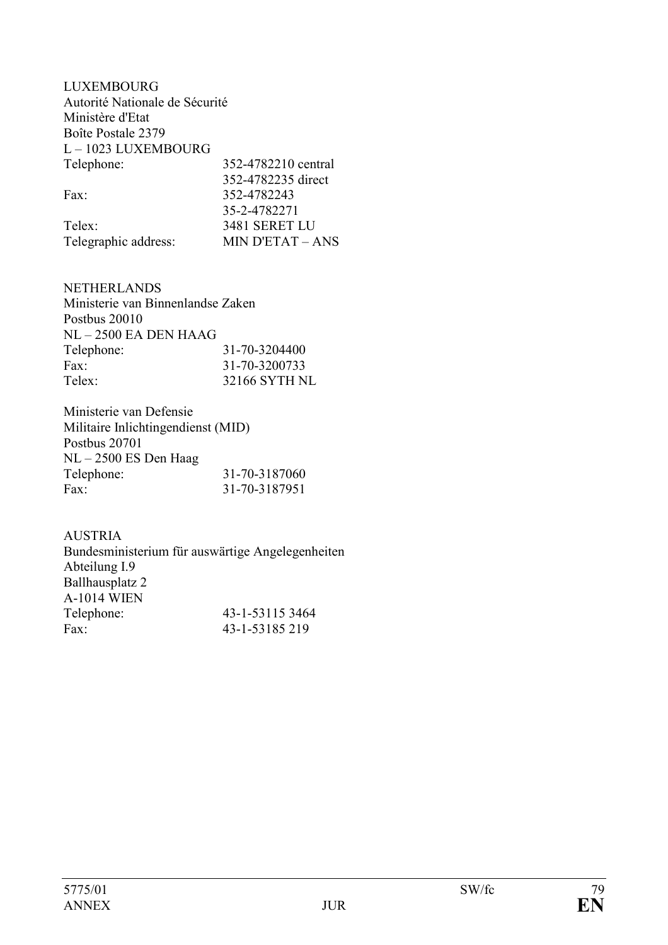| LUXEMBOURG                     |                         |
|--------------------------------|-------------------------|
| Autorité Nationale de Sécurité |                         |
| Ministère d'Etat               |                         |
| Boîte Postale 2379             |                         |
| L-1023 LUXEMBOURG              |                         |
| Telephone:                     | 352-4782210 central     |
|                                | 352-4782235 direct      |
| Fax                            | 352-4782243             |
|                                | 35-2-4782271            |
| Telex:                         | <b>3481 SERET LU</b>    |
| Telegraphic address:           | <b>MIN D'ETAT – ANS</b> |

NETHERLANDS Ministerie van Binnenlandse Zaken Postbus 20010 NL – 2500 EA DEN HAAG Telephone: 31-70-3204400<br>Fax: 31-70-3200733 Fax: 31-70-3200733 Telex: 32166 SYTH NL

Ministerie van Defensie Militaire Inlichtingendienst (MID) Postbus 20701 NL – 2500 ES Den Haag Telephone: 31-70-3187060 Fax: 31-70-3187951

AUSTRIA Bundesministerium für auswärtige Angelegenheiten Abteilung I.9 Ballhausplatz 2 A-1014 WIEN Telephone: 43-1-53115 3464 Fax: 43-1-53185 219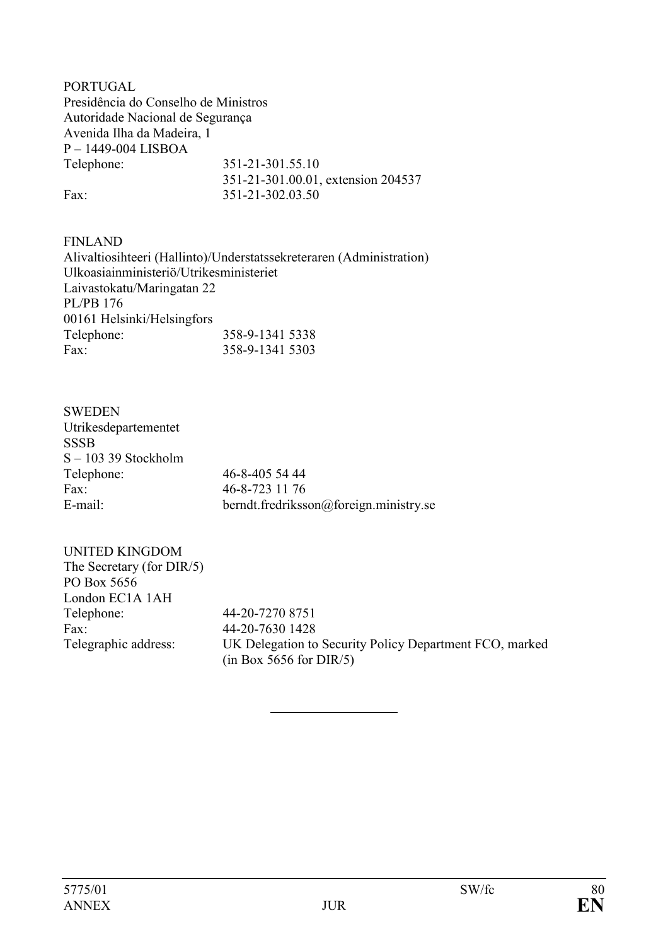PORTUGAL Presidência do Conselho de Ministros Autoridade Nacional de Segurança Avenida Ilha da Madeira, 1 P – 1449-004 LISBOA Telephone: 351-21-301.55.10 351-21-301.00.01, extension 204537 Fax: 351-21-302.03.50

FINLAND Alivaltiosihteeri (Hallinto)/Understatssekreteraren (Administration) Ulkoasiainministeriö/Utrikesministeriet Laivastokatu/Maringatan 22 PL/PB 176 00161 Helsinki/Helsingfors Telephone: 358-9-1341 5338 Fax: 358-9-1341 5303

| <b>SWEDEN</b>          |                                        |
|------------------------|----------------------------------------|
| Utrikesdepartementet   |                                        |
| <b>SSSB</b>            |                                        |
| $S - 103$ 39 Stockholm |                                        |
| Telephone:             | 46-8-405 54 44                         |
| Fax:                   | 46-8-723 11 76                         |
| E-mail:                | berndt.fredriksson@foreign.ministry.se |

| <b>UNITED KINGDOM</b>     |                                                         |
|---------------------------|---------------------------------------------------------|
| The Secretary (for DIR/5) |                                                         |
| PO Box 5656               |                                                         |
| London EC1A 1AH           |                                                         |
| Telephone:                | 44-20-7270 8751                                         |
| Fax:                      | 44-20-7630 1428                                         |
| Telegraphic address:      | UK Delegation to Security Policy Department FCO, marked |
|                           | (in Box 5656 for DIR/5)                                 |

 $\overline{a}$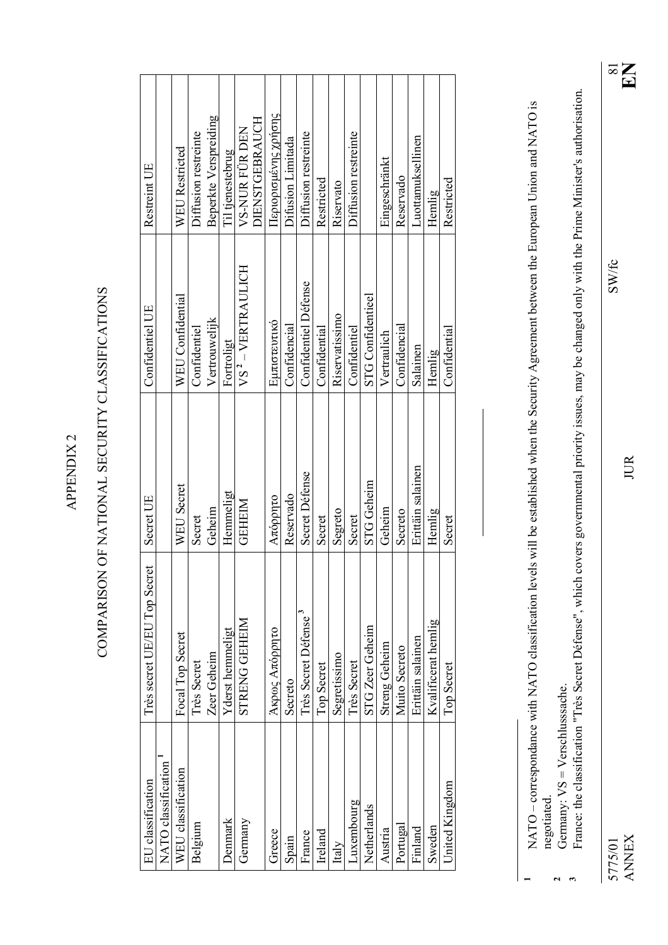| Ξ |  |
|---|--|
|   |  |

# COMPARISON OF NATIONAL SECURITY CLASSIFICATIONS COMPARISON OF NATIONAL SECURITY CLASSIFICATIONS

| EU classification   | Très secret UE/EU Top Secret     | Secret UE         | Confidentiel UE               | Restreint UE          |
|---------------------|----------------------------------|-------------------|-------------------------------|-----------------------|
| NATO classification |                                  |                   |                               |                       |
| WEU classification  | Focal Top Secret                 | WEU Secret        | WEU Confidential              | WEU Restricted        |
| Belgium             | Très Secret                      | Secret            | Confidentiel                  | Diffusion restremte   |
|                     | Zeer Geheim                      | Geheim            | Vertrouwelijk                 | Beperkte Verspreiding |
| Denmark             | Y derst hemmeligt                | Hemmeligt         | Fortroligt                    | Til tjenestebrug      |
| Germany             | STRENG GEHEIM                    | <b>GEHEIM</b>     | VS <sup>2</sup> - VERTRAULICH | VS-NUR FÜR DEN        |
|                     |                                  |                   |                               | DIENSTGEBRAUCH        |
| Greece              | Άκρως Απόρρητο                   | Απόρρητο          | Εμπιστευτικό                  | Περιορισμένης χρήσης  |
| Spain               | Secreto                          | Reservado         | Confidencial                  | Difusion Limitada     |
| France              | Très Secret Défense <sup>3</sup> | Secret Défense    | Confidentiel Défense          | Diffusion restreinte  |
| Ireland             | <b>Top Secret</b>                | Secret            | Confidential                  | Restricted            |
| Italy               | Segretissimo                     | Segreto           | Riservatissimo                | Riservato             |
| Luxembourg          | <b>Très Secret</b>               | Secret            | Confidentiel                  | Diffusion restremte   |
| Netherlands         | STG Zeer Geheim                  | <b>STG</b> Geheim | <b>STG Confidentieel</b>      |                       |
| Austria             | <b>Streng Geheim</b>             | Geheim            | Vertraulich                   | Eingeschränkt         |
| Portugal            | Muito Secreto                    | Secreto           | Confidencial                  | Reservado             |
| Finland             | Erittäin salainen                | Erittäin salainen | Salainen                      | Luottamuksellinen     |
| Sweden              | Kvalificerat hemlig              | Hemlig            | Hemlig                        | Hemlig                |
| United Kingdom      | <b>Top Secret</b>                | Secret            | Confidential                  | Restricted            |
|                     |                                  |                   |                               |                       |

2<br>3<br>2<br>*3* 

**1**

NATO - correspondance with NATO classification levels will be established when the Security Agreement between the European Union and NATO is NATO – correspondance with NATO classification levels will be established when the Security Agreement between the European Union and NATO is negotiated.

Germany:  $VS = Verschlussache$ . Germany: VS = Verschlusssache.

France: the classification "Très Secret Défense", which covers governmental priority issues, may be changed only with the Prime Minister's authorisation. France: the classification "Très Secret Défense", which covers governmental priority issues, may be changed only with the Prime Minister's authorisation.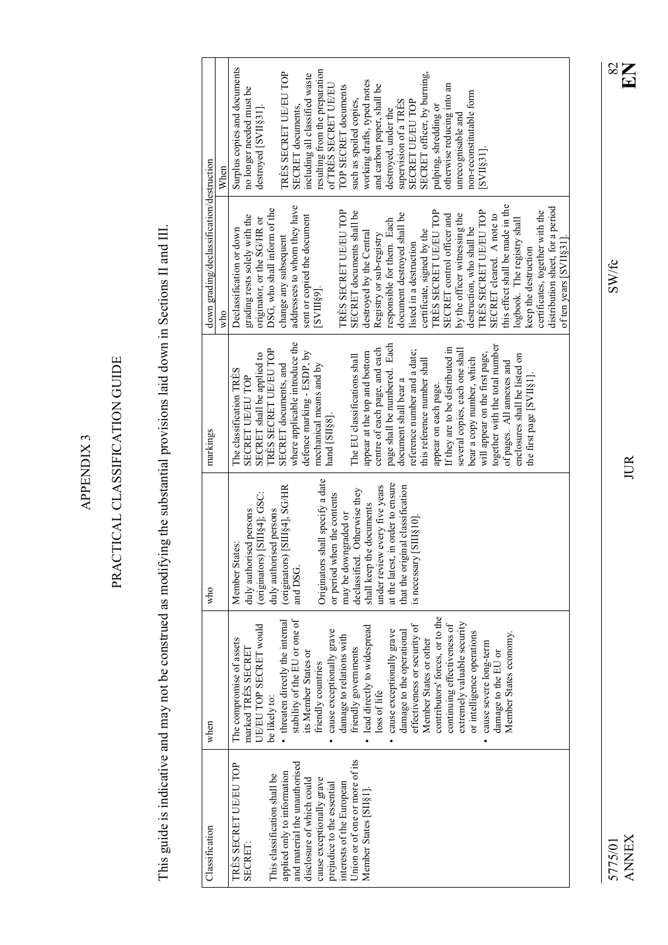APPENDIX 3 APPENDIX 3

# PRACTICAL CLASSIFICATION GUIDE PRACTICAL CLASSIFICATION GUIDE

This guide is indicative and may not be construed as modifying the substantial provisions laid down in Sections II and III. This guide is indicative and may not be construed as modifying the substantial provisions laid down in Sections II and III.

|                                           | When | Surplus copies and documents | no longer needed must be      | destroyed [SVII§31].         |                              | TRÈS SECRET UE/EU TOP            | SECRET documents,              | including all classified waste | resulting from the preparation   | of TRÈS SECRET UE/EU           | TOP SECRET documents      | such as spoiled copies,        | working drafts, typed notes  | and carbon paper, shall be    | destroyed, under the              | supervision of a TRES            | SECRET UE/EU TOP             | SECRET officer, by burning, | pulping, shredding or           | otherwise reducing into an       | unrecognisable and             | non-reconstitutable form   | SVI[331]                       |                                |                                  |                               |                         |                                 |                                  |                       |
|-------------------------------------------|------|------------------------------|-------------------------------|------------------------------|------------------------------|----------------------------------|--------------------------------|--------------------------------|----------------------------------|--------------------------------|---------------------------|--------------------------------|------------------------------|-------------------------------|-----------------------------------|----------------------------------|------------------------------|-----------------------------|---------------------------------|----------------------------------|--------------------------------|----------------------------|--------------------------------|--------------------------------|----------------------------------|-------------------------------|-------------------------|---------------------------------|----------------------------------|-----------------------|
| down grading/declassification/destruction | who  | Declassification or down     | grading rests solely with the | originator, or the SG/HR or  | DSG, who shall inform of the | change any subsequent            | addressees to whom they have   | sent or copied the document    | [SVIII§9].                       |                                | TRÈS SECRET UE/EU TOP     | SECRET documents shall be      | destroyed by the Central     | Registry or sub-registry      | responsible for them. Each        | document destroyed shall be      | listed in a destruction      | certificate, signed by the  | TRÈS SECRET UE/EU TOP           | SECRET control officer and       | by the officer witnessing the  | destruction, who shall be  | TRÈS SECRET UE/EU TOP          | SECRET cleared. A note to      | this effect shall be made in the | logbook. The registry shall   | keep the destruction    | certificates, together with the | distribution sheet, for a period | of ten years [SVII§31 |
| markings                                  |      | The classification TRES      | <b>SECRET UE/EU TOP</b>       | SECRET shall be applied to   | TRÈS SECRET UE/EU TOP        | SECRET documents, and            | where applicable introduce the | defence marking - ESDP, by     | mechanical means and by          | hand [SII§8].                  |                           | The EU classifications shall   | appear at the top and bottom | centre of each page, and each | page shall be numbered. Each      | document shall bear a            | reference number and a date; | this reference number shall | appear on each page.            | If they are to be distributed in | several copies, each one shall | bear a copy number, which  | will appear on the first page, | together with the total number | of pages. All annexes and        | enclosures shall be listed on | the first page [SVII§1] |                                 |                                  |                       |
| who                                       |      | Member States:               | duly authorised persons       | (originators) [SIII§4]; GSC: | duly authorised persons      | (originators) [SIII§4], SG/HR    | and DSG.                       |                                | Originators shall specify a date | when the contents<br>or period | may be downgraded or      | declassified. Otherwise they   | shall keep the documents     | under review every five years | at the latest, in order to ensure | that the original classification | is necessary [SIII§10]       |                             |                                 |                                  |                                |                            |                                |                                |                                  |                               |                         |                                 |                                  |                       |
| when                                      |      | The compromise of assets     | marked TRES SECRET            | UE/EU TOP SECRET would       | be likely to:                | • threaten directly the internal | stability of the EU or one of  | its Member States or           | friendly countries               | cause exceptionally grave      | damage to relations with  | friendly governments           | lead directly to widespread  | loss of life                  | cause exceptionally grave         | damage to the operational        | effectiveness or security of | Member States or other      | contributors' forces, or to the | continuing effectiveness of      | extremely valuable security    | or intelligence operations | cause severe long-term         | damage to the EU or            | Member States economy.           |                               |                         |                                 |                                  |                       |
| Classification                            |      | TRÈS SECRET UE/EU TOP        | SECRET:                       |                              | This classification shall be | applied only to information      | and material the unauthorised  | disclosure of which could      | cause exceptionally grave        | prejudice to the essential     | interests of the European | Union or of one or more of its | Member States [SII§1].       |                               |                                   |                                  |                              |                             |                                 |                                  |                                |                            |                                |                                |                                  |                               |                         |                                 |                                  |                       |

ANNEX JUR **EN** 5775/01 SW/fc 82 5775/01<br>ANNEX

 $\text{SW/fc}$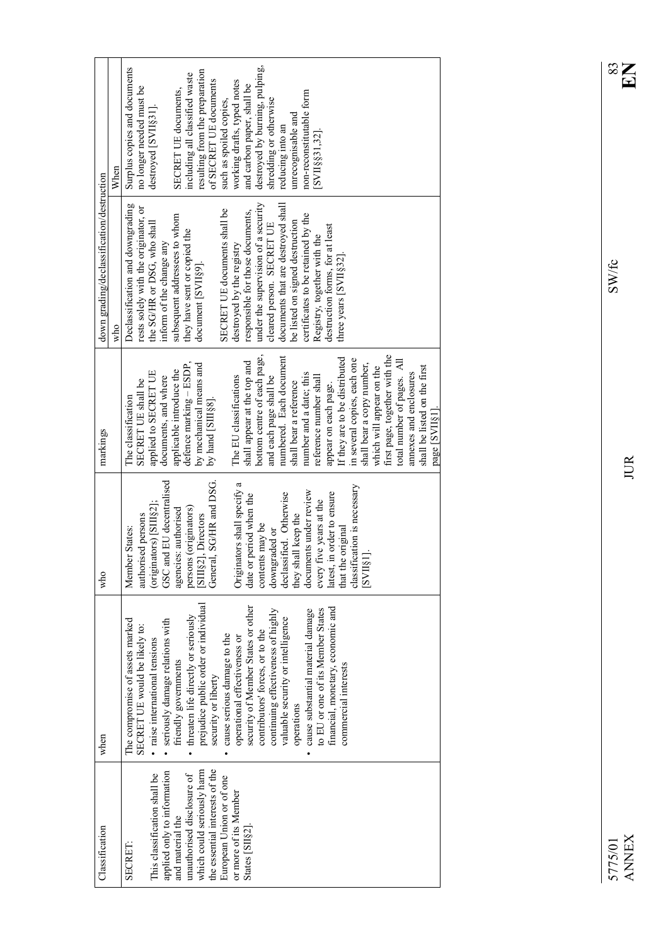| Classification                                              | when                                                              | who                                              | markings                                   | down grading/declassification/destruction                          |                                |
|-------------------------------------------------------------|-------------------------------------------------------------------|--------------------------------------------------|--------------------------------------------|--------------------------------------------------------------------|--------------------------------|
|                                                             |                                                                   |                                                  |                                            | who                                                                | When                           |
|                                                             | The compromise of assets marked                                   | Member States:                                   | The classification                         | Declassification and downgrading                                   | Surplus copies and documents   |
|                                                             | SECRET UE would be likely to:                                     | authorised persons                               | applied to SECRET UE<br>SECRET UE shall be | rests solely with the originator, or<br>the SGHR or DSG, who shall | no longer needed must be       |
| applied only to information<br>This classification shall be | seriously damage relations with<br>· raise international tensions | (originators) [SIII§2];                          | documents, and where                       | inform of the change any                                           | destroyed [SVII§31].           |
| and material the                                            | friendly governments                                              | GSC and EU decentralised<br>agencies: authorised | applicable introduce the                   | subsequent addressees to whom                                      | SECRET UE documents,           |
| unauthorised disclosure of                                  | threaten life directly or seriously                               | persons (originators)                            | defence marking - ESDP                     | they have sent or copied the                                       | including all classified waste |
| which could seriously harm                                  | prejudice public order or individual                              | SIII§2], Directors                               | by mechanical means and                    | document [SVII§9].                                                 | resulting from the preparation |
| the essential interests of the                              | security or liberty                                               | General, SG/HR and DSG.                          | by hand [SIII§8].                          |                                                                    | of SECRET UE documents         |
| European Union or of one                                    | cause serious damage to the                                       |                                                  |                                            | SECRET UE documents shall be                                       | such as spoiled copies,        |
| or more of its Member                                       | operational effectiveness or                                      | Originators shall specify a                      | The EU classifications                     | destroyed by the registry                                          | working drafts, typed notes    |
| States [SII§2]                                              | security of Member States or other                                | date or period when the                          | shall appear at the top and                | responsible for those documents,                                   | and carbon paper, shall be     |
|                                                             | contributors' forces, or to the                                   | contents may be                                  | bottom centre of each page,                | under the supervision of a security                                | destroyed by burning, pulping, |
|                                                             | continuing effectiveness of highly                                | downgraded or                                    | and each page shall be                     | cleared person. SECRET UE                                          | shredding or otherwise         |
|                                                             | valuable security or intelligence                                 | declassified. Otherwise                          | numbered. Each document                    | documents that are destroyed shall                                 | reducing into an               |
|                                                             | operations                                                        | they shall keep the                              | shall bear a reference                     | be listed on signed destruction                                    | unrecognisable and             |
|                                                             | cause substantial material damage                                 | documents under review                           | number and a date; this                    | certificates to be retained by the                                 | non-reconstitutable form       |
|                                                             | to EU or one of its Member States                                 | every five years at the                          | reference number shall                     | Registry, together with the                                        | [SVII§§31,32]                  |
|                                                             | financial, monetary, economic and                                 | in order to ensure<br>latest, i                  | appear on each page.                       | destruction forms, for at least                                    |                                |
|                                                             | commercial interests                                              | that the original                                | If they are to be distributed              | three years [SVII§32].                                             |                                |
|                                                             |                                                                   | classification is necessary                      | in several copies, each one                |                                                                    |                                |
|                                                             |                                                                   | $[SVII§1]$ .                                     | shall bear a copy number,                  |                                                                    |                                |
|                                                             |                                                                   |                                                  | which will appear on the                   |                                                                    |                                |
|                                                             |                                                                   |                                                  | first page, together with the              |                                                                    |                                |
|                                                             |                                                                   |                                                  | total number of pages. All                 |                                                                    |                                |
|                                                             |                                                                   |                                                  | annexes and enclosures                     |                                                                    |                                |
|                                                             |                                                                   |                                                  | shall be listed on the first               |                                                                    |                                |
|                                                             |                                                                   |                                                  | page [SVII§1]                              |                                                                    |                                |

5775/01 SW/fc 833  $\text{SW/fc}$ 

 $\sum_{i=1}^{\infty}$ 

JUR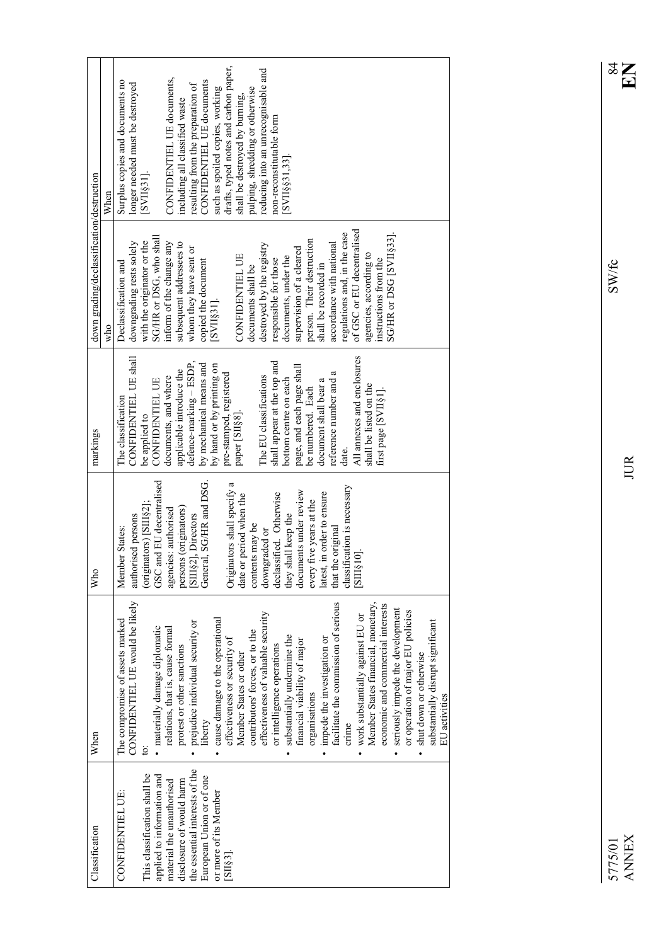| Classification                 | When                                 | Who                             | markings                    | down grading/declassification/destruction |                                       |
|--------------------------------|--------------------------------------|---------------------------------|-----------------------------|-------------------------------------------|---------------------------------------|
|                                |                                      |                                 |                             | who                                       | When                                  |
| CONFIDENTIEL UE:               | The compromise of assets marked      | Member States:                  | The classification          | Declassification and                      | Surplus copies and documents no       |
|                                | CONFIDENTIEL UE would be likely      | authorised persons              | CONFIDENTIEL UE shall       | downgrading rests solely                  | longer needed must be destroyed       |
| This classification shall be   | ġ                                    | (originators) [SIII§2];         | be applied to               | with the originator or the                | $[SVII§31]$ .                         |
| applied to information and     | materially damage diplomatic         | GSC and EU decentralised        | <b>CONFIDENTIEL UE</b>      | SG/HR or DSG, who shall                   |                                       |
| material the unauthorised      | relations, that is, cause formal     | agencies: authorised            | documents, and where        | inform of the change any                  | CONFIDENTIEL UE documents,            |
| disclosure of would harm       | protest or other sanctions           | persons (originators)           | applicable introduce the    | subsequent addressees to                  | including all classified waste        |
| the essential interests of the | prejudice individual security or     | SIII§2], Directors              | defence-marking - ESDP      | whom they have sent or                    | resulting from the preparation of     |
| European Union or of one       | liberty                              | General, SG/HR and DSG.         | by mechanical means and     | copied the document                       | CONFIDENTIEL UE documents             |
| or more of its Member          | cause damage to the operational      |                                 | by hand or by printing on   | $[SVII§31]$ .                             | such as spoiled copies, working       |
| [SII§3].                       | effectiveness or security of         | Originators shall specify a     | pre-stamped, registered     |                                           | drafts, typed notes and carbon paper, |
|                                | Member States or other               | date or period when the         | paper [SII§8].              | CONFIDENTIEL UE                           | shall be destroyed by burning,        |
|                                | contributors' forces, or to the      | contents may be                 |                             | documents shall be                        | pulping, shredding or otherwise       |
|                                | effectiveness of valuable security   | downgraded or                   | The EU classifications      | destroyed by the registry                 | reducing into an unrecognisable and   |
|                                | or intelligence operations           | declassified. Otherwise         | shall appear at the top and | responsible for those                     | non-reconstitutable form              |
|                                | substantially undermine the          | they shall keep the             | bottom centre on each       | documents, under the                      | [SVII§§31,33]                         |
|                                | financial viability of major         | documents under review          | page, and each page shall   | supervision of a cleared                  |                                       |
|                                | organisations                        | five years at the<br>every f    | be numbered. Each           | person. Their destruction                 |                                       |
|                                | impede the investigation or          | in order to ensure<br>latest, 1 | document shall bear a       | shall be recorded in                      |                                       |
|                                | facilitate the commission of serious | that the original               | reference number and a      | accordance with national                  |                                       |
|                                | crime                                | classification is necessary     | date.                       | regulations and, in the case              |                                       |
|                                | work substantially against EU or     | $\overline{0}$ .<br>[SIII§]     | All annexes and enclosures  | of GSC or EU decentralised                |                                       |
|                                | Member States financial, monetary,   |                                 | shall be listed on the      | agencies, according to                    |                                       |
|                                | economic and commercial interests    |                                 | first page [SVII§1].        | instructions from the                     |                                       |
|                                | seriously impede the development     |                                 |                             | SG/HR or DSG [SVII§33].                   |                                       |
|                                | or operation of major EU policies    |                                 |                             |                                           |                                       |
|                                | shut down or otherwise<br>$\bullet$  |                                 |                             |                                           |                                       |
|                                | substantially disrupt significant    |                                 |                             |                                           |                                       |
|                                | EU activities                        |                                 |                             |                                           |                                       |

 $\text{SW/fc}$ 

JUR

 $\sum_{\alpha}$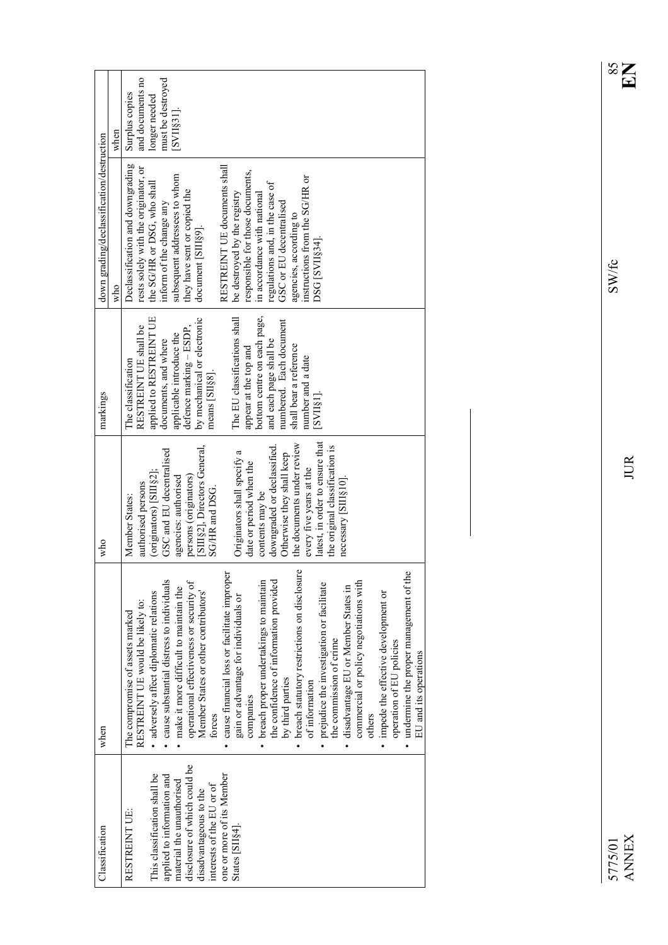|                                           | when | and documents no<br>must be destroyed<br>Surplus copies<br>longer needed<br>SVI[831]                                                                                                                                                                                                                                                                                                                                                                                                                                                                                                                                                                                                                                                                                                                                                                                                    |
|-------------------------------------------|------|-----------------------------------------------------------------------------------------------------------------------------------------------------------------------------------------------------------------------------------------------------------------------------------------------------------------------------------------------------------------------------------------------------------------------------------------------------------------------------------------------------------------------------------------------------------------------------------------------------------------------------------------------------------------------------------------------------------------------------------------------------------------------------------------------------------------------------------------------------------------------------------------|
| down grading/declassification/destruction | who  | Declassification and downgrading<br>RESTREINT UE documents shall<br>rests solely with the originator, or<br>responsible for those documents,<br>subsequent addressees to whom<br>instructions from the SG/HR or<br>the SG/HR or DSG, who shall<br>regulations and, in the case of<br>they have sent or copied the<br>be destroyed by the registry<br>in accordance with national<br>GSC or EU decentralised<br>inform of the change any<br>agencies, according to<br>document [SIII§9].<br>DSG [SVII§34].                                                                                                                                                                                                                                                                                                                                                                               |
| markings                                  |      | bottom centre on each page,<br>The EU classifications shall<br>applied to RESTREINT UE<br>by mechanical or electronic<br>numbered. Each document<br>RESTREINT UE shall be<br>defence marking - ESDP<br>applicable introduce the<br>and each page shall be<br>documents, and where<br>shall bear a reference<br>appear at the top and<br>number and a date<br>The classification<br>means [SII§8].<br>[RIINS]                                                                                                                                                                                                                                                                                                                                                                                                                                                                            |
| who                                       |      | latest, in order to ensure that<br>the documents under review<br>downgraded or declassified.<br>the original classification is<br>[SIII§2], Directors General<br>GSC and EU decentralised<br>Originators shall specify a<br>Otherwise they shall keep<br>date or period when the<br>every five years at the<br>$(originators)$ $[SIII§2]$ ;<br>persons (originators)<br>agencies: authorised<br>necessary [SIII§10].<br>authorised persons<br>SG/HR and DSG.<br>contents may be<br>Member States:                                                                                                                                                                                                                                                                                                                                                                                       |
| when                                      |      | breach statutory restrictions on disclosure<br>cause financial loss or facilitate improper<br>undermine the proper management of the<br>cause substantial distress to individuals<br>the confidence of information provided<br>breach proper undertakings to maintain<br>commercial or policy negotiations with<br>operational effectiveness or security of<br>prejudice the investigation or facilitate<br>disadvantage EU or Member States in<br>make it more difficult to maintain the<br>impede the effective development or<br>adversely affect diplomatic relations<br>Member States or other contributors'<br>gain or advantage for individuals or<br>RESTREINT UE would be likely to:<br>The compromise of assets marked<br>the commission of crime<br>operation of EU policies<br>EU and its operations<br>by third parties<br>of information<br>companies<br>others<br>forces |
| Classification                            |      | disclosure of which could be<br>This classification shall be<br>one or more of its Member<br>applied to information and<br>material the unauthorised<br>interests of the EU or of<br>disadvantageous to the<br>RESTREINT UE:<br>States [SII§4].                                                                                                                                                                                                                                                                                                                                                                                                                                                                                                                                                                                                                                         |

ANNEX JUR **EN** 5775/01 SW/fc 85 5775/01<br>ANNEX

 $\text{SW}/\text{fc}$ 

JUR

 $\sum_{S8}$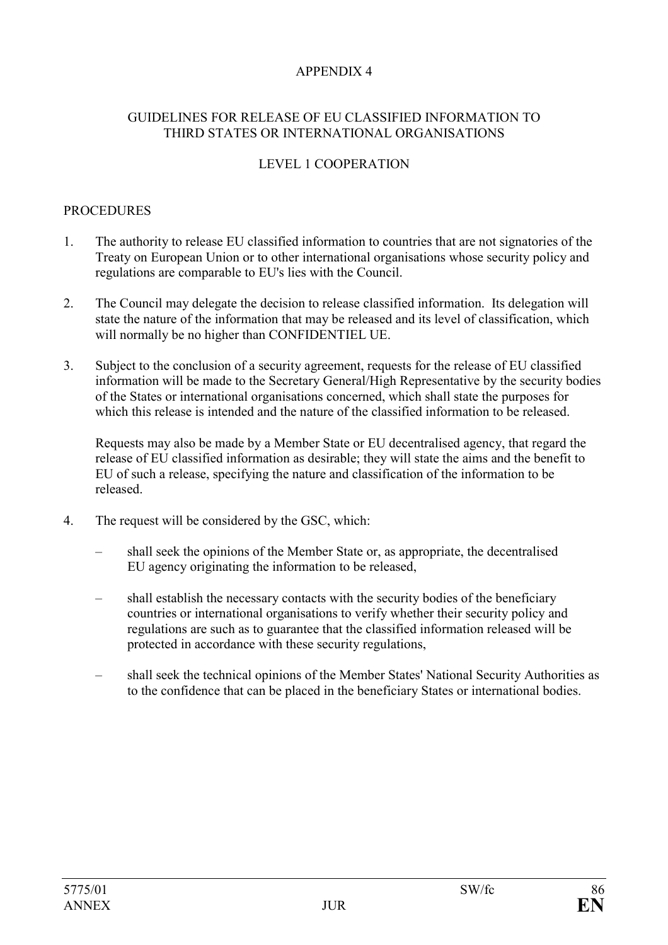# APPENDIX 4

#### GUIDELINES FOR RELEASE OF EU CLASSIFIED INFORMATION TO THIRD STATES OR INTERNATIONAL ORGANISATIONS

#### LEVEL 1 COOPERATION

#### PROCEDURES

- 1. The authority to release EU classified information to countries that are not signatories of the Treaty on European Union or to other international organisations whose security policy and regulations are comparable to EU's lies with the Council.
- 2. The Council may delegate the decision to release classified information. Its delegation will state the nature of the information that may be released and its level of classification, which will normally be no higher than CONFIDENTIEL UE.
- 3. Subject to the conclusion of a security agreement, requests for the release of EU classified information will be made to the Secretary General/High Representative by the security bodies of the States or international organisations concerned, which shall state the purposes for which this release is intended and the nature of the classified information to be released.

Requests may also be made by a Member State or EU decentralised agency, that regard the release of EU classified information as desirable; they will state the aims and the benefit to EU of such a release, specifying the nature and classification of the information to be released.

- 4. The request will be considered by the GSC, which:
	- shall seek the opinions of the Member State or, as appropriate, the decentralised EU agency originating the information to be released,
	- shall establish the necessary contacts with the security bodies of the beneficiary countries or international organisations to verify whether their security policy and regulations are such as to guarantee that the classified information released will be protected in accordance with these security regulations,
	- shall seek the technical opinions of the Member States' National Security Authorities as to the confidence that can be placed in the beneficiary States or international bodies.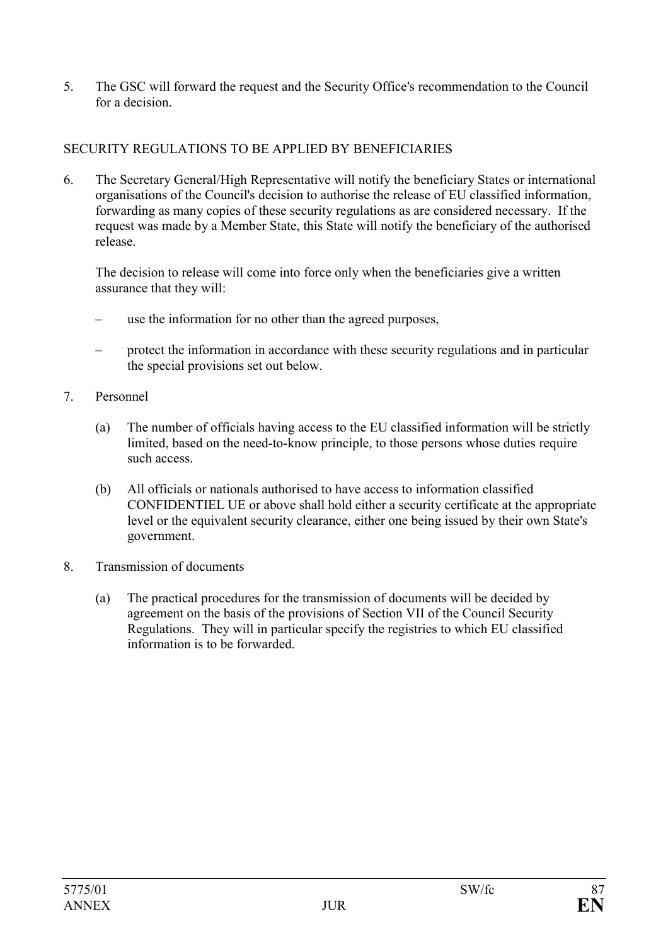5. The GSC will forward the request and the Security Office's recommendation to the Council for a decision.

# SECURITY REGULATIONS TO BE APPLIED BY BENEFICIARIES

6. The Secretary General/High Representative will notify the beneficiary States or international organisations of the Council's decision to authorise the release of EU classified information, forwarding as many copies of these security regulations as are considered necessary. If the request was made by a Member State, this State will notify the beneficiary of the authorised release.

The decision to release will come into force only when the beneficiaries give a written assurance that they will:

- use the information for no other than the agreed purposes,
- protect the information in accordance with these security regulations and in particular the special provisions set out below.
- 7. Personnel
	- (a) The number of officials having access to the EU classified information will be strictly limited, based on the need-to-know principle, to those persons whose duties require such access.
	- (b) All officials or nationals authorised to have access to information classified CONFIDENTIEL UE or above shall hold either a security certificate at the appropriate level or the equivalent security clearance, either one being issued by their own State's government.
- 8. Transmission of documents
	- (a) The practical procedures for the transmission of documents will be decided by agreement on the basis of the provisions of Section VII of the Council Security Regulations. They will in particular specify the registries to which EU classified information is to be forwarded.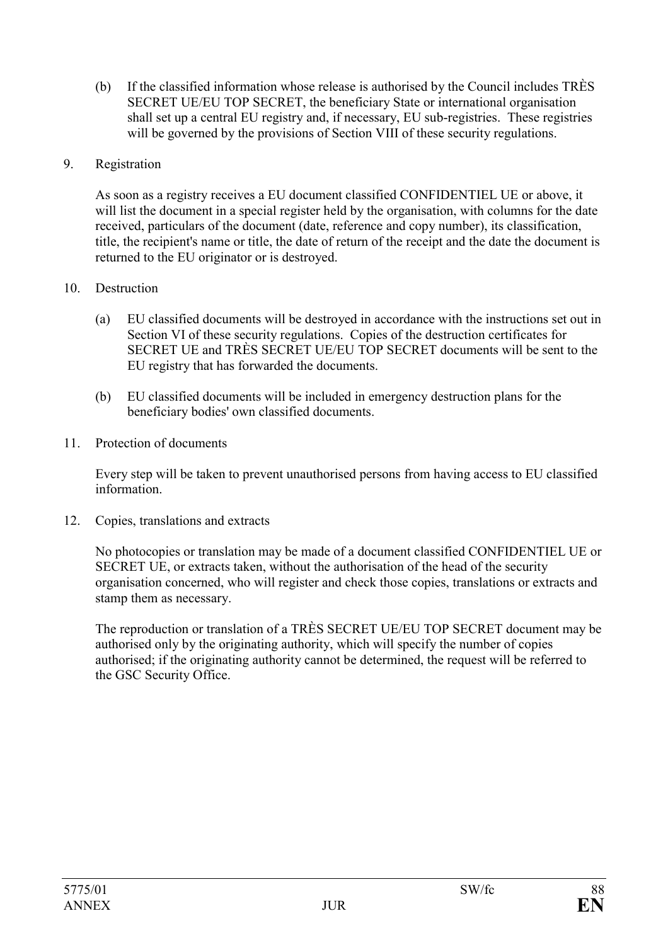- (b) If the classified information whose release is authorised by the Council includes TRÈS SECRET UE/EU TOP SECRET, the beneficiary State or international organisation shall set up a central EU registry and, if necessary, EU sub-registries. These registries will be governed by the provisions of Section VIII of these security regulations.
- 9. Registration

As soon as a registry receives a EU document classified CONFIDENTIEL UE or above, it will list the document in a special register held by the organisation, with columns for the date received, particulars of the document (date, reference and copy number), its classification, title, the recipient's name or title, the date of return of the receipt and the date the document is returned to the EU originator or is destroyed.

- 10. Destruction
	- (a) EU classified documents will be destroyed in accordance with the instructions set out in Section VI of these security regulations. Copies of the destruction certificates for SECRET UE and TRÈS SECRET UE/EU TOP SECRET documents will be sent to the EU registry that has forwarded the documents.
	- (b) EU classified documents will be included in emergency destruction plans for the beneficiary bodies' own classified documents.
- 11. Protection of documents

Every step will be taken to prevent unauthorised persons from having access to EU classified information.

12. Copies, translations and extracts

No photocopies or translation may be made of a document classified CONFIDENTIEL UE or SECRET UE, or extracts taken, without the authorisation of the head of the security organisation concerned, who will register and check those copies, translations or extracts and stamp them as necessary.

The reproduction or translation of a TRÈS SECRET UE/EU TOP SECRET document may be authorised only by the originating authority, which will specify the number of copies authorised; if the originating authority cannot be determined, the request will be referred to the GSC Security Office.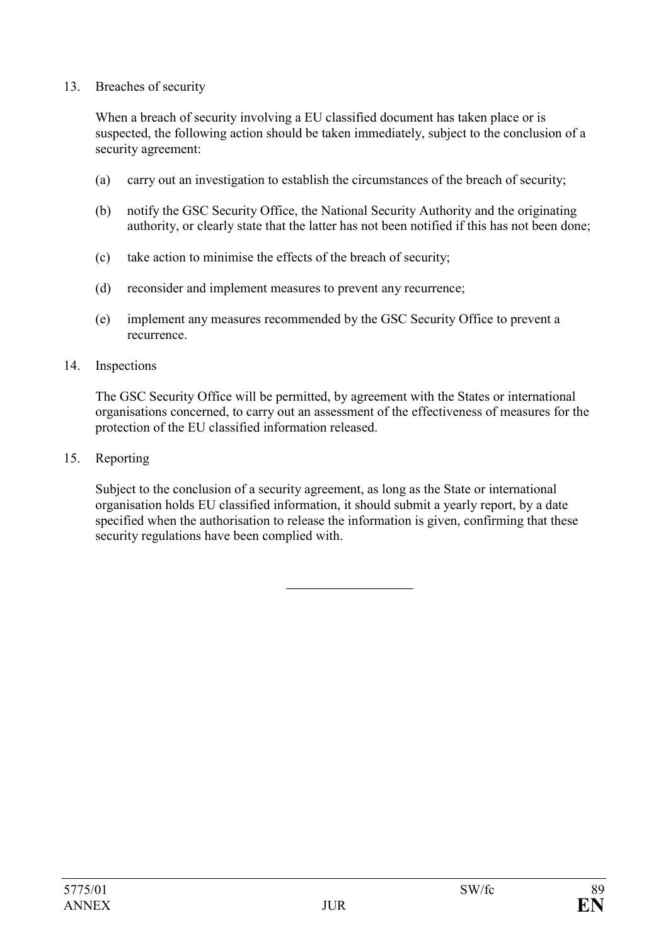#### 13. Breaches of security

When a breach of security involving a EU classified document has taken place or is suspected, the following action should be taken immediately, subject to the conclusion of a security agreement:

- (a) carry out an investigation to establish the circumstances of the breach of security;
- (b) notify the GSC Security Office, the National Security Authority and the originating authority, or clearly state that the latter has not been notified if this has not been done;
- (c) take action to minimise the effects of the breach of security;
- (d) reconsider and implement measures to prevent any recurrence;
- (e) implement any measures recommended by the GSC Security Office to prevent a recurrence.

#### 14. Inspections

The GSC Security Office will be permitted, by agreement with the States or international organisations concerned, to carry out an assessment of the effectiveness of measures for the protection of the EU classified information released.

15. Reporting

Subject to the conclusion of a security agreement, as long as the State or international organisation holds EU classified information, it should submit a yearly report, by a date specified when the authorisation to release the information is given, confirming that these security regulations have been complied with.

l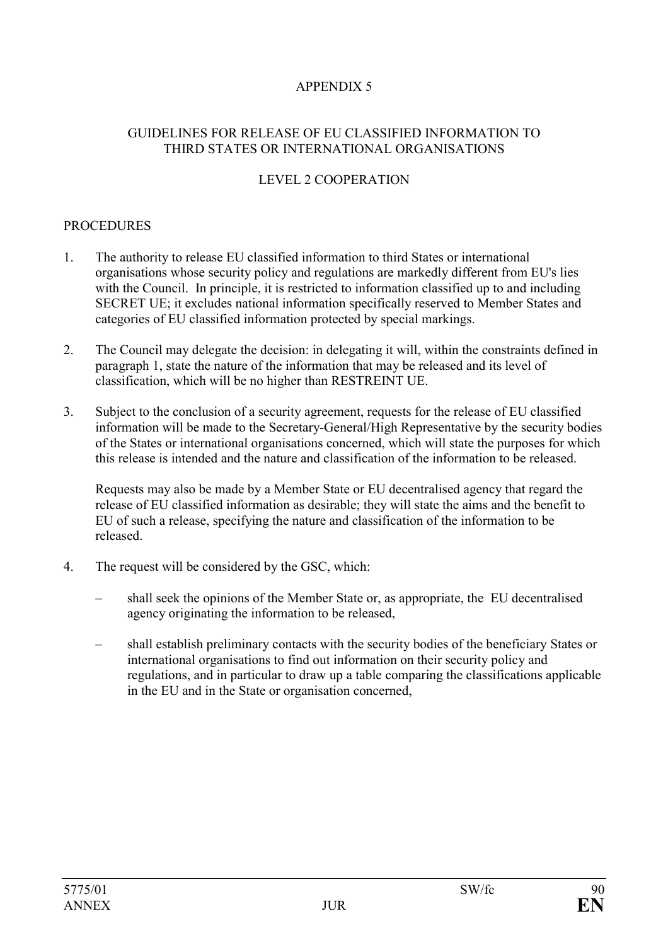# APPENDIX 5

#### GUIDELINES FOR RELEASE OF EU CLASSIFIED INFORMATION TO THIRD STATES OR INTERNATIONAL ORGANISATIONS

#### LEVEL 2 COOPERATION

#### **PROCEDURES**

- 1. The authority to release EU classified information to third States or international organisations whose security policy and regulations are markedly different from EU's lies with the Council. In principle, it is restricted to information classified up to and including SECRET UE; it excludes national information specifically reserved to Member States and categories of EU classified information protected by special markings.
- 2. The Council may delegate the decision: in delegating it will, within the constraints defined in paragraph 1, state the nature of the information that may be released and its level of classification, which will be no higher than RESTREINT UE.
- 3. Subject to the conclusion of a security agreement, requests for the release of EU classified information will be made to the Secretary-General/High Representative by the security bodies of the States or international organisations concerned, which will state the purposes for which this release is intended and the nature and classification of the information to be released.

Requests may also be made by a Member State or EU decentralised agency that regard the release of EU classified information as desirable; they will state the aims and the benefit to EU of such a release, specifying the nature and classification of the information to be released.

- 4. The request will be considered by the GSC, which:
	- shall seek the opinions of the Member State or, as appropriate, the EU decentralised agency originating the information to be released,
	- shall establish preliminary contacts with the security bodies of the beneficiary States or international organisations to find out information on their security policy and regulations, and in particular to draw up a table comparing the classifications applicable in the EU and in the State or organisation concerned,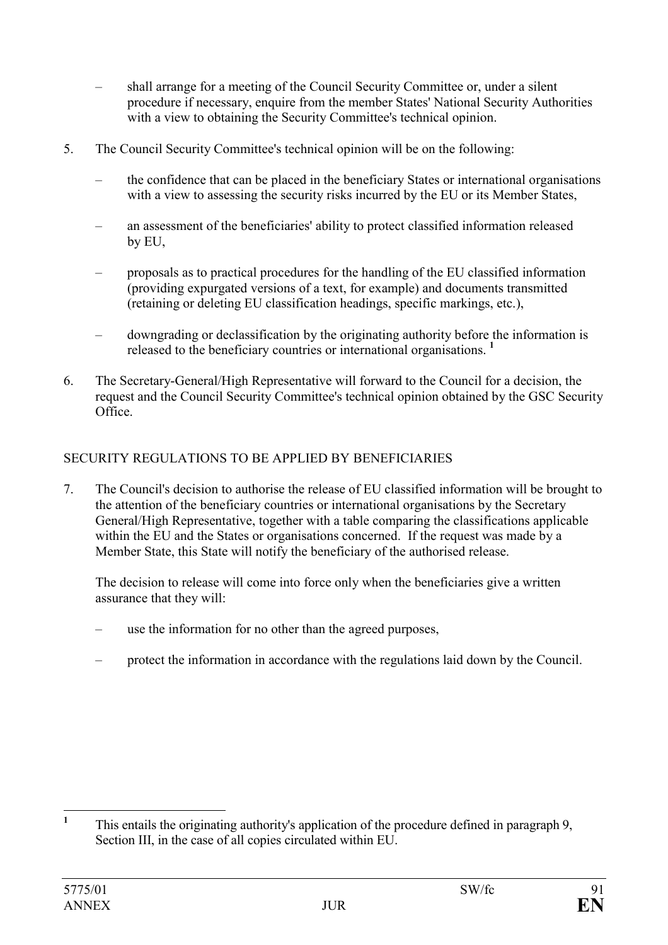- shall arrange for a meeting of the Council Security Committee or, under a silent procedure if necessary, enquire from the member States' National Security Authorities with a view to obtaining the Security Committee's technical opinion.
- 5. The Council Security Committee's technical opinion will be on the following:
	- the confidence that can be placed in the beneficiary States or international organisations with a view to assessing the security risks incurred by the EU or its Member States,
	- an assessment of the beneficiaries' ability to protect classified information released by EU,
	- proposals as to practical procedures for the handling of the EU classified information (providing expurgated versions of a text, for example) and documents transmitted (retaining or deleting EU classification headings, specific markings, etc.),
	- downgrading or declassification by the originating authority before the information is released to the beneficiary countries or international organisations. **<sup>1</sup>**
- 6. The Secretary-General/High Representative will forward to the Council for a decision, the request and the Council Security Committee's technical opinion obtained by the GSC Security Office.

# SECURITY REGULATIONS TO BE APPLIED BY BENEFICIARIES

7. The Council's decision to authorise the release of EU classified information will be brought to the attention of the beneficiary countries or international organisations by the Secretary General/High Representative, together with a table comparing the classifications applicable within the EU and the States or organisations concerned. If the request was made by a Member State, this State will notify the beneficiary of the authorised release.

The decision to release will come into force only when the beneficiaries give a written assurance that they will:

- use the information for no other than the agreed purposes,
- protect the information in accordance with the regulations laid down by the Council.

 $\mathbf{1}$ **<sup>1</sup>** This entails the originating authority's application of the procedure defined in paragraph 9, Section III, in the case of all copies circulated within EU.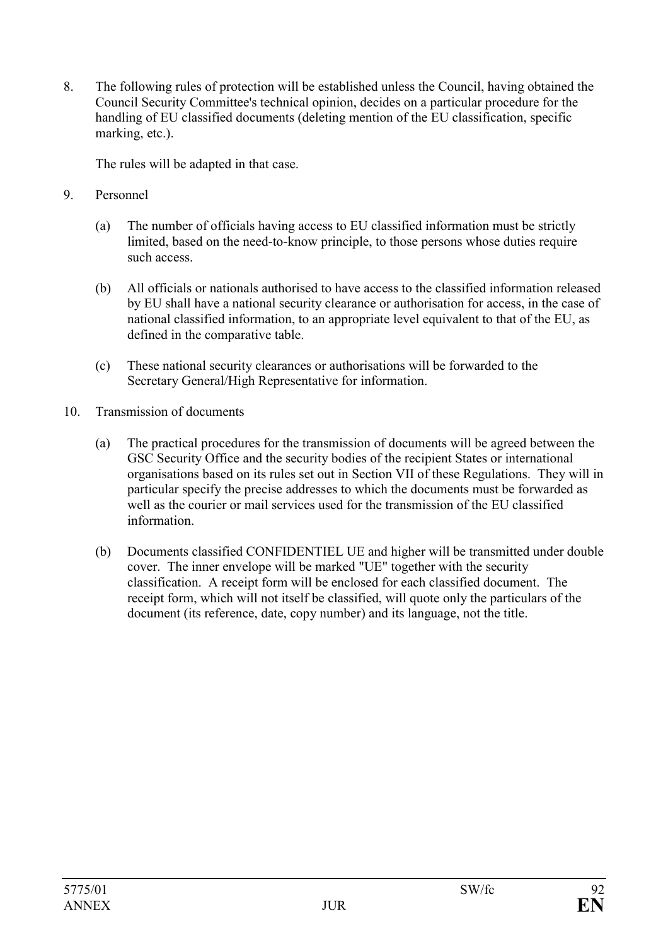8. The following rules of protection will be established unless the Council, having obtained the Council Security Committee's technical opinion, decides on a particular procedure for the handling of EU classified documents (deleting mention of the EU classification, specific marking, etc.).

The rules will be adapted in that case.

- 9. Personnel
	- (a) The number of officials having access to EU classified information must be strictly limited, based on the need-to-know principle, to those persons whose duties require such access.
	- (b) All officials or nationals authorised to have access to the classified information released by EU shall have a national security clearance or authorisation for access, in the case of national classified information, to an appropriate level equivalent to that of the EU, as defined in the comparative table.
	- (c) These national security clearances or authorisations will be forwarded to the Secretary General/High Representative for information.
- 10. Transmission of documents
	- (a) The practical procedures for the transmission of documents will be agreed between the GSC Security Office and the security bodies of the recipient States or international organisations based on its rules set out in Section VII of these Regulations. They will in particular specify the precise addresses to which the documents must be forwarded as well as the courier or mail services used for the transmission of the EU classified information.
	- (b) Documents classified CONFIDENTIEL UE and higher will be transmitted under double cover. The inner envelope will be marked "UE" together with the security classification. A receipt form will be enclosed for each classified document. The receipt form, which will not itself be classified, will quote only the particulars of the document (its reference, date, copy number) and its language, not the title.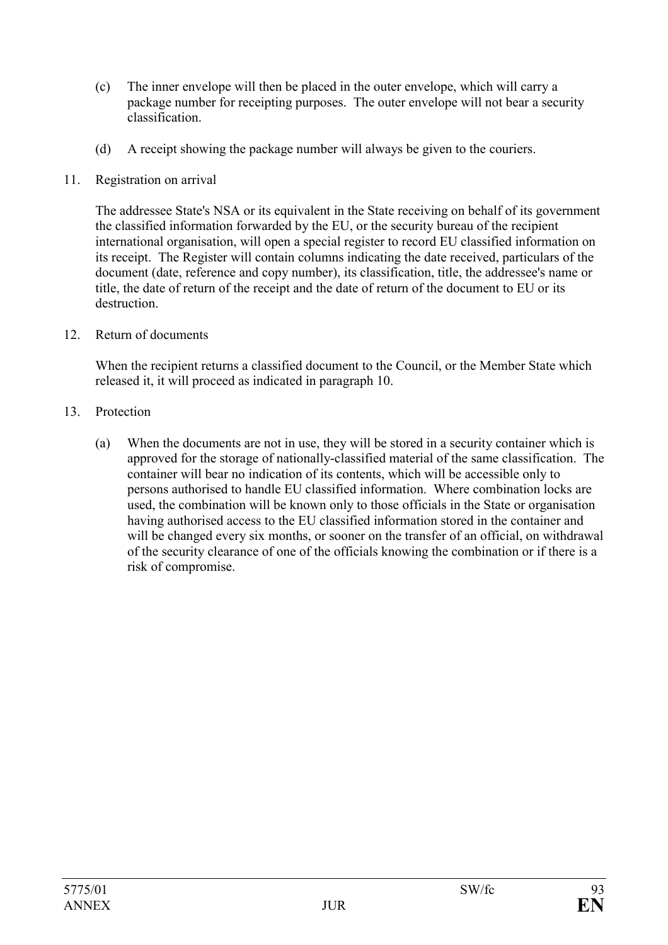- (c) The inner envelope will then be placed in the outer envelope, which will carry a package number for receipting purposes. The outer envelope will not bear a security classification.
- (d) A receipt showing the package number will always be given to the couriers.
- 11. Registration on arrival

The addressee State's NSA or its equivalent in the State receiving on behalf of its government the classified information forwarded by the EU, or the security bureau of the recipient international organisation, will open a special register to record EU classified information on its receipt. The Register will contain columns indicating the date received, particulars of the document (date, reference and copy number), its classification, title, the addressee's name or title, the date of return of the receipt and the date of return of the document to EU or its destruction.

12. Return of documents

When the recipient returns a classified document to the Council, or the Member State which released it, it will proceed as indicated in paragraph 10.

- 13. Protection
	- (a) When the documents are not in use, they will be stored in a security container which is approved for the storage of nationally-classified material of the same classification. The container will bear no indication of its contents, which will be accessible only to persons authorised to handle EU classified information. Where combination locks are used, the combination will be known only to those officials in the State or organisation having authorised access to the EU classified information stored in the container and will be changed every six months, or sooner on the transfer of an official, on withdrawal of the security clearance of one of the officials knowing the combination or if there is a risk of compromise.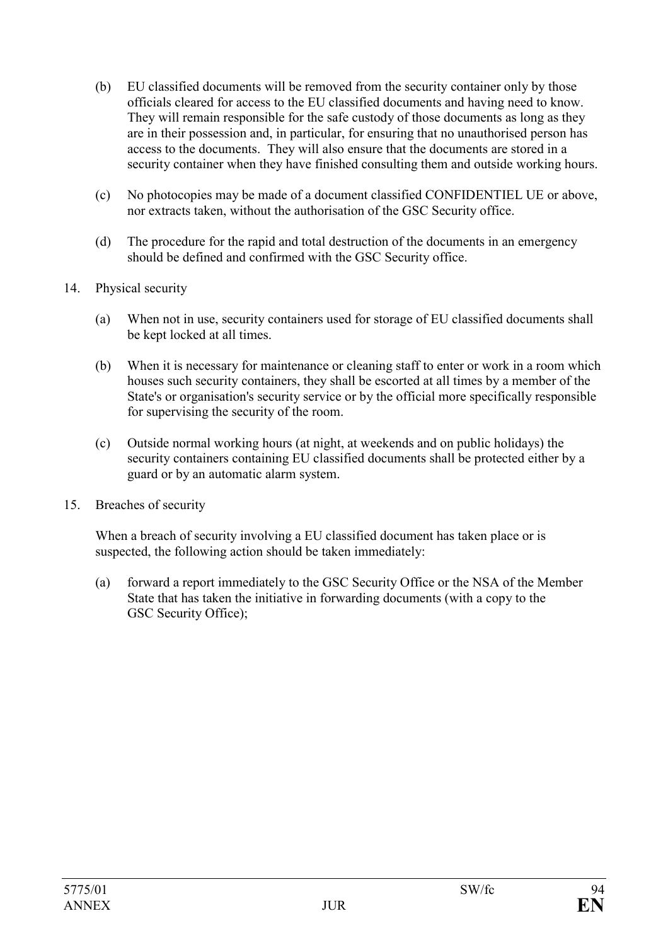- (b) EU classified documents will be removed from the security container only by those officials cleared for access to the EU classified documents and having need to know. They will remain responsible for the safe custody of those documents as long as they are in their possession and, in particular, for ensuring that no unauthorised person has access to the documents. They will also ensure that the documents are stored in a security container when they have finished consulting them and outside working hours.
- (c) No photocopies may be made of a document classified CONFIDENTIEL UE or above, nor extracts taken, without the authorisation of the GSC Security office.
- (d) The procedure for the rapid and total destruction of the documents in an emergency should be defined and confirmed with the GSC Security office.

#### 14. Physical security

- (a) When not in use, security containers used for storage of EU classified documents shall be kept locked at all times.
- (b) When it is necessary for maintenance or cleaning staff to enter or work in a room which houses such security containers, they shall be escorted at all times by a member of the State's or organisation's security service or by the official more specifically responsible for supervising the security of the room.
- (c) Outside normal working hours (at night, at weekends and on public holidays) the security containers containing EU classified documents shall be protected either by a guard or by an automatic alarm system.
- 15. Breaches of security

When a breach of security involving a EU classified document has taken place or is suspected, the following action should be taken immediately:

(a) forward a report immediately to the GSC Security Office or the NSA of the Member State that has taken the initiative in forwarding documents (with a copy to the GSC Security Office);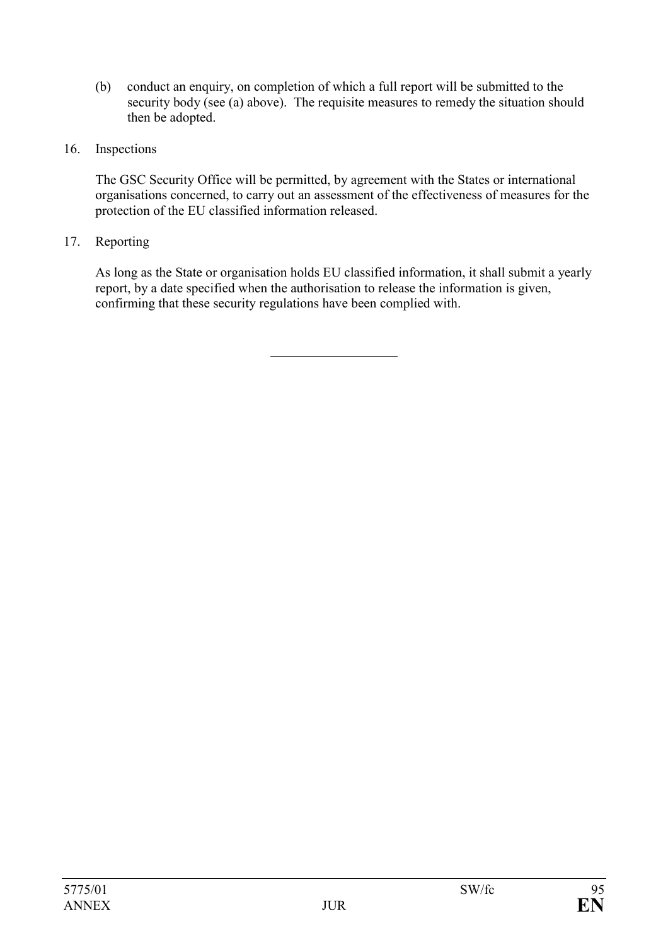- (b) conduct an enquiry, on completion of which a full report will be submitted to the security body (see (a) above). The requisite measures to remedy the situation should then be adopted.
- 16. Inspections

The GSC Security Office will be permitted, by agreement with the States or international organisations concerned, to carry out an assessment of the effectiveness of measures for the protection of the EU classified information released.

17. Reporting

As long as the State or organisation holds EU classified information, it shall submit a yearly report, by a date specified when the authorisation to release the information is given, confirming that these security regulations have been complied with.

l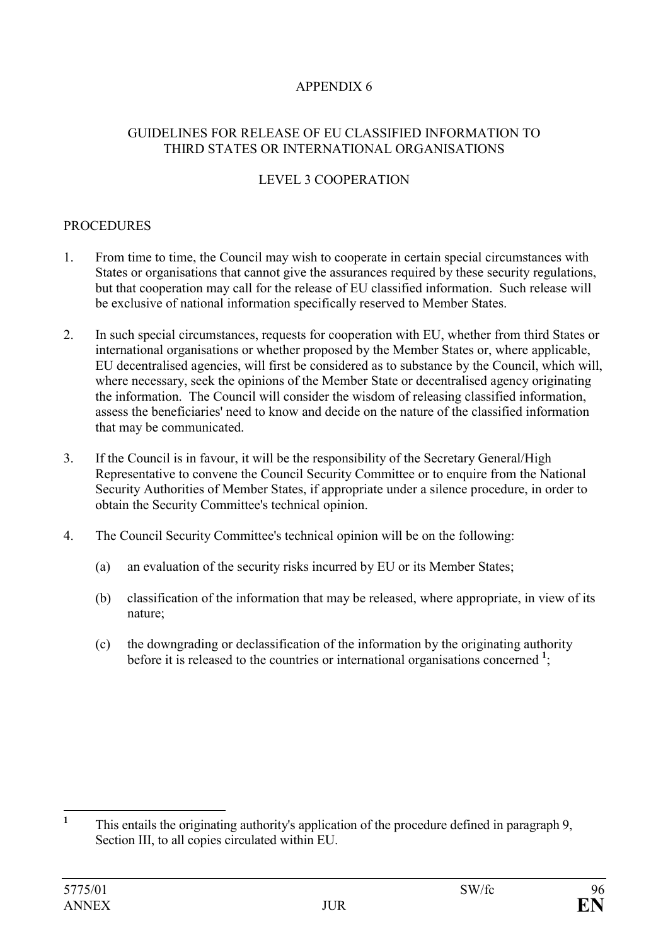# APPENDIX 6

#### GUIDELINES FOR RELEASE OF EU CLASSIFIED INFORMATION TO THIRD STATES OR INTERNATIONAL ORGANISATIONS

# LEVEL 3 COOPERATION

#### **PROCEDURES**

- 1. From time to time, the Council may wish to cooperate in certain special circumstances with States or organisations that cannot give the assurances required by these security regulations, but that cooperation may call for the release of EU classified information. Such release will be exclusive of national information specifically reserved to Member States.
- 2. In such special circumstances, requests for cooperation with EU, whether from third States or international organisations or whether proposed by the Member States or, where applicable, EU decentralised agencies, will first be considered as to substance by the Council, which will, where necessary, seek the opinions of the Member State or decentralised agency originating the information. The Council will consider the wisdom of releasing classified information, assess the beneficiaries' need to know and decide on the nature of the classified information that may be communicated.
- 3. If the Council is in favour, it will be the responsibility of the Secretary General/High Representative to convene the Council Security Committee or to enquire from the National Security Authorities of Member States, if appropriate under a silence procedure, in order to obtain the Security Committee's technical opinion.
- 4. The Council Security Committee's technical opinion will be on the following:
	- (a) an evaluation of the security risks incurred by EU or its Member States;
	- (b) classification of the information that may be released, where appropriate, in view of its nature;
	- (c) the downgrading or declassification of the information by the originating authority before it is released to the countries or international organisations concerned <sup>1</sup>;

 $\mathbf{1}$ **<sup>1</sup>** This entails the originating authority's application of the procedure defined in paragraph 9, Section III, to all copies circulated within EU.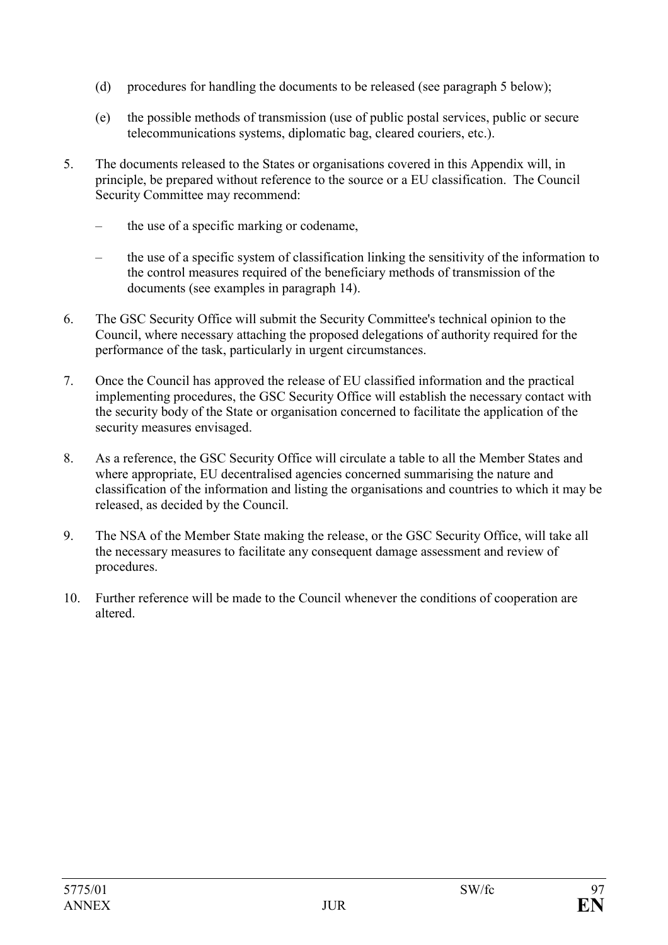- (d) procedures for handling the documents to be released (see paragraph 5 below);
- (e) the possible methods of transmission (use of public postal services, public or secure telecommunications systems, diplomatic bag, cleared couriers, etc.).
- 5. The documents released to the States or organisations covered in this Appendix will, in principle, be prepared without reference to the source or a EU classification. The Council Security Committee may recommend:
	- the use of a specific marking or codename,
	- the use of a specific system of classification linking the sensitivity of the information to the control measures required of the beneficiary methods of transmission of the documents (see examples in paragraph 14).
- 6. The GSC Security Office will submit the Security Committee's technical opinion to the Council, where necessary attaching the proposed delegations of authority required for the performance of the task, particularly in urgent circumstances.
- 7. Once the Council has approved the release of EU classified information and the practical implementing procedures, the GSC Security Office will establish the necessary contact with the security body of the State or organisation concerned to facilitate the application of the security measures envisaged.
- 8. As a reference, the GSC Security Office will circulate a table to all the Member States and where appropriate. EU decentralised agencies concerned summarising the nature and classification of the information and listing the organisations and countries to which it may be released, as decided by the Council.
- 9. The NSA of the Member State making the release, or the GSC Security Office, will take all the necessary measures to facilitate any consequent damage assessment and review of procedures.
- 10. Further reference will be made to the Council whenever the conditions of cooperation are altered.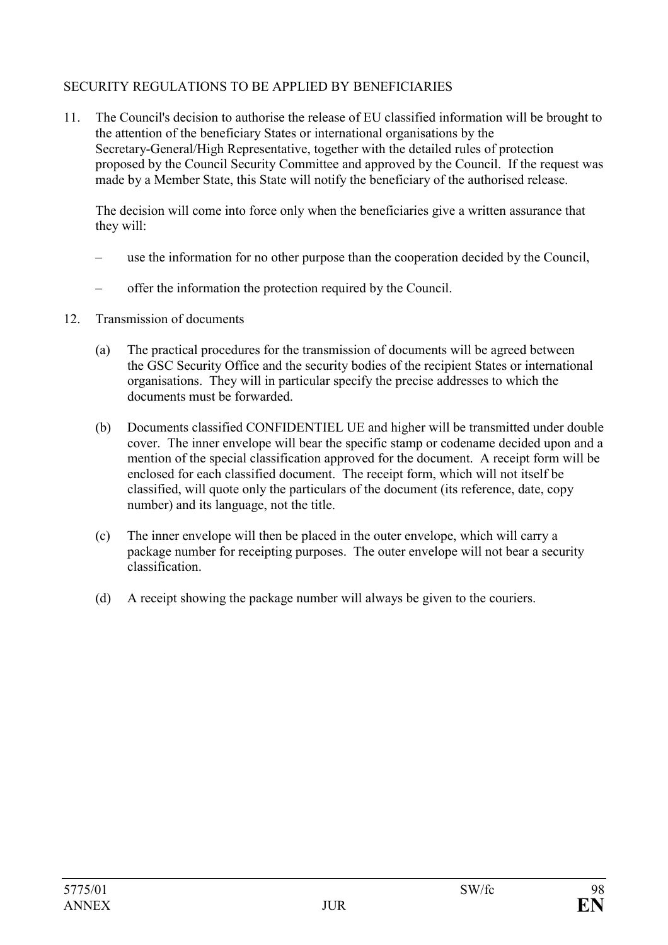# SECURITY REGULATIONS TO BE APPLIED BY BENEFICIARIES

11. The Council's decision to authorise the release of EU classified information will be brought to the attention of the beneficiary States or international organisations by the Secretary-General/High Representative, together with the detailed rules of protection proposed by the Council Security Committee and approved by the Council. If the request was made by a Member State, this State will notify the beneficiary of the authorised release.

The decision will come into force only when the beneficiaries give a written assurance that they will:

- use the information for no other purpose than the cooperation decided by the Council,
- offer the information the protection required by the Council.
- 12. Transmission of documents
	- (a) The practical procedures for the transmission of documents will be agreed between the GSC Security Office and the security bodies of the recipient States or international organisations. They will in particular specify the precise addresses to which the documents must be forwarded.
	- (b) Documents classified CONFIDENTIEL UE and higher will be transmitted under double cover. The inner envelope will bear the specific stamp or codename decided upon and a mention of the special classification approved for the document. A receipt form will be enclosed for each classified document. The receipt form, which will not itself be classified, will quote only the particulars of the document (its reference, date, copy number) and its language, not the title.
	- (c) The inner envelope will then be placed in the outer envelope, which will carry a package number for receipting purposes. The outer envelope will not bear a security classification.
	- (d) A receipt showing the package number will always be given to the couriers.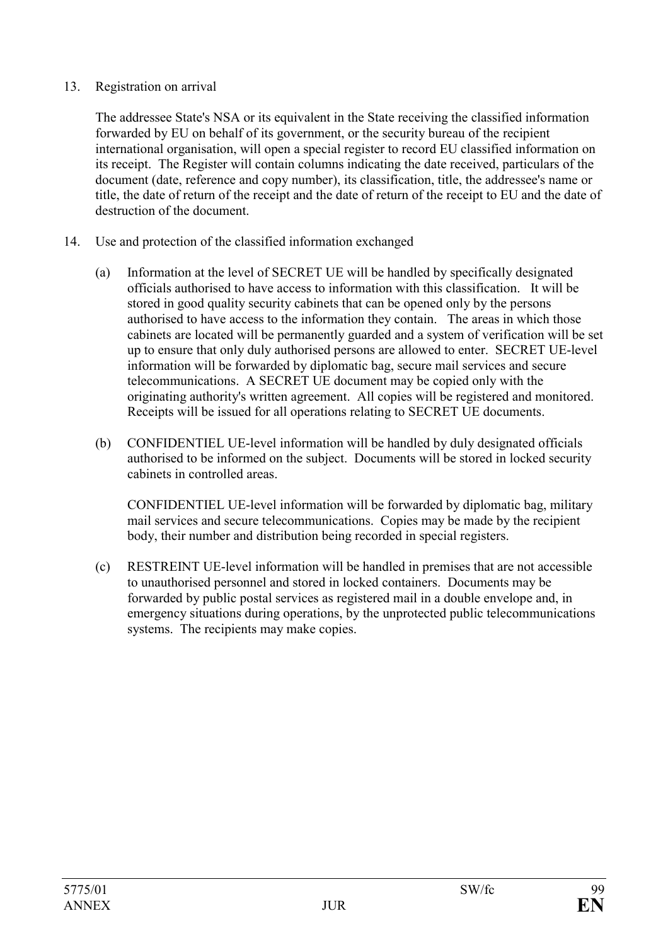#### 13. Registration on arrival

The addressee State's NSA or its equivalent in the State receiving the classified information forwarded by EU on behalf of its government, or the security bureau of the recipient international organisation, will open a special register to record EU classified information on its receipt. The Register will contain columns indicating the date received, particulars of the document (date, reference and copy number), its classification, title, the addressee's name or title, the date of return of the receipt and the date of return of the receipt to EU and the date of destruction of the document.

- 14. Use and protection of the classified information exchanged
	- (a) Information at the level of SECRET UE will be handled by specifically designated officials authorised to have access to information with this classification. It will be stored in good quality security cabinets that can be opened only by the persons authorised to have access to the information they contain. The areas in which those cabinets are located will be permanently guarded and a system of verification will be set up to ensure that only duly authorised persons are allowed to enter. SECRET UE-level information will be forwarded by diplomatic bag, secure mail services and secure telecommunications. A SECRET UE document may be copied only with the originating authority's written agreement. All copies will be registered and monitored. Receipts will be issued for all operations relating to SECRET UE documents.
	- (b) CONFIDENTIEL UE-level information will be handled by duly designated officials authorised to be informed on the subject. Documents will be stored in locked security cabinets in controlled areas.

CONFIDENTIEL UE-level information will be forwarded by diplomatic bag, military mail services and secure telecommunications. Copies may be made by the recipient body, their number and distribution being recorded in special registers.

(c) RESTREINT UE-level information will be handled in premises that are not accessible to unauthorised personnel and stored in locked containers. Documents may be forwarded by public postal services as registered mail in a double envelope and, in emergency situations during operations, by the unprotected public telecommunications systems. The recipients may make copies.